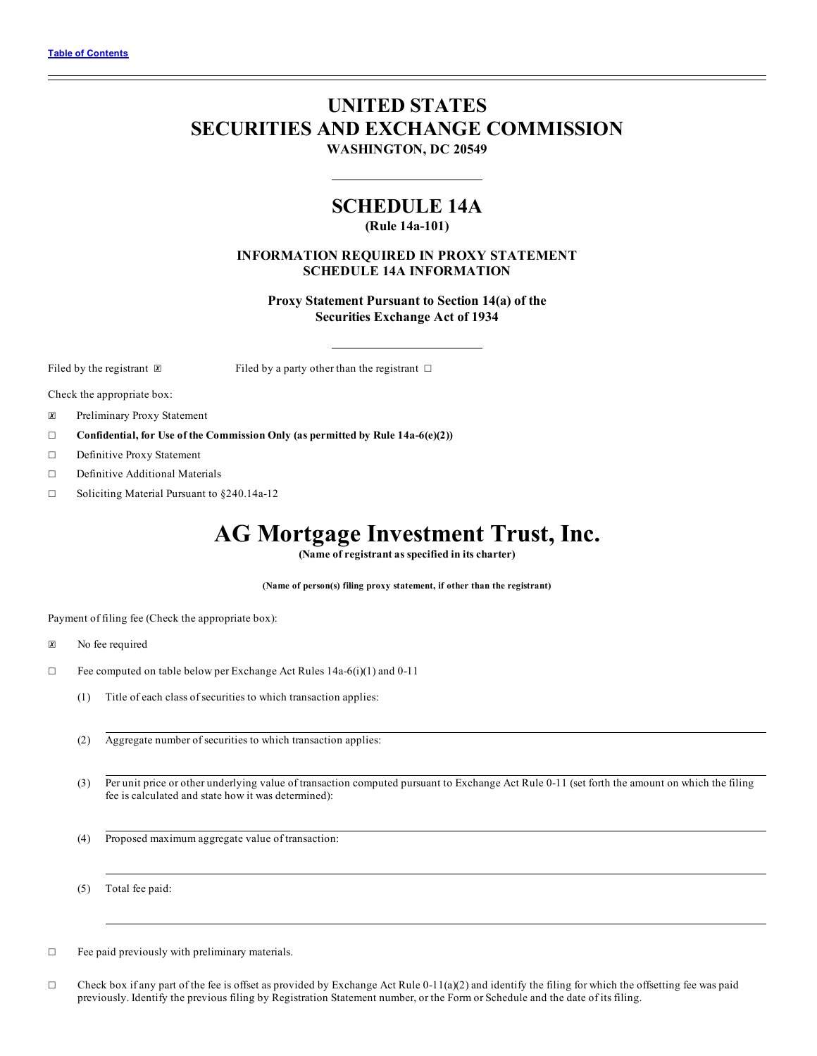# **UNITED STATES SECURITIES AND EXCHANGE COMMISSION**

**WASHINGTON, DC 20549**

## **SCHEDULE 14A**

**(Rule 14a-101)**

### **INFORMATION REQUIRED IN PROXY STATEMENT SCHEDULE 14A INFORMATION**

**Proxy Statement Pursuant to Section 14(a) of the Securities Exchange Act of 1934**

Filed by the registrant  $\boxtimes$  Filed by a party other than the registrant  $\Box$ 

Check the appropriate box:

☒ Preliminary Proxy Statement

- ☐ **Confidential, for Use of the Commission Only (as permitted by Rule 14a-6(e)(2))**
- ☐ Definitive Proxy Statement
- ☐ Definitive Additional Materials
- ☐ Soliciting Material Pursuant to §240.14a-12

## **AG Mortgage Investment Trust, Inc.**

**(Name of registrant as specified in its charter)**

**(Name of person(s) filing proxy statement, if other than the registrant)**

Payment of filing fee (Check the appropriate box):

- ☒ No fee required
- ☐ Fee computed on table below per Exchange Act Rules 14a-6(i)(1) and 0-11
	- (1) Title of each class of securities to which transaction applies:
	- (2) Aggregate number of securities to which transaction applies:
	- (3) Per unit price or other underlying value of transaction computed pursuant to Exchange Act Rule 0-11 (set forth the amount on which the filing fee is calculated and state how it was determined):
	- (4) Proposed maximum aggregate value of transaction:

(5) Total fee paid:

 $\Box$  Fee paid previously with preliminary materials.

 $\Box$  Check box if any part of the fee is offset as provided by Exchange Act Rule 0-11(a)(2) and identify the filing for which the offsetting fee was paid previously. Identify the previous filing by Registration Statement number, or the Form or Schedule and the date of its filing.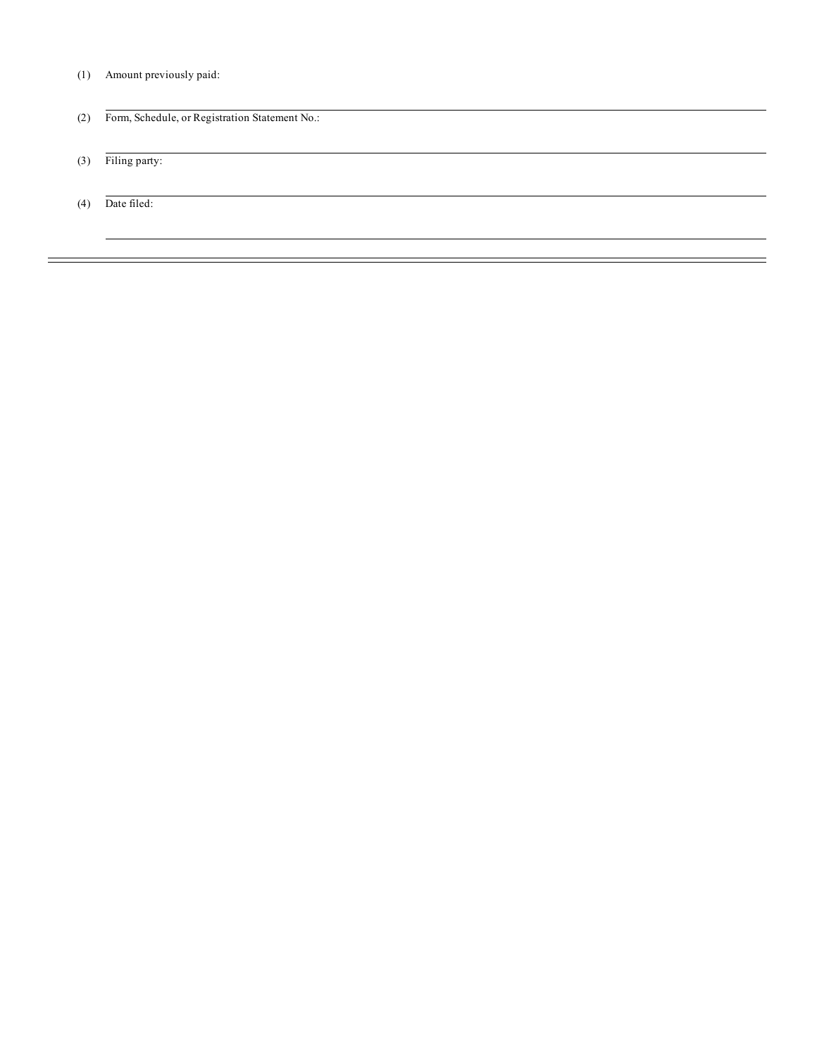(1) Amount previously paid:

| (2) | Form, Schedule, or Registration Statement No.: |
|-----|------------------------------------------------|
| (3) | Filing party:                                  |
| (4) | Date filed:                                    |
|     |                                                |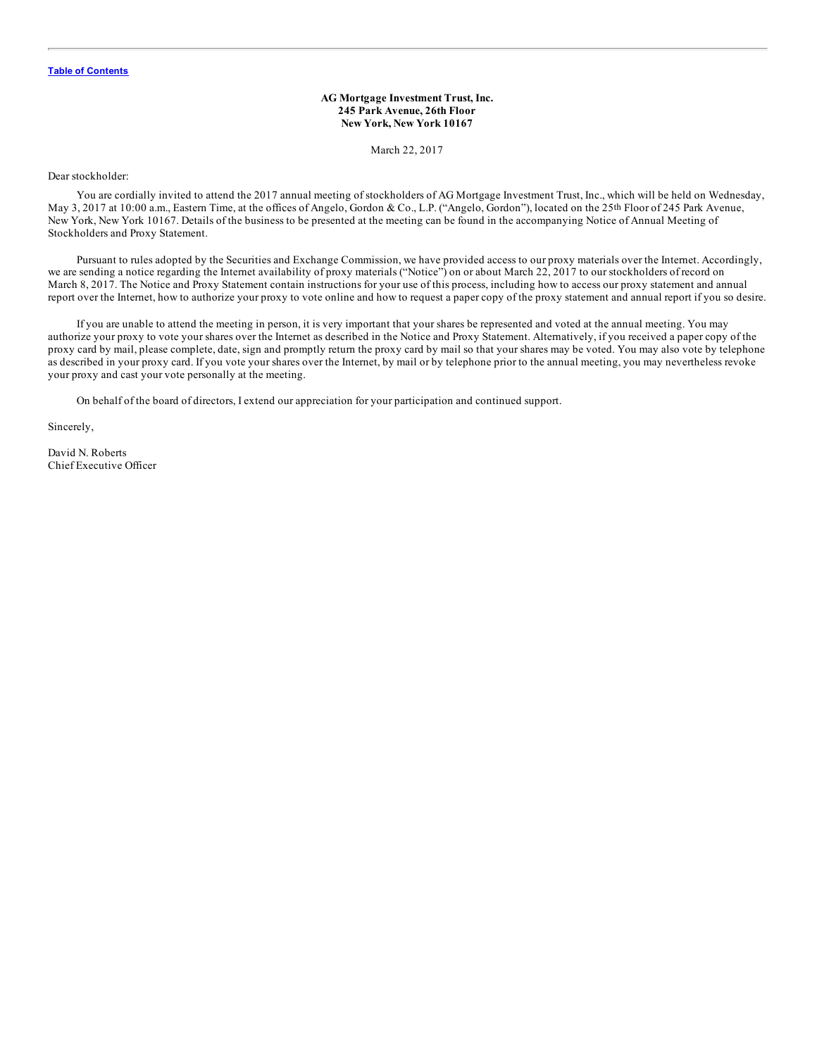### **AG Mortgage Investment Trust, Inc. 245 Park Avenue, 26th Floor New York, New York 10167**

March 22, 2017

Dear stockholder:

You are cordially invited to attend the 2017 annual meeting of stockholders of AG Mortgage Investment Trust, Inc., which will be held on Wednesday, May 3, 2017 at 10:00 a.m., Eastern Time, at the offices of Angelo, Gordon & Co., L.P. ("Angelo, Gordon"), located on the 25<sup>th</sup> Floor of 245 Park Avenue, New York, New York 10167. Details of the business to be presented at the meeting can be found in the accompanying Notice of Annual Meeting of Stockholders and Proxy Statement.

Pursuant to rules adopted by the Securities and Exchange Commission, we have provided access to our proxy materials over the Internet. Accordingly, we are sending a notice regarding the Internet availability of proxy materials ("Notice") on or about March 22, 2017 to our stockholders of record on March 8, 2017. The Notice and Proxy Statement contain instructions for your use of this process, including how to access our proxy statement and annual report over the Internet, how to authorize your proxy to vote online and how to request a paper copy of the proxy statement and annual report if you so desire.

If you are unable to attend the meeting in person, it is very important that your shares be represented and voted at the annual meeting. You may authorize your proxy to vote your shares over the Internet as described in the Notice and Proxy Statement. Alternatively, if you received a paper copy of the proxy card by mail, please complete, date, sign and promptly return the proxy card by mail so that your shares may be voted. You may also vote by telephone as described in your proxy card. If you vote your shares over the Internet, by mail or by telephone prior to the annual meeting, you may nevertheless revoke your proxy and cast your vote personally at the meeting.

On behalf of the board of directors, I extend our appreciation for your participation and continued support.

Sincerely,

David N. Roberts Chief Executive Officer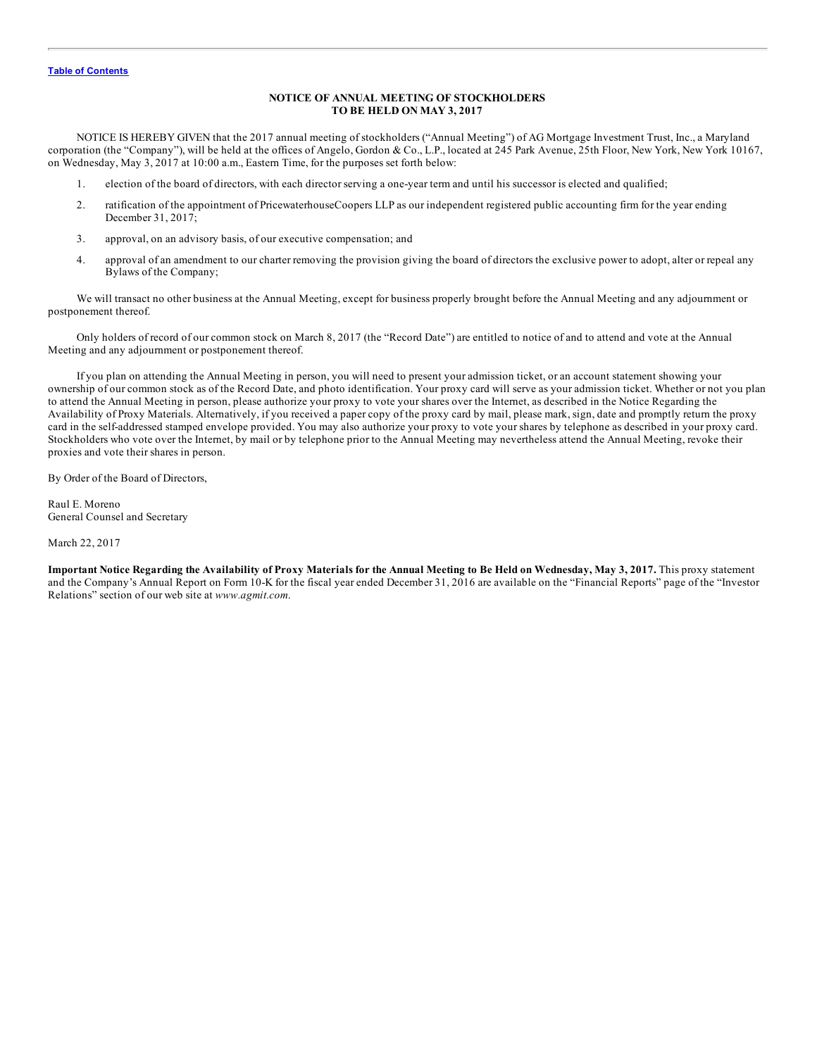### **NOTICE OF ANNUAL MEETING OF STOCKHOLDERS TO BE HELD ON MAY 3, 2017**

NOTICE IS HEREBY GIVEN that the 2017 annual meeting of stockholders ("Annual Meeting") of AG Mortgage Investment Trust, Inc., a Maryland corporation (the "Company"), will be held at the offices of Angelo, Gordon & Co., L.P., located at 245 Park Avenue, 25th Floor, New York, New York 10167, on Wednesday, May 3, 2017 at 10:00 a.m., Eastern Time, for the purposes set forth below:

- 1. election of the board of directors, with each director serving a one-year term and until his successor is elected and qualified;
- 2. ratification of the appointment of PricewaterhouseCoopers LLP as our independent registered public accounting firm for the year ending December 31, 2017;
- 3. approval, on an advisory basis, of our executive compensation; and
- 4. approval of an amendment to our charter removing the provision giving the board of directors the exclusive power to adopt, alter or repeal any Bylaws of the Company;

We will transact no other business at the Annual Meeting, except for business properly brought before the Annual Meeting and any adjournment or postponement thereof.

Only holders of record of our common stock on March 8, 2017 (the "Record Date") are entitled to notice of and to attend and vote at the Annual Meeting and any adjournment or postponement thereof.

If you plan on attending the Annual Meeting in person, you will need to present your admission ticket, or an account statement showing your ownership of our common stock as of the Record Date, and photo identification. Your proxy card will serve as your admission ticket. Whether or not you plan to attend the Annual Meeting in person, please authorize your proxy to vote your shares over the Internet, as described in the Notice Regarding the Availability of Proxy Materials. Alternatively, if you received a paper copy of the proxy card by mail, please mark, sign, date and promptly return the proxy card in the self-addressed stamped envelope provided. You may also authorize your proxy to vote your shares by telephone as described in your proxy card. Stockholders who vote over the Internet, by mail or by telephone prior to the Annual Meeting may nevertheless attend the Annual Meeting, revoke their proxies and vote their shares in person.

By Order of the Board of Directors,

Raul E. Moreno General Counsel and Secretary

March 22, 2017

Important Notice Regarding the Availability of Proxy Materials for the Annual Meeting to Be Held on Wednesday, May 3, 2017. This proxy statement and the Company's Annual Report on Form 10-K for the fiscal year ended December 31, 2016 are available on the "Financial Reports" page of the "Investor Relations" section of our web site at *www.agmit.com*.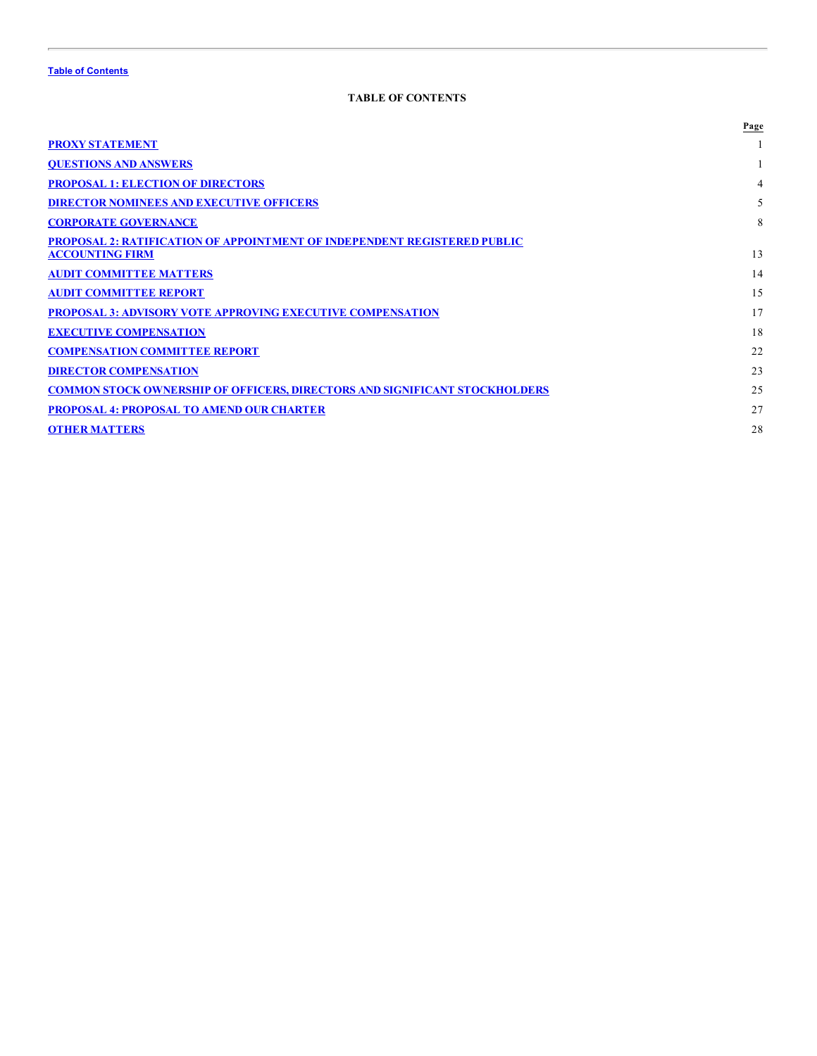### **TABLE OF CONTENTS**

<span id="page-4-0"></span>

|                                                                                   | Page |
|-----------------------------------------------------------------------------------|------|
| <b>PROXY STATEMENT</b>                                                            |      |
| <b>QUESTIONS AND ANSWERS</b>                                                      |      |
| <b>PROPOSAL 1: ELECTION OF DIRECTORS</b>                                          | 4    |
| <b>DIRECTOR NOMINEES AND EXECUTIVE OFFICERS</b>                                   | 5    |
| <b>CORPORATE GOVERNANCE</b>                                                       | 8    |
| <b>PROPOSAL 2: RATIFICATION OF APPOINTMENT OF INDEPENDENT REGISTERED PUBLIC</b>   |      |
| <b>ACCOUNTING FIRM</b>                                                            | 13   |
| <b>AUDIT COMMITTEE MATTERS</b>                                                    | 14   |
| <b>AUDIT COMMITTEE REPORT</b>                                                     | 15   |
| <b>PROPOSAL 3: ADVISORY VOTE APPROVING EXECUTIVE COMPENSATION</b>                 | 17   |
| <b>EXECUTIVE COMPENSATION</b>                                                     | 18   |
| <b>COMPENSATION COMMITTEE REPORT</b>                                              | 22   |
| <b>DIRECTOR COMPENSATION</b>                                                      | 23   |
| <b>COMMON STOCK OWNERSHIP OF OFFICERS, DIRECTORS AND SIGNIFICANT STOCKHOLDERS</b> | 25   |
| <b>PROPOSAL 4: PROPOSAL TO AMEND OUR CHARTER</b>                                  | 27   |
| <b>OTHER MATTERS</b>                                                              | 28   |
|                                                                                   |      |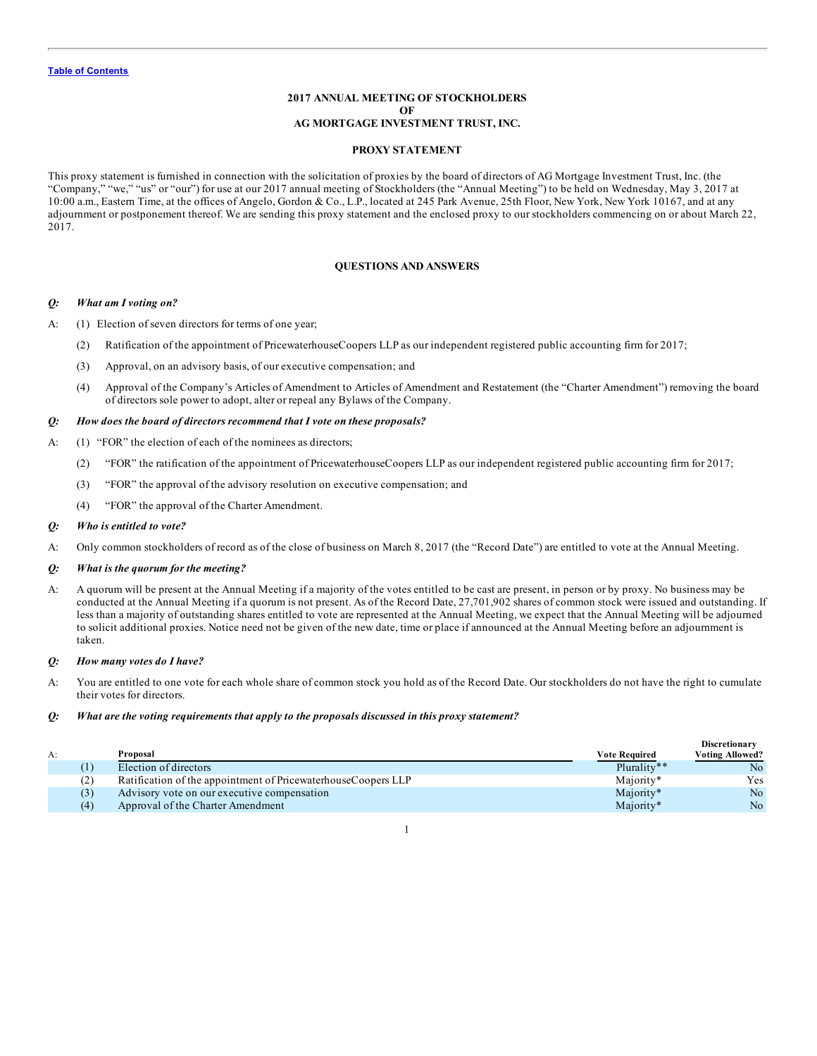### **2017 ANNUAL MEETING OF STOCKHOLDERS OF AG MORTGAGE INVESTMENT TRUST, INC.**

#### **PROXY STATEMENT**

<span id="page-5-0"></span>This proxy statement is furnished in connection with the solicitation of proxies by the board of directors of AG Mortgage Investment Trust, Inc. (the "Company," "we," "us" or "our") for use at our 2017 annual meeting of Stockholders (the "Annual Meeting") to be held on Wednesday, May 3, 2017 at 10:00 a.m., Eastern Time, at the offices of Angelo, Gordon & Co., L.P., located at 245 Park Avenue, 25th Floor, New York, New York 10167, and at any adjournment or postponement thereof. We are sending this proxy statement and the enclosed proxy to our stockholders commencing on or about March 22, 2017.

#### **QUESTIONS AND ANSWERS**

### *Q: What am I voting on?*

- A: (1) Election of seven directors for terms of one year;
	- (2) Ratification of the appointment of PricewaterhouseCoopers LLP as our independent registered public accounting firm for 2017;
	- (3) Approval, on an advisory basis, of our executive compensation; and
	- (4) Approval of the Company's Articles of Amendment to Articles of Amendment and Restatement (the "Charter Amendment") removing the board of directors sole power to adopt, alter or repeal any Bylaws of the Company.

#### *Q: How does the board of directors recommend that I vote on these proposals?*

- A: (1) "FOR" the election of each of the nominees as directors;
	- (2) "FOR" the ratification of the appointment of PricewaterhouseCoopers LLP as our independent registered public accounting firm for 2017;
	- (3) "FOR" the approval of the advisory resolution on executive compensation; and
	- (4) "FOR" the approval of the Charter Amendment.

### *Q: Who is entitled to vote?*

A: Only common stockholders of record as of the close of business on March 8, 2017 (the "Record Date") are entitled to vote at the Annual Meeting.

#### *Q: What is the quorum for the meeting?*

A: A quorum will be present at the Annual Meeting if a majority of the votes entitled to be cast are present, in person or by proxy. No business may be conducted at the Annual Meeting if a quorum is not present. As of the Record Date, 27,701,902 shares of common stock were issued and outstanding. If less than a majority of outstanding shares entitled to vote are represented at the Annual Meeting, we expect that the Annual Meeting will be adjourned to solicit additional proxies. Notice need not be given of the new date, time or place if announced at the Annual Meeting before an adjournment is taken.

### *Q: How many votes do I have?*

A: You are entitled to one vote for each whole share of common stock you hold as of the Record Date. Our stockholders do not have the right to cumulate their votes for directors.

#### *Q: What are the voting requirements that apply to the proposals discussed in this proxy statement?*

|    |                  |                                                               |               | <b>Discretionary</b>   |
|----|------------------|---------------------------------------------------------------|---------------|------------------------|
| A: |                  | Proposal                                                      | Vote Required | <b>Voting Allowed?</b> |
|    | $\left(1\right)$ | Election of directors                                         | Plurality**   | No                     |
|    | (2)              | Ratification of the appointment of PricewaterhouseCoopers LLP | Majority*     | Yes                    |
|    | (3)              | Advisory vote on our executive compensation                   | Majority*     | No.                    |
|    | (4)              | Approval of the Charter Amendment                             | Majority*     | No.                    |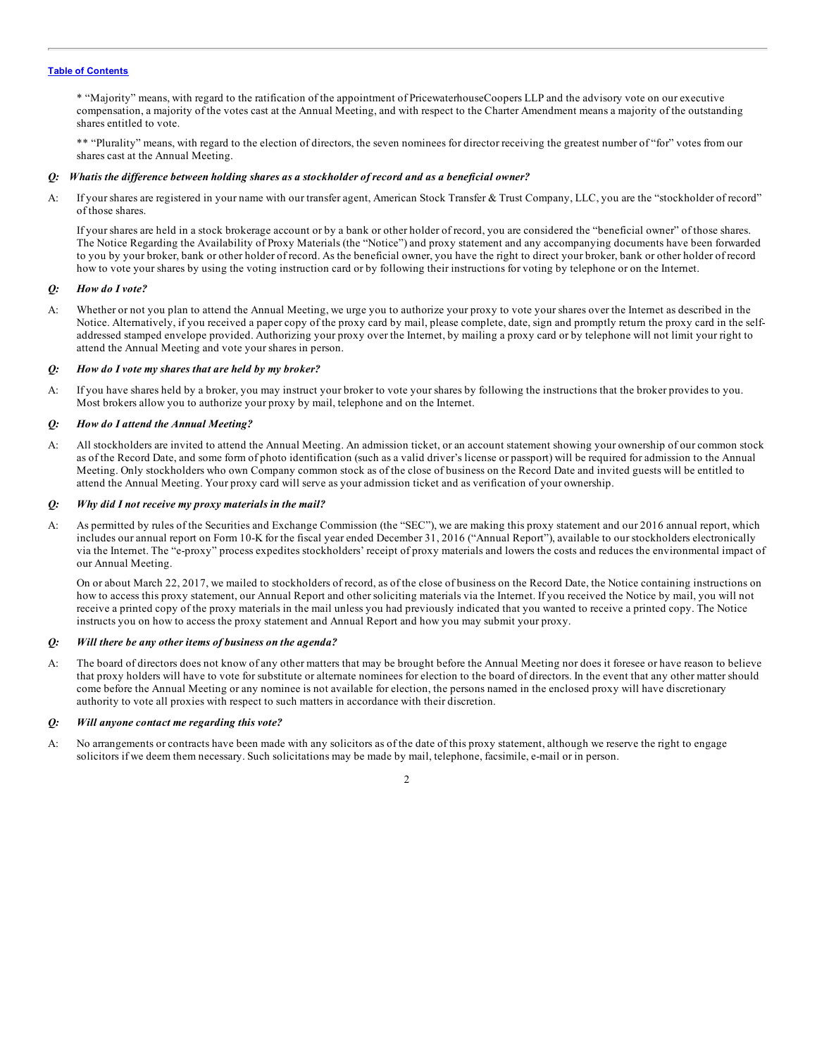\* "Majority" means, with regard to the ratification of the appointment of PricewaterhouseCoopers LLP and the advisory vote on our executive compensation, a majority of the votes cast at the Annual Meeting, and with respect to the Charter Amendment means a majority of the outstanding shares entitled to vote.

\*\* "Plurality" means, with regard to the election of directors, the seven nominees for director receiving the greatest number of "for" votes from our shares cast at the Annual Meeting.

### Q: Whatis the difference between holding shares as a stockholder of record and as a beneficial owner?

A: If your shares are registered in your name with our transfer agent, American Stock Transfer & Trust Company, LLC, you are the "stockholder of record" of those shares.

If your shares are held in a stock brokerage account or by a bank or other holder of record, you are considered the "beneficial owner" of those shares. The Notice Regarding the Availability of Proxy Materials (the "Notice") and proxy statement and any accompanying documents have been forwarded to you by your broker, bank or other holder of record. As the beneficial owner, you have the right to direct your broker, bank or other holder of record how to vote your shares by using the voting instruction card or by following their instructions for voting by telephone or on the Internet.

### *Q: How do I vote?*

A: Whether or not you plan to attend the Annual Meeting, we urge you to authorize your proxy to vote your shares over the Internet as described in the Notice. Alternatively, if you received a paper copy of the proxy card by mail, please complete, date, sign and promptly return the proxy card in the selfaddressed stamped envelope provided. Authorizing your proxy over the Internet, by mailing a proxy card or by telephone will not limit your right to attend the Annual Meeting and vote your shares in person.

### *Q: How do I vote my shares that are held by my broker?*

A: If you have shares held by a broker, you may instruct your broker to vote your shares by following the instructions that the broker provides to you. Most brokers allow you to authorize your proxy by mail, telephone and on the Internet.

#### *Q: How do I attend the Annual Meeting?*

A: All stockholders are invited to attend the Annual Meeting. An admission ticket, or an account statement showing your ownership of our common stock as of the Record Date, and some form of photo identification (such as a valid driver's license or passport) will be required for admission to the Annual Meeting. Only stockholders who own Company common stock as of the close of business on the Record Date and invited guests will be entitled to attend the Annual Meeting. Your proxy card will serve as your admission ticket and as verification of your ownership.

### *Q: Why did I not receive my proxy materials in the mail?*

A: As permitted by rules of the Securities and Exchange Commission (the "SEC"), we are making this proxy statement and our 2016 annual report, which includes our annual report on Form 10-K for the fiscal year ended December 31, 2016 ("Annual Report"), available to our stockholders electronically via the Internet. The "e-proxy" process expedites stockholders' receipt of proxy materials and lowers the costs and reduces the environmental impact of our Annual Meeting.

On or about March 22, 2017, we mailed to stockholders of record, as of the close of business on the Record Date, the Notice containing instructions on how to access this proxy statement, our Annual Report and other soliciting materials via the Internet. If you received the Notice by mail, you will not receive a printed copy of the proxy materials in the mail unless you had previously indicated that you wanted to receive a printed copy. The Notice instructs you on how to access the proxy statement and Annual Report and how you may submit your proxy.

### *Q: Will there be any other items of business on the agenda?*

A: The board of directors does not know of any other matters that may be brought before the Annual Meeting nor does it foresee or have reason to believe that proxy holders will have to vote for substitute or alternate nominees for election to the board of directors. In the event that any other matter should come before the Annual Meeting or any nominee is not available for election, the persons named in the enclosed proxy will have discretionary authority to vote all proxies with respect to such matters in accordance with their discretion.

### *Q: Will anyone contact me regarding this vote?*

A: No arrangements or contracts have been made with any solicitors as of the date of this proxy statement, although we reserve the right to engage solicitors if we deem them necessary. Such solicitations may be made by mail, telephone, facsimile, e-mail or in person.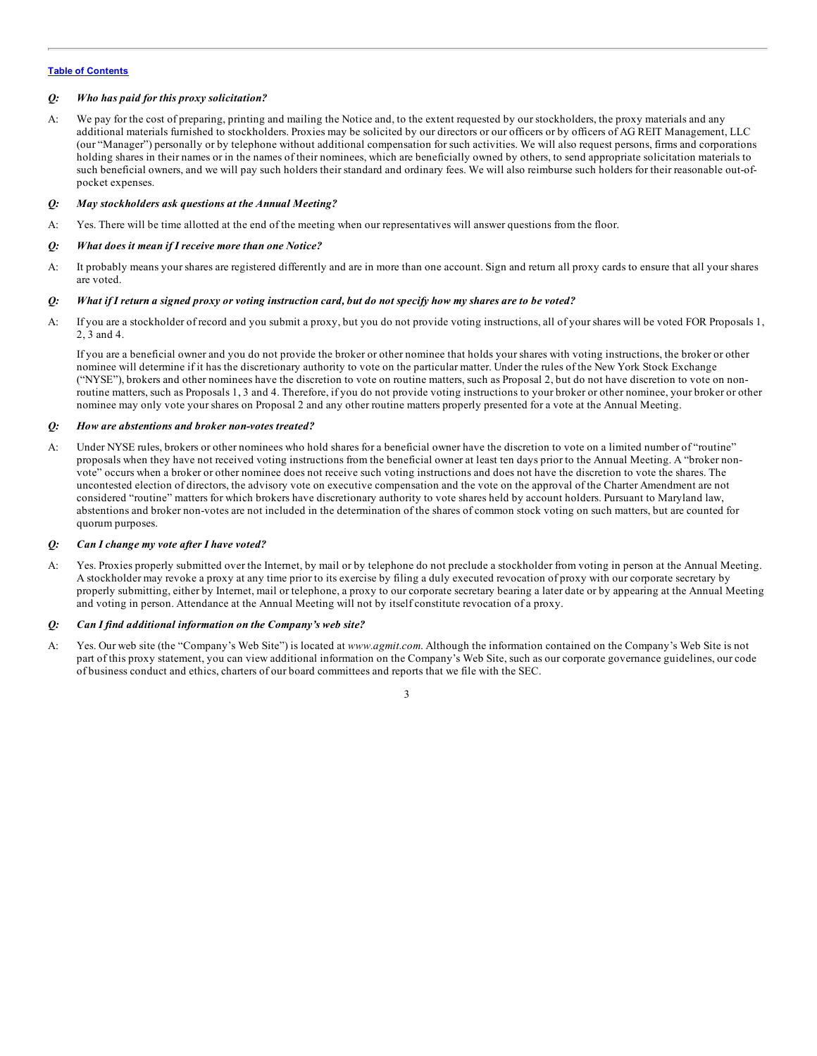### *Q: Who has paid for this proxy solicitation?*

A: We pay for the cost of preparing, printing and mailing the Notice and, to the extent requested by our stockholders, the proxy materials and any additional materials furnished to stockholders. Proxies may be solicited by our directors or our officers or by officers of AG REIT Management, LLC (our "Manager") personally or by telephone without additional compensation for such activities. We will also request persons, firms and corporations holding shares in their names or in the names of their nominees, which are beneficially owned by others, to send appropriate solicitation materials to such beneficial owners, and we will pay such holders their standard and ordinary fees. We will also reimburse such holders for their reasonable out-ofpocket expenses.

### *Q: May stockholders ask questions at the Annual Meeting?*

A: Yes. There will be time allotted at the end of the meeting when our representatives will answer questions from the floor.

### *Q: What does it mean if I receive more than one Notice?*

A: It probably means your shares are registered differently and are in more than one account. Sign and return all proxy cards to ensure that all your shares are voted.

### Q: What if I return a signed proxy or voting instruction card, but do not specify how my shares are to be voted?

A: If you are a stockholder of record and you submit a proxy, but you do not provide voting instructions, all of your shares will be voted FOR Proposals 1, 2, 3 and 4.

If you are a beneficial owner and you do not provide the broker or other nominee that holds your shares with voting instructions, the broker or other nominee will determine if it has the discretionary authority to vote on the particular matter. Under the rules of the New York Stock Exchange ("NYSE"), brokers and other nominees have the discretion to vote on routine matters, such as Proposal 2, but do not have discretion to vote on nonroutine matters, such as Proposals 1, 3 and 4. Therefore, if you do not provide voting instructions to your broker or other nominee, your broker or other nominee may only vote your shares on Proposal 2 and any other routine matters properly presented for a vote at the Annual Meeting.

### *Q: How are abstentions and broker non-votes treated?*

A: Under NYSE rules, brokers or other nominees who hold shares for a beneficial owner have the discretion to vote on a limited number of "routine" proposals when they have not received voting instructions from the beneficial owner at least ten days prior to the Annual Meeting. A "broker nonvote" occurs when a broker or other nominee does not receive such voting instructions and does not have the discretion to vote the shares. The uncontested election of directors, the advisory vote on executive compensation and the vote on the approval of the Charter Amendment are not considered "routine" matters for which brokers have discretionary authority to vote shares held by account holders. Pursuant to Maryland law, abstentions and broker non-votes are not included in the determination of the shares of common stock voting on such matters, but are counted for quorum purposes.

### *Q: Can I change my vote after I have voted?*

A: Yes. Proxies properly submitted over the Internet, by mail or by telephone do not preclude a stockholder from voting in person at the Annual Meeting. A stockholder may revoke a proxy at any time prior to its exercise by filing a duly executed revocation of proxy with our corporate secretary by properly submitting, either by Internet, mail or telephone, a proxy to our corporate secretary bearing a later date or by appearing at the Annual Meeting and voting in person. Attendance at the Annual Meeting will not by itself constitute revocation of a proxy.

### *Q: Can I find additional information on the Company's web site?*

A: Yes. Our web site (the "Company's Web Site") is located at *www.agmit.com*. Although the information contained on the Company's Web Site is not part of this proxy statement, you can view additional information on the Company's Web Site, such as our corporate governance guidelines, our code of business conduct and ethics, charters of our board committees and reports that we file with the SEC.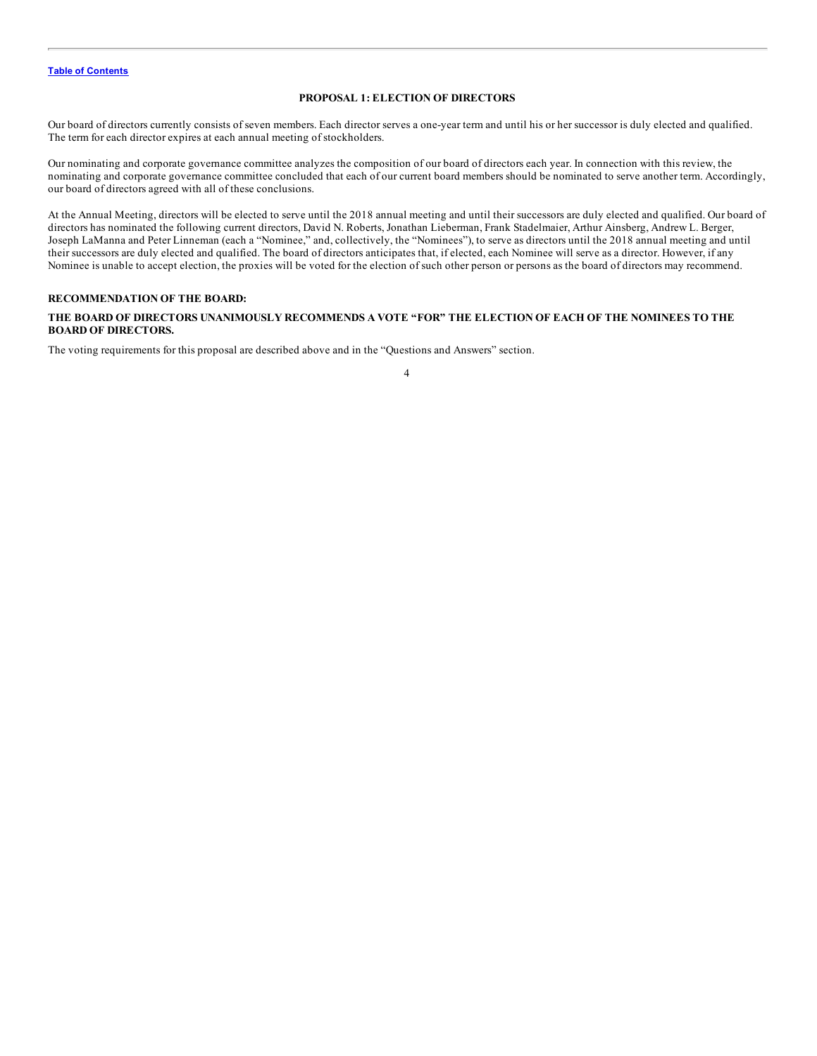### **PROPOSAL 1: ELECTION OF DIRECTORS**

<span id="page-8-0"></span>Our board of directors currently consists of seven members. Each director serves a one-year term and until his or her successor is duly elected and qualified. The term for each director expires at each annual meeting of stockholders.

Our nominating and corporate governance committee analyzes the composition of our board of directors each year. In connection with this review, the nominating and corporate governance committee concluded that each of our current board members should be nominated to serve another term. Accordingly, our board of directors agreed with all of these conclusions.

At the Annual Meeting, directors will be elected to serve until the 2018 annual meeting and until their successors are duly elected and qualified. Our board of directors has nominated the following current directors, David N. Roberts, Jonathan Lieberman, Frank Stadelmaier, Arthur Ainsberg, Andrew L. Berger, Joseph LaManna and Peter Linneman (each a "Nominee," and, collectively, the "Nominees"), to serve as directors until the 2018 annual meeting and until their successors are duly elected and qualified. The board of directors anticipates that, if elected, each Nominee will serve as a director. However, if any Nominee is unable to accept election, the proxies will be voted for the election of such other person or persons as the board of directors may recommend.

### **RECOMMENDATION OF THE BOARD:**

### THE BOARD OF DIRECTORS UNANIMOUSLY RECOMMENDS A VOTE "FOR" THE ELECTION OF EACH OF THE NOMINEES TO THE **BOARD OF DIRECTORS.**

The voting requirements for this proposal are described above and in the "Questions and Answers" section.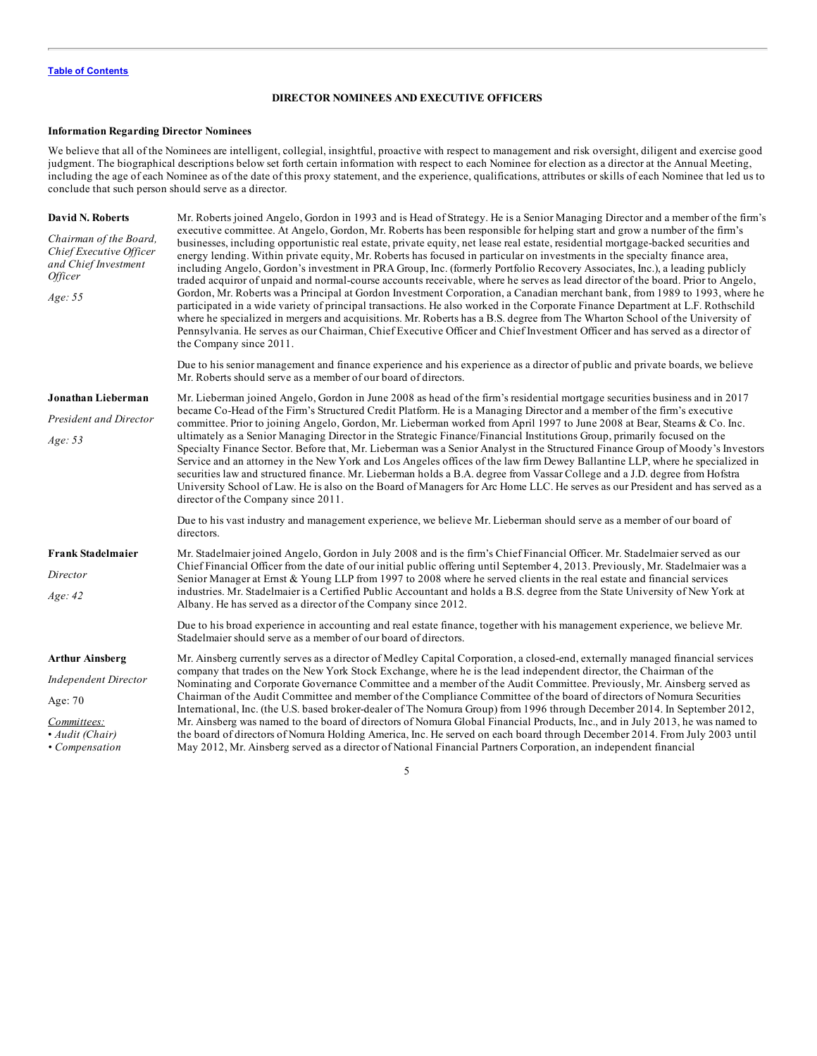### **DIRECTOR NOMINEES AND EXECUTIVE OFFICERS**

### <span id="page-9-0"></span>**Information Regarding Director Nominees**

We believe that all of the Nominees are intelligent, collegial, insightful, proactive with respect to management and risk oversight, diligent and exercise good judgment. The biographical descriptions below set forth certain information with respect to each Nominee for election as a director at the Annual Meeting, including the age of each Nominee as of the date of this proxy statement, and the experience, qualifications, attributes or skills of each Nominee that led us to conclude that such person should serve as a director.

| David N. Roberts<br>Chairman of the Board,<br>Chief Executive Officer<br>and Chief Investment<br><i><b>Officer</b></i><br>Age: 55 | Mr. Roberts joined Angelo, Gordon in 1993 and is Head of Strategy. He is a Senior Managing Director and a member of the firm's<br>executive committee. At Angelo, Gordon, Mr. Roberts has been responsible for helping start and grow a number of the firm's<br>businesses, including opportunistic real estate, private equity, net lease real estate, residential mortgage-backed securities and<br>energy lending. Within private equity, Mr. Roberts has focused in particular on investments in the specialty finance area,<br>including Angelo, Gordon's investment in PRA Group, Inc. (formerly Portfolio Recovery Associates, Inc.), a leading publicly<br>traded acquiror of unpaid and normal-course accounts receivable, where he serves as lead director of the board. Prior to Angelo,<br>Gordon, Mr. Roberts was a Principal at Gordon Investment Corporation, a Canadian merchant bank, from 1989 to 1993, where he<br>participated in a wide variety of principal transactions. He also worked in the Corporate Finance Department at L.F. Rothschild<br>where he specialized in mergers and acquisitions. Mr. Roberts has a B.S. degree from The Wharton School of the University of<br>Pennsylvania. He serves as our Chairman, Chief Executive Officer and Chief Investment Officer and has served as a director of<br>the Company since 2011. |
|-----------------------------------------------------------------------------------------------------------------------------------|-------------------------------------------------------------------------------------------------------------------------------------------------------------------------------------------------------------------------------------------------------------------------------------------------------------------------------------------------------------------------------------------------------------------------------------------------------------------------------------------------------------------------------------------------------------------------------------------------------------------------------------------------------------------------------------------------------------------------------------------------------------------------------------------------------------------------------------------------------------------------------------------------------------------------------------------------------------------------------------------------------------------------------------------------------------------------------------------------------------------------------------------------------------------------------------------------------------------------------------------------------------------------------------------------------------------------------------------------------------------|
|                                                                                                                                   | Due to his senior management and finance experience and his experience as a director of public and private boards, we believe<br>Mr. Roberts should serve as a member of our board of directors.                                                                                                                                                                                                                                                                                                                                                                                                                                                                                                                                                                                                                                                                                                                                                                                                                                                                                                                                                                                                                                                                                                                                                                  |
| Jonathan Lieberman<br><b>President and Director</b><br>Age: 53                                                                    | Mr. Lieberman joined Angelo, Gordon in June 2008 as head of the firm's residential mortgage securities business and in 2017<br>became Co-Head of the Firm's Structured Credit Platform. He is a Managing Director and a member of the firm's executive<br>committee. Prior to joining Angelo, Gordon, Mr. Lieberman worked from April 1997 to June 2008 at Bear, Stearns & Co. Inc.<br>ultimately as a Senior Managing Director in the Strategic Finance/Financial Institutions Group, primarily focused on the<br>Specialty Finance Sector. Before that, Mr. Lieberman was a Senior Analyst in the Structured Finance Group of Moody's Investors<br>Service and an attorney in the New York and Los Angeles offices of the law firm Dewey Ballantine LLP, where he specialized in<br>securities law and structured finance. Mr. Lieberman holds a B.A. degree from Vassar College and a J.D. degree from Hofstra<br>University School of Law. He is also on the Board of Managers for Arc Home LLC. He serves as our President and has served as a<br>director of the Company since 2011.                                                                                                                                                                                                                                                                        |
|                                                                                                                                   | Due to his vast industry and management experience, we believe Mr. Lieberman should serve as a member of our board of<br>directors.                                                                                                                                                                                                                                                                                                                                                                                                                                                                                                                                                                                                                                                                                                                                                                                                                                                                                                                                                                                                                                                                                                                                                                                                                               |
| <b>Frank Stadelmaier</b><br>Director<br>Age: 42                                                                                   | Mr. Stadelmaier joined Angelo, Gordon in July 2008 and is the firm's Chief Financial Officer. Mr. Stadelmaier served as our<br>Chief Financial Officer from the date of our initial public offering until September 4, 2013. Previously, Mr. Stadelmaier was a<br>Senior Manager at Ernst & Young LLP from 1997 to 2008 where he served clients in the real estate and financial services<br>industries. Mr. Stadelmaier is a Certified Public Accountant and holds a B.S. degree from the State University of New York at<br>Albany. He has served as a director of the Company since 2012.<br>Due to his broad experience in accounting and real estate finance, together with his management experience, we believe Mr.<br>Stadelmaier should serve as a member of our board of directors.                                                                                                                                                                                                                                                                                                                                                                                                                                                                                                                                                                     |
| <b>Arthur Ainsberg</b><br><b>Independent Director</b><br>Age: 70<br>Committees:<br>• Audit (Chair)<br>• Compensation              | Mr. Ainsberg currently serves as a director of Medley Capital Corporation, a closed-end, externally managed financial services<br>company that trades on the New York Stock Exchange, where he is the lead independent director, the Chairman of the<br>Nominating and Corporate Governance Committee and a member of the Audit Committee. Previously, Mr. Ainsberg served as<br>Chairman of the Audit Committee and member of the Compliance Committee of the board of directors of Nomura Securities<br>International, Inc. (the U.S. based broker-dealer of The Nomura Group) from 1996 through December 2014. In September 2012,<br>Mr. Ainsberg was named to the board of directors of Nomura Global Financial Products, Inc., and in July 2013, he was named to<br>the board of directors of Nomura Holding America, Inc. He served on each board through December 2014. From July 2003 until<br>May 2012, Mr. Ainsberg served as a director of National Financial Partners Corporation, an independent financial                                                                                                                                                                                                                                                                                                                                           |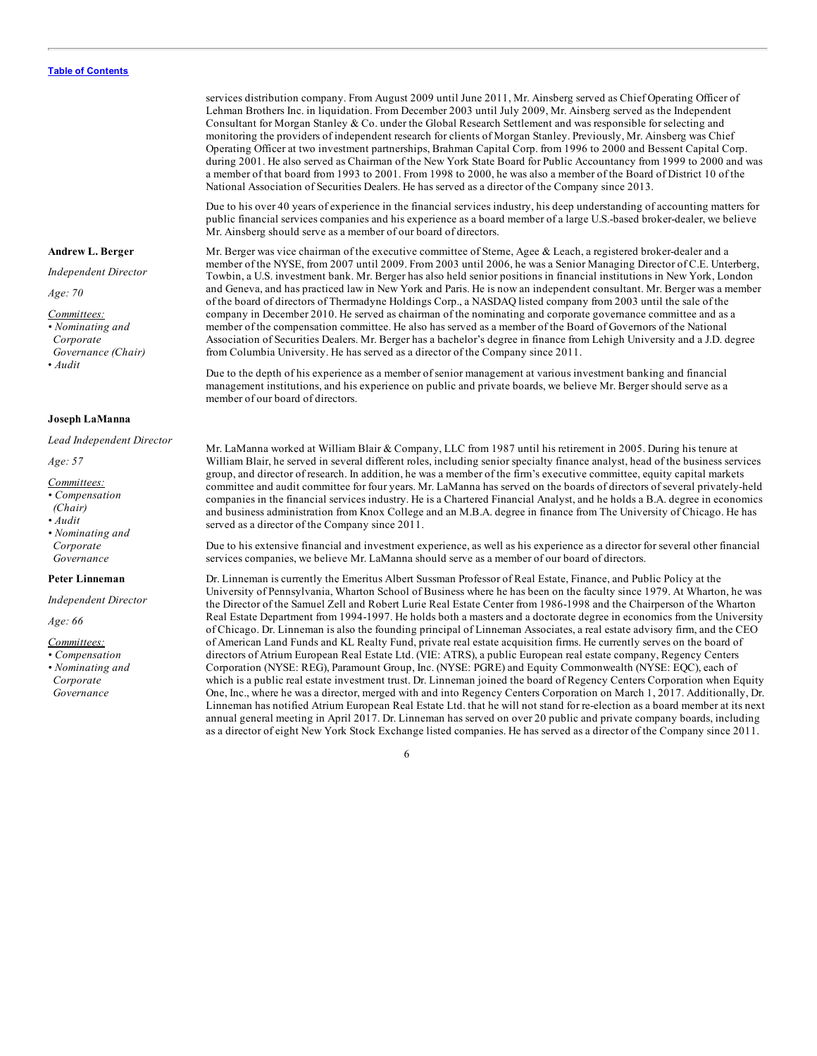**Andrew L. Berger**

*Independent Director*

*Age: 70*

*Committees:*

*• Nominating and Corporate*

*Governance (Chair)*

• *Audit*

### **Joseph LaManna**

*Lead Independent Director*

*Age: 57*

- *Committees:*
- *• Compensation*
- *(Chair)*
- *• Audit*
- *• Nominating and Corporate Governance*

#### **Peter Linneman**

*Independent Director*

*Age: 66*

*Committees:*

*• Compensation • Nominating and Corporate Governance*

services distribution company. From August 2009 until June 2011, Mr. Ainsberg served as Chief Operating Officer of Lehman Brothers Inc. in liquidation. From December 2003 until July 2009, Mr. Ainsberg served as the Independent Consultant for Morgan Stanley & Co. under the Global Research Settlement and was responsible for selecting and monitoring the providers of independent research for clients of Morgan Stanley. Previously, Mr. Ainsberg was Chief Operating Officer at two investment partnerships, Brahman Capital Corp. from 1996 to 2000 and Bessent Capital Corp. during 2001. He also served as Chairman of the New York State Board for Public Accountancy from 1999 to 2000 and was a member of that board from 1993 to 2001. From 1998 to 2000, he was also a member of the Board of District 10 of the National Association of Securities Dealers. He has served as a director of the Company since 2013.

Due to his over 40 years of experience in the financial services industry, his deep understanding of accounting matters for public financial services companies and his experience as a board member of a large U.S.-based broker-dealer, we believe Mr. Ainsberg should serve as a member of our board of directors.

Mr. Berger was vice chairman of the executive committee of Sterne, Agee & Leach, a registered broker-dealer and a member of the NYSE, from 2007 until 2009. From 2003 until 2006, he was a Senior Managing Director of C.E. Unterberg, Towbin, a U.S. investment bank. Mr. Berger has also held senior positions in financial institutions in New York, London and Geneva, and has practiced law in New York and Paris. He is now an independent consultant. Mr. Berger was a member of the board of directors of Thermadyne Holdings Corp., a NASDAQ listed company from 2003 until the sale of the company in December 2010. He served as chairman of the nominating and corporate governance committee and as a member of the compensation committee. He also has served as a member of the Board of Governors of the National Association of Securities Dealers. Mr. Berger has a bachelor's degree in finance from Lehigh University and a J.D. degree from Columbia University. He has served as a director of the Company since 2011.

Due to the depth of his experience as a member of senior management at various investment banking and financial management institutions, and his experience on public and private boards, we believe Mr. Berger should serve as a member of our board of directors.

Mr. LaManna worked at William Blair & Company, LLC from 1987 until his retirement in 2005. During his tenure at William Blair, he served in several different roles, including senior specialty finance analyst, head of the business services group, and director of research. In addition, he was a member of the firm's executive committee, equity capital markets committee and audit committee for four years. Mr. LaManna has served on the boards of directors of several privately-held companies in the financial services industry. He is a Chartered Financial Analyst, and he holds a B.A. degree in economics and business administration from Knox College and an M.B.A. degree in finance from The University of Chicago. He has served as a director of the Company since 2011.

Due to his extensive financial and investment experience, as well as his experience as a director for several other financial services companies, we believe Mr. LaManna should serve as a member of our board of directors.

Dr. Linneman is currently the Emeritus Albert Sussman Professor of Real Estate, Finance, and Public Policy at the University of Pennsylvania, Wharton School of Business where he has been on the faculty since 1979. At Wharton, he was the Director of the Samuel Zell and Robert Lurie Real Estate Center from 1986-1998 and the Chairperson of the Wharton Real Estate Department from 1994-1997. He holds both a masters and a doctorate degree in economics from the University of Chicago. Dr. Linneman is also the founding principal of Linneman Associates, a real estate advisory firm, and the CEO of American Land Funds and KL Realty Fund, private real estate acquisition firms. He currently serves on the board of directors of Atrium European Real Estate Ltd. (VIE: ATRS), a public European real estate company, Regency Centers Corporation (NYSE: REG), Paramount Group, Inc. (NYSE: PGRE) and Equity Commonwealth (NYSE: EQC), each of which is a public real estate investment trust. Dr. Linneman joined the board of Regency Centers Corporation when Equity One, Inc., where he was a director, merged with and into Regency Centers Corporation on March 1, 2017. Additionally, Dr. Linneman has notified Atrium European Real Estate Ltd. that he will not stand for re-election as a board member at its next annual general meeting in April 2017. Dr. Linneman has served on over 20 public and private company boards, including as a director of eight New York Stock Exchange listed companies. He has served as a director of the Company since 2011.

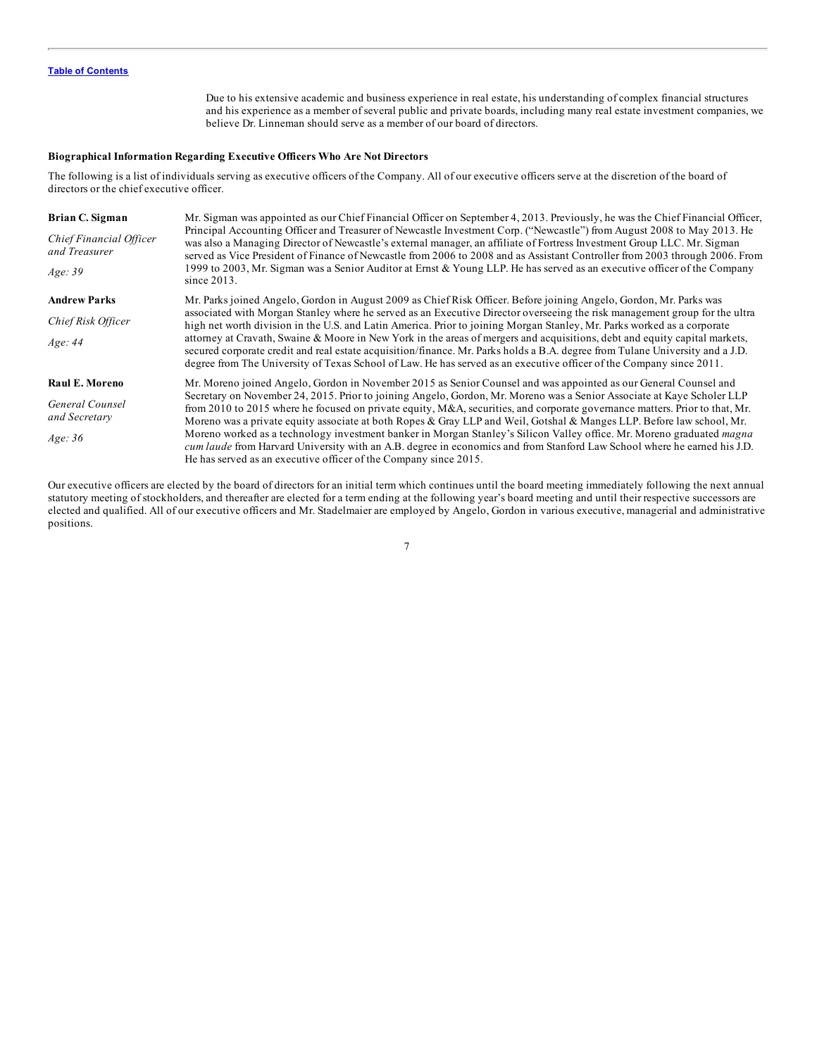Due to his extensive academic and business experience in real estate, his understanding of complex financial structures and his experience as a member of several public and private boards, including many real estate investment companies, we believe Dr. Linneman should serve as a member of our board of directors.

### **Biographical Information Regarding Executive Officers Who Are Not Directors**

The following is a list of individuals serving as executive officers of the Company. All of our executive officers serve at the discretion of the board of directors or the chief executive officer.

| Brian C. Sigman<br><b>Chief Financial Officer</b><br>and Treasurer<br>Age:39 | Mr. Sigman was appointed as our Chief Financial Officer on September 4, 2013. Previously, he was the Chief Financial Officer,<br>Principal Accounting Officer and Treasurer of Newcastle Investment Corp. ("Newcastle") from August 2008 to May 2013. He<br>was also a Managing Director of Newcastle's external manager, an affiliate of Fortress Investment Group LLC. Mr. Sigman<br>served as Vice President of Finance of Newcastle from 2006 to 2008 and as Assistant Controller from 2003 through 2006. From<br>1999 to 2003, Mr. Sigman was a Senior Auditor at Ernst & Young LLP. He has served as an executive officer of the Company<br>since $2013$ .                                                                                                                                                            |
|------------------------------------------------------------------------------|-----------------------------------------------------------------------------------------------------------------------------------------------------------------------------------------------------------------------------------------------------------------------------------------------------------------------------------------------------------------------------------------------------------------------------------------------------------------------------------------------------------------------------------------------------------------------------------------------------------------------------------------------------------------------------------------------------------------------------------------------------------------------------------------------------------------------------|
| <b>Andrew Parks</b>                                                          | Mr. Parks joined Angelo, Gordon in August 2009 as Chief Risk Officer. Before joining Angelo, Gordon, Mr. Parks was                                                                                                                                                                                                                                                                                                                                                                                                                                                                                                                                                                                                                                                                                                          |
| Chief Risk Officer<br>Age:44                                                 | associated with Morgan Stanley where he served as an Executive Director overseeing the risk management group for the ultra<br>high net worth division in the U.S. and Latin America. Prior to joining Morgan Stanley, Mr. Parks worked as a corporate<br>attorney at Cravath, Swaine & Moore in New York in the areas of mergers and acquisitions, debt and equity capital markets,<br>secured corporate credit and real estate acquisition/finance. Mr. Parks holds a B.A. degree from Tulane University and a J.D.<br>degree from The University of Texas School of Law. He has served as an executive officer of the Company since 2011.                                                                                                                                                                                 |
| Raul E. Moreno<br>General Counsel<br>and Secretary<br>Age: 36                | Mr. Moreno joined Angelo, Gordon in November 2015 as Senior Counsel and was appointed as our General Counsel and<br>Secretary on November 24, 2015. Prior to joining Angelo, Gordon, Mr. Moreno was a Senior Associate at Kaye Scholer LLP<br>from 2010 to 2015 where he focused on private equity, M&A, securities, and corporate governance matters. Prior to that, Mr.<br>Moreno was a private equity associate at both Ropes & Gray LLP and Weil, Gotshal & Manges LLP. Before law school, Mr.<br>Moreno worked as a technology investment banker in Morgan Stanley's Silicon Valley office. Mr. Moreno graduated magna<br>cum laude from Harvard University with an A.B. degree in economics and from Stanford Law School where he earned his J.D.<br>He has served as an executive officer of the Company since 2015. |

Our executive officers are elected by the board of directors for an initial term which continues until the board meeting immediately following the next annual statutory meeting of stockholders, and thereafter are elected for a term ending at the following year's board meeting and until their respective successors are elected and qualified. All of our executive officers and Mr. Stadelmaier are employed by Angelo, Gordon in various executive, managerial and administrative positions.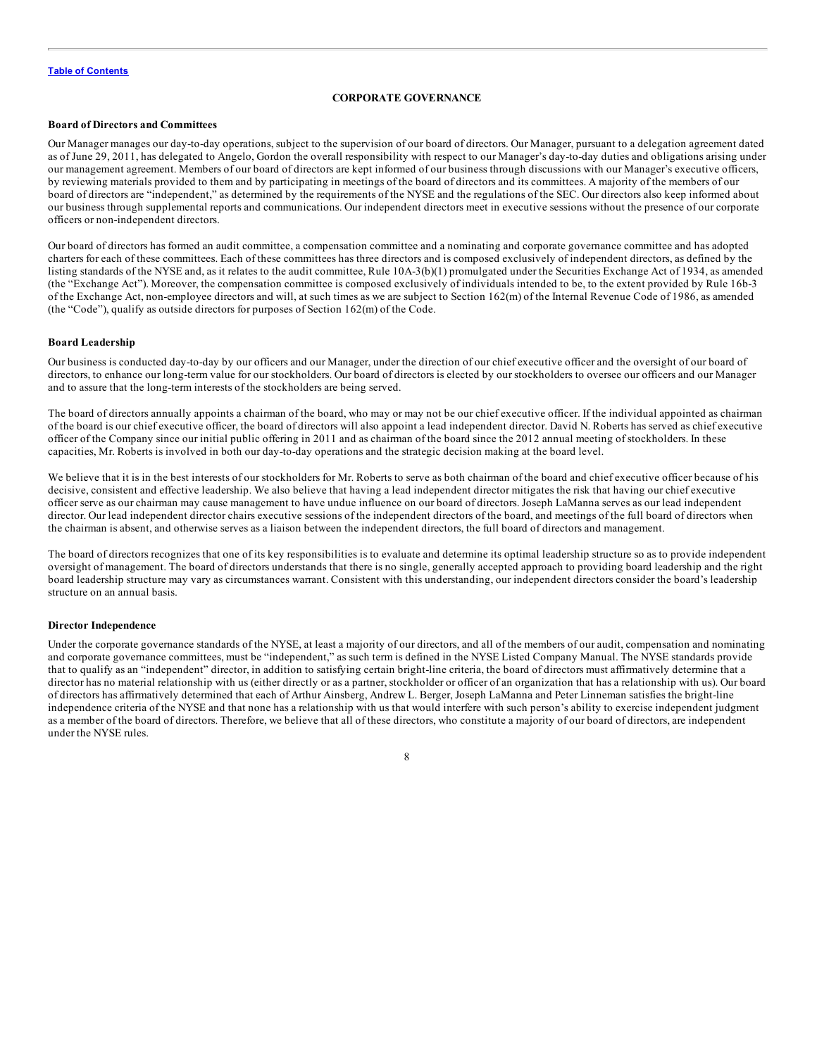### **CORPORATE GOVERNANCE**

### <span id="page-12-0"></span>**Board of Directors and Committees**

Our Manager manages our day-to-day operations, subject to the supervision of our board of directors. Our Manager, pursuant to a delegation agreement dated as of June 29, 2011, has delegated to Angelo, Gordon the overall responsibility with respect to our Manager's day-to-day duties and obligations arising under our management agreement. Members of our board of directors are kept informed of our business through discussions with our Manager's executive officers, by reviewing materials provided to them and by participating in meetings of the board of directors and its committees. A majority of the members of our board of directors are "independent," as determined by the requirements of the NYSE and the regulations of the SEC. Our directors also keep informed about our business through supplemental reports and communications. Our independent directors meet in executive sessions without the presence of our corporate officers or non-independent directors.

Our board of directors has formed an audit committee, a compensation committee and a nominating and corporate governance committee and has adopted charters for each of these committees. Each of these committees has three directors and is composed exclusively of independent directors, as defined by the listing standards of the NYSE and, as it relates to the audit committee, Rule 10A-3(b)(1) promulgated under the Securities Exchange Act of 1934, as amended (the "Exchange Act"). Moreover, the compensation committee is composed exclusively of individuals intended to be, to the extent provided by Rule 16b-3 of the Exchange Act, non-employee directors and will, at such times as we are subject to Section 162(m) of the Internal Revenue Code of 1986, as amended (the "Code"), qualify as outside directors for purposes of Section 162(m) of the Code.

### **Board Leadership**

Our business is conducted day-to-day by our officers and our Manager, under the direction of our chief executive officer and the oversight of our board of directors, to enhance our long-term value for our stockholders. Our board of directors is elected by our stockholders to oversee our officers and our Manager and to assure that the long-term interests of the stockholders are being served.

The board of directors annually appoints a chairman of the board, who may or may not be our chief executive officer. If the individual appointed as chairman of the board is our chief executive officer, the board of directors will also appoint a lead independent director. David N. Roberts has served as chief executive officer of the Company since our initial public offering in 2011 and as chairman of the board since the 2012 annual meeting of stockholders. In these capacities, Mr. Roberts is involved in both our day-to-day operations and the strategic decision making at the board level.

We believe that it is in the best interests of our stockholders for Mr. Roberts to serve as both chairman of the board and chief executive officer because of his decisive, consistent and effective leadership. We also believe that having a lead independent director mitigates the risk that having our chief executive officer serve as our chairman may cause management to have undue influence on our board of directors. Joseph LaManna serves as our lead independent director. Our lead independent director chairs executive sessions of the independent directors of the board, and meetings of the full board of directors when the chairman is absent, and otherwise serves as a liaison between the independent directors, the full board of directors and management.

The board of directors recognizes that one of its key responsibilities is to evaluate and determine its optimal leadership structure so as to provide independent oversight of management. The board of directors understands that there is no single, generally accepted approach to providing board leadership and the right board leadership structure may vary as circumstances warrant. Consistent with this understanding, our independent directors consider the board's leadership structure on an annual basis.

#### **Director Independence**

Under the corporate governance standards of the NYSE, at least a majority of our directors, and all of the members of our audit, compensation and nominating and corporate governance committees, must be "independent," as such term is defined in the NYSE Listed Company Manual. The NYSE standards provide that to qualify as an "independent" director, in addition to satisfying certain bright-line criteria, the board of directors must affirmatively determine that a director has no material relationship with us (either directly or as a partner, stockholder or officer of an organization that has a relationship with us). Our board of directors has affirmatively determined that each of Arthur Ainsberg, Andrew L. Berger, Joseph LaManna and Peter Linneman satisfies the bright-line independence criteria of the NYSE and that none has a relationship with us that would interfere with such person's ability to exercise independent judgment as a member of the board of directors. Therefore, we believe that all of these directors, who constitute a majority of our board of directors, are independent under the NYSE rules.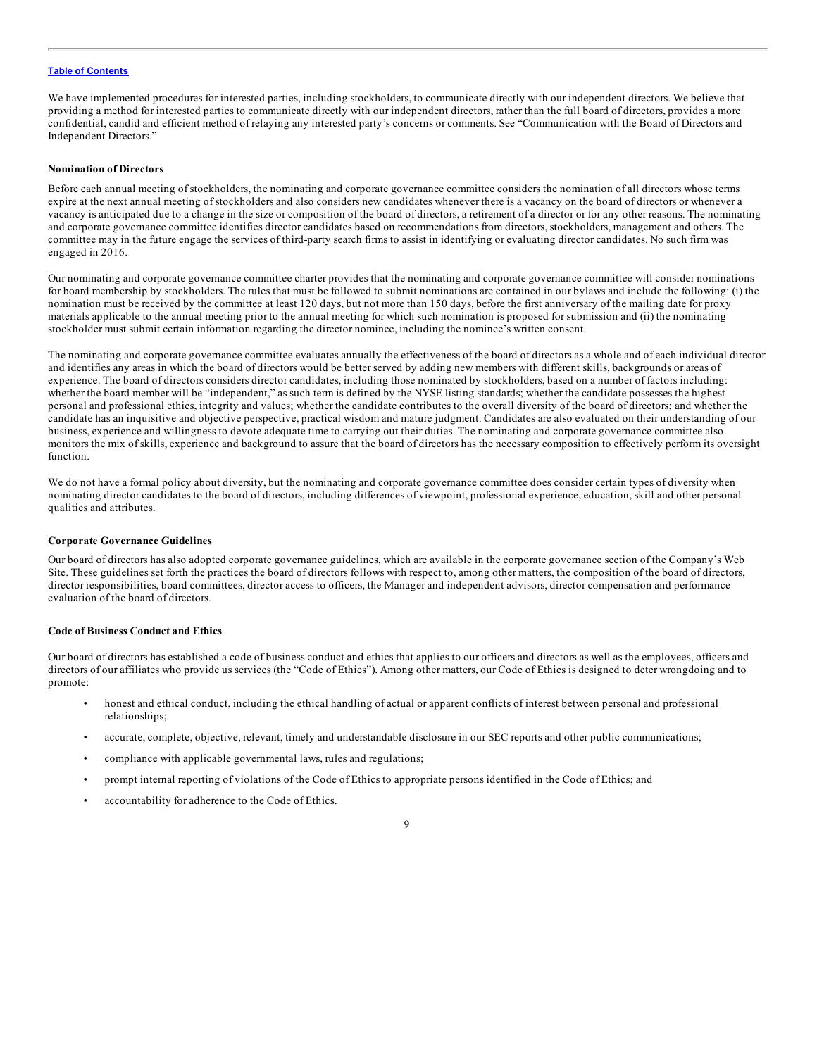We have implemented procedures for interested parties, including stockholders, to communicate directly with our independent directors. We believe that providing a method for interested parties to communicate directly with our independent directors, rather than the full board of directors, provides a more confidential, candid and efficient method of relaying any interested party's concerns or comments. See "Communication with the Board of Directors and Independent Directors."

### **Nomination of Directors**

Before each annual meeting of stockholders, the nominating and corporate governance committee considers the nomination of all directors whose terms expire at the next annual meeting of stockholders and also considers new candidates whenever there is a vacancy on the board of directors or whenever a vacancy is anticipated due to a change in the size or composition of the board of directors, a retirement of a director or for any other reasons. The nominating and corporate governance committee identifies director candidates based on recommendations from directors, stockholders, management and others. The committee may in the future engage the services of third-party search firms to assist in identifying or evaluating director candidates. No such firm was engaged in 2016.

Our nominating and corporate governance committee charter provides that the nominating and corporate governance committee will consider nominations for board membership by stockholders. The rules that must be followed to submit nominations are contained in our bylaws and include the following: (i) the nomination must be received by the committee at least 120 days, but not more than 150 days, before the first anniversary of the mailing date for proxy materials applicable to the annual meeting prior to the annual meeting for which such nomination is proposed for submission and (ii) the nominating stockholder must submit certain information regarding the director nominee, including the nominee's written consent.

The nominating and corporate governance committee evaluates annually the effectiveness of the board of directors as a whole and of each individual director and identifies any areas in which the board of directors would be better served by adding new members with different skills, backgrounds or areas of experience. The board of directors considers director candidates, including those nominated by stockholders, based on a number of factors including: whether the board member will be "independent," as such term is defined by the NYSE listing standards; whether the candidate possesses the highest personal and professional ethics, integrity and values; whether the candidate contributes to the overall diversity of the board of directors; and whether the candidate has an inquisitive and objective perspective, practical wisdom and mature judgment. Candidates are also evaluated on their understanding of our business, experience and willingness to devote adequate time to carrying out their duties. The nominating and corporate governance committee also monitors the mix of skills, experience and background to assure that the board of directors has the necessary composition to effectively perform its oversight function.

We do not have a formal policy about diversity, but the nominating and corporate governance committee does consider certain types of diversity when nominating director candidates to the board of directors, including differences of viewpoint, professional experience, education, skill and other personal qualities and attributes.

#### **Corporate Governance Guidelines**

Our board of directors has also adopted corporate governance guidelines, which are available in the corporate governance section of the Company's Web Site. These guidelines set forth the practices the board of directors follows with respect to, among other matters, the composition of the board of directors, director responsibilities, board committees, director access to officers, the Manager and independent advisors, director compensation and performance evaluation of the board of directors.

### **Code of Business Conduct and Ethics**

Our board of directors has established a code of business conduct and ethics that applies to our officers and directors as well as the employees, officers and directors of our affiliates who provide us services (the "Code of Ethics"). Among other matters, our Code of Ethics is designed to deter wrongdoing and to promote:

- honest and ethical conduct, including the ethical handling of actual or apparent conflicts of interest between personal and professional relationships;
- accurate, complete, objective, relevant, timely and understandable disclosure in our SEC reports and other public communications;
- compliance with applicable governmental laws, rules and regulations;
- prompt internal reporting of violations of the Code of Ethics to appropriate persons identified in the Code of Ethics; and
- accountability for adherence to the Code of Ethics.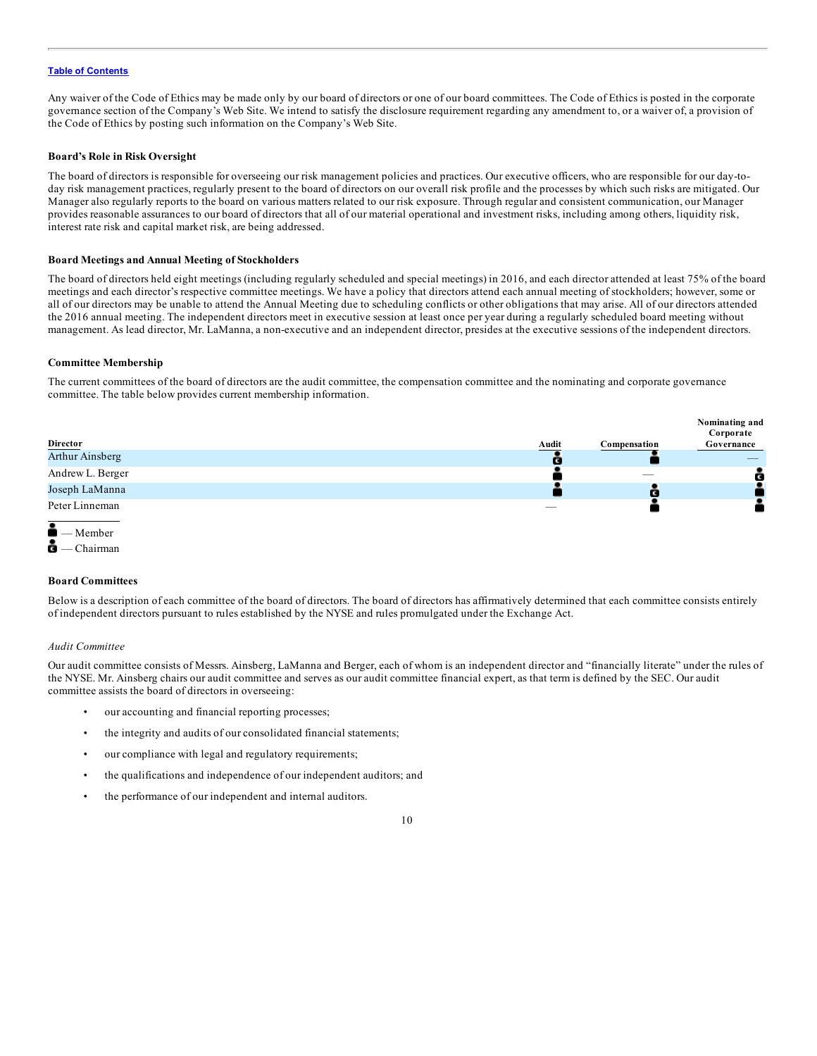Any waiver of the Code of Ethics may be made only by our board of directors or one of our board committees. The Code of Ethics is posted in the corporate governance section of the Company's Web Site. We intend to satisfy the disclosure requirement regarding any amendment to, or a waiver of, a provision of the Code of Ethics by posting such information on the Company's Web Site.

#### **Board's Role in Risk Oversight**

The board of directors is responsible for overseeing our risk management policies and practices. Our executive officers, who are responsible for our day-today risk management practices, regularly present to the board of directors on our overall risk profile and the processes by which such risks are mitigated. Our Manager also regularly reports to the board on various matters related to our risk exposure. Through regular and consistent communication, our Manager provides reasonable assurances to our board of directors that all of our material operational and investment risks, including among others, liquidity risk, interest rate risk and capital market risk, are being addressed.

#### **Board Meetings and Annual Meeting of Stockholders**

The board of directors held eight meetings (including regularly scheduled and special meetings) in 2016, and each director attended at least 75% of the board meetings and each director's respective committee meetings. We have a policy that directors attend each annual meeting of stockholders; however, some or all of our directors may be unable to attend the Annual Meeting due to scheduling conflicts or other obligations that may arise. All of our directors attended the 2016 annual meeting. The independent directors meet in executive session at least once per year during a regularly scheduled board meeting without management. As lead director, Mr. LaManna, a non-executive and an independent director, presides at the executive sessions of the independent directors.

#### **Committee Membership**

The current committees of the board of directors are the audit committee, the compensation committee and the nominating and corporate governance committee. The table below provides current membership information.





#### **Board Committees**

Below is a description of each committee of the board of directors. The board of directors has affirmatively determined that each committee consists entirely of independent directors pursuant to rules established by the NYSE and rules promulgated under the Exchange Act.

#### *Audit Committee*

Our audit committee consists of Messrs. Ainsberg, LaManna and Berger, each of whom is an independent director and "financially literate" under the rules of the NYSE. Mr. Ainsberg chairs our audit committee and serves as our audit committee financial expert, as that term is defined by the SEC. Our audit committee assists the board of directors in overseeing:

- our accounting and financial reporting processes;
- the integrity and audits of our consolidated financial statements;
- our compliance with legal and regulatory requirements;
- the qualifications and independence of our independent auditors; and
- the performance of our independent and internal auditors.

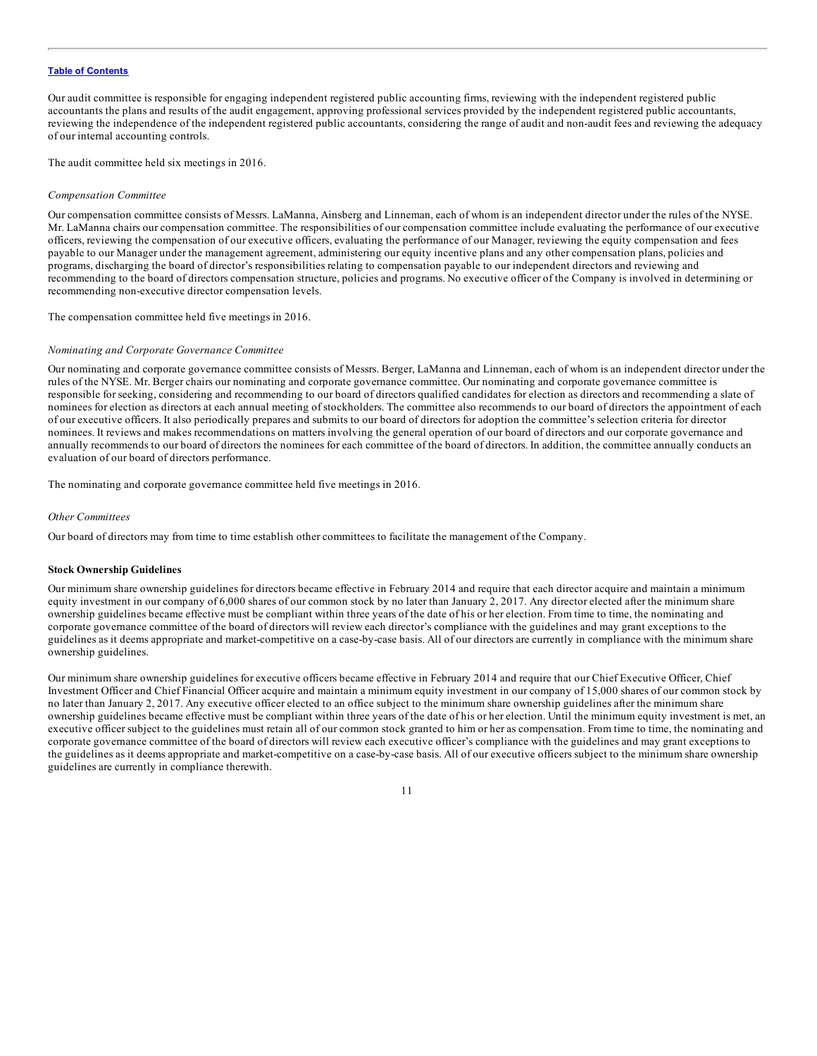Our audit committee is responsible for engaging independent registered public accounting firms, reviewing with the independent registered public accountants the plans and results of the audit engagement, approving professional services provided by the independent registered public accountants, reviewing the independence of the independent registered public accountants, considering the range of audit and non-audit fees and reviewing the adequacy of our internal accounting controls.

The audit committee held six meetings in 2016.

#### *Compensation Committee*

Our compensation committee consists of Messrs. LaManna, Ainsberg and Linneman, each of whom is an independent director under the rules of the NYSE. Mr. LaManna chairs our compensation committee. The responsibilities of our compensation committee include evaluating the performance of our executive officers, reviewing the compensation of our executive officers, evaluating the performance of our Manager, reviewing the equity compensation and fees payable to our Manager under the management agreement, administering our equity incentive plans and any other compensation plans, policies and programs, discharging the board of director's responsibilities relating to compensation payable to our independent directors and reviewing and recommending to the board of directors compensation structure, policies and programs. No executive officer of the Company is involved in determining or recommending non-executive director compensation levels.

The compensation committee held five meetings in 2016.

### *Nominating and Corporate Governance Committee*

Our nominating and corporate governance committee consists of Messrs. Berger, LaManna and Linneman, each of whom is an independent director under the rules of the NYSE. Mr. Berger chairs our nominating and corporate governance committee. Our nominating and corporate governance committee is responsible for seeking, considering and recommending to our board of directors qualified candidates for election as directors and recommending a slate of nominees for election as directors at each annual meeting of stockholders. The committee also recommends to our board of directors the appointment of each of our executive officers. It also periodically prepares and submits to our board of directors for adoption the committee's selection criteria for director nominees. It reviews and makes recommendations on matters involving the general operation of our board of directors and our corporate governance and annually recommends to our board of directors the nominees for each committee of the board of directors. In addition, the committee annually conducts an evaluation of our board of directors performance.

The nominating and corporate governance committee held five meetings in 2016.

### *Other Committees*

Our board of directors may from time to time establish other committees to facilitate the management of the Company.

### **Stock Ownership Guidelines**

Our minimum share ownership guidelines for directors became effective in February 2014 and require that each director acquire and maintain a minimum equity investment in our company of 6,000 shares of our common stock by no later than January 2, 2017. Any director elected after the minimum share ownership guidelines became effective must be compliant within three years of the date of his or her election. From time to time, the nominating and corporate governance committee of the board of directors will review each director's compliance with the guidelines and may grant exceptions to the guidelines as it deems appropriate and market-competitive on a case-by-case basis. All of our directors are currently in compliance with the minimum share ownership guidelines.

Our minimum share ownership guidelines for executive officers became effective in February 2014 and require that our Chief Executive Officer, Chief Investment Officer and Chief Financial Officer acquire and maintain a minimum equity investment in our company of 15,000 shares of our common stock by no later than January 2, 2017. Any executive officer elected to an office subject to the minimum share ownership guidelines after the minimum share ownership guidelines became effective must be compliant within three years of the date of his or her election. Until the minimum equity investment is met, an executive officer subject to the guidelines must retain all of our common stock granted to him or her as compensation. From time to time, the nominating and corporate governance committee of the board of directors will review each executive officer's compliance with the guidelines and may grant exceptions to the guidelines as it deems appropriate and market-competitive on a case-by-case basis. All of our executive officers subject to the minimum share ownership guidelines are currently in compliance therewith.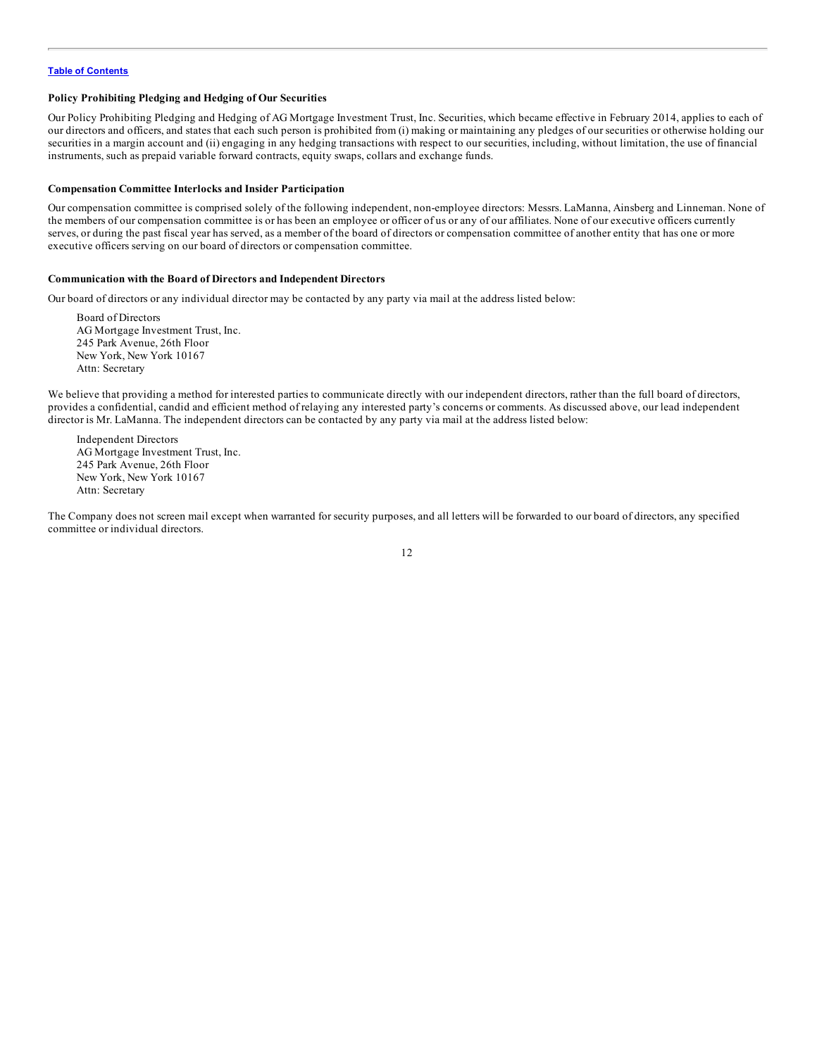### **Policy Prohibiting Pledging and Hedging of Our Securities**

Our Policy Prohibiting Pledging and Hedging of AG Mortgage Investment Trust, Inc. Securities, which became effective in February 2014, applies to each of our directors and officers, and states that each such person is prohibited from (i) making or maintaining any pledges of our securities or otherwise holding our securities in a margin account and (ii) engaging in any hedging transactions with respect to our securities, including, without limitation, the use of financial instruments, such as prepaid variable forward contracts, equity swaps, collars and exchange funds.

#### **Compensation Committee Interlocks and Insider Participation**

Our compensation committee is comprised solely of the following independent, non-employee directors: Messrs. LaManna, Ainsberg and Linneman. None of the members of our compensation committee is or has been an employee or officer of us or any of our affiliates. None of our executive officers currently serves, or during the past fiscal year has served, as a member of the board of directors or compensation committee of another entity that has one or more executive officers serving on our board of directors or compensation committee.

### **Communication with the Board of Directors and Independent Directors**

Our board of directors or any individual director may be contacted by any party via mail at the address listed below:

Board of Directors AG Mortgage Investment Trust, Inc. 245 Park Avenue, 26th Floor New York, New York 10167 Attn: Secretary

We believe that providing a method for interested parties to communicate directly with our independent directors, rather than the full board of directors, provides a confidential, candid and efficient method of relaying any interested party's concerns or comments. As discussed above, our lead independent director is Mr. LaManna. The independent directors can be contacted by any party via mail at the address listed below:

Independent Directors AG Mortgage Investment Trust, Inc. 245 Park Avenue, 26th Floor New York, New York 10167 Attn: Secretary

The Company does not screen mail except when warranted for security purposes, and all letters will be forwarded to our board of directors, any specified committee or individual directors.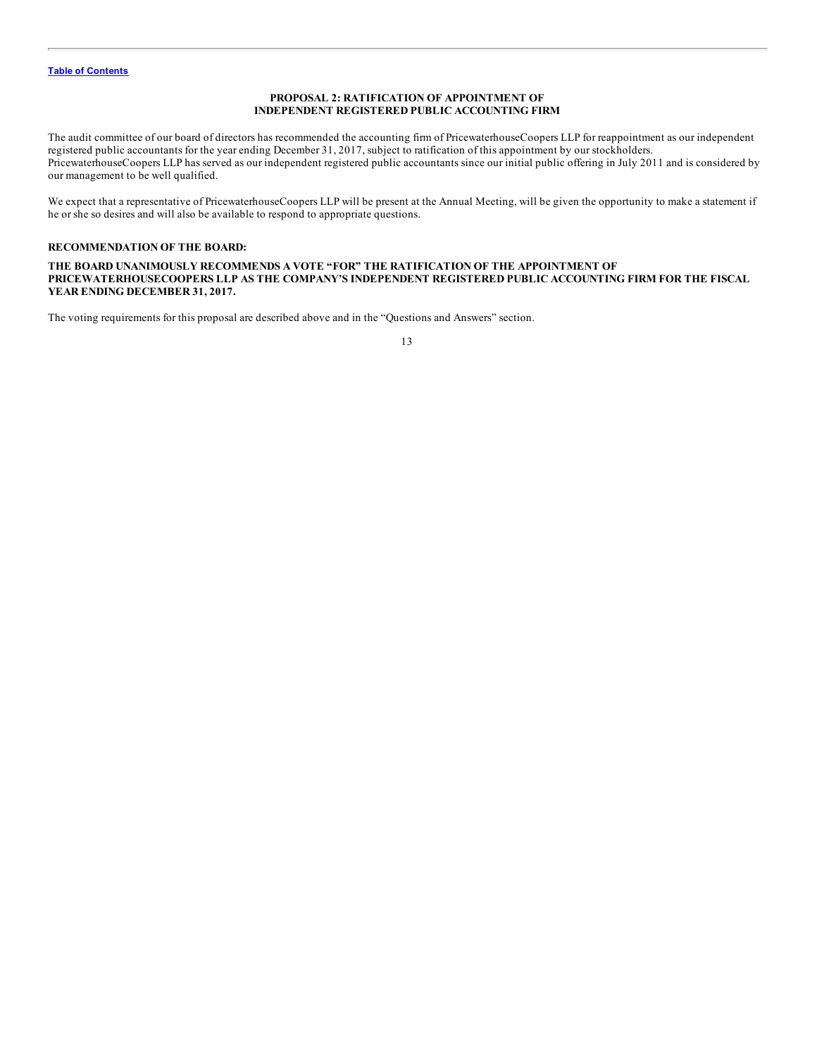### **PROPOSAL 2: RATIFICATION OF APPOINTMENT OF INDEPENDENT REGISTERED PUBLIC ACCOUNTING FIRM**

<span id="page-17-0"></span>The audit committee of our board of directors has recommended the accounting firm of PricewaterhouseCoopers LLP for reappointment as our independent registered public accountants for the year ending December 31, 2017, subject to ratification of this appointment by our stockholders. PricewaterhouseCoopers LLP has served as our independent registered public accountants since our initial public offering in July 2011 and is considered by our management to be well qualified.

We expect that a representative of PricewaterhouseCoopers LLP will be present at the Annual Meeting, will be given the opportunity to make a statement if he or she so desires and will also be available to respond to appropriate questions.

### **RECOMMENDATION OF THE BOARD:**

**THE BOARD UNANIMOUSLY RECOMMENDS A VOTE "FOR" THE RATIFICATION OF THE APPOINTMENT OF PRICEWATERHOUSECOOPERS LLP AS THE COMPANY'S INDEPENDENT REGISTERED PUBLIC ACCOUNTING FIRM FOR THE FISCAL YEAR ENDING DECEMBER 31, 2017.**

The voting requirements for this proposal are described above and in the "Questions and Answers" section.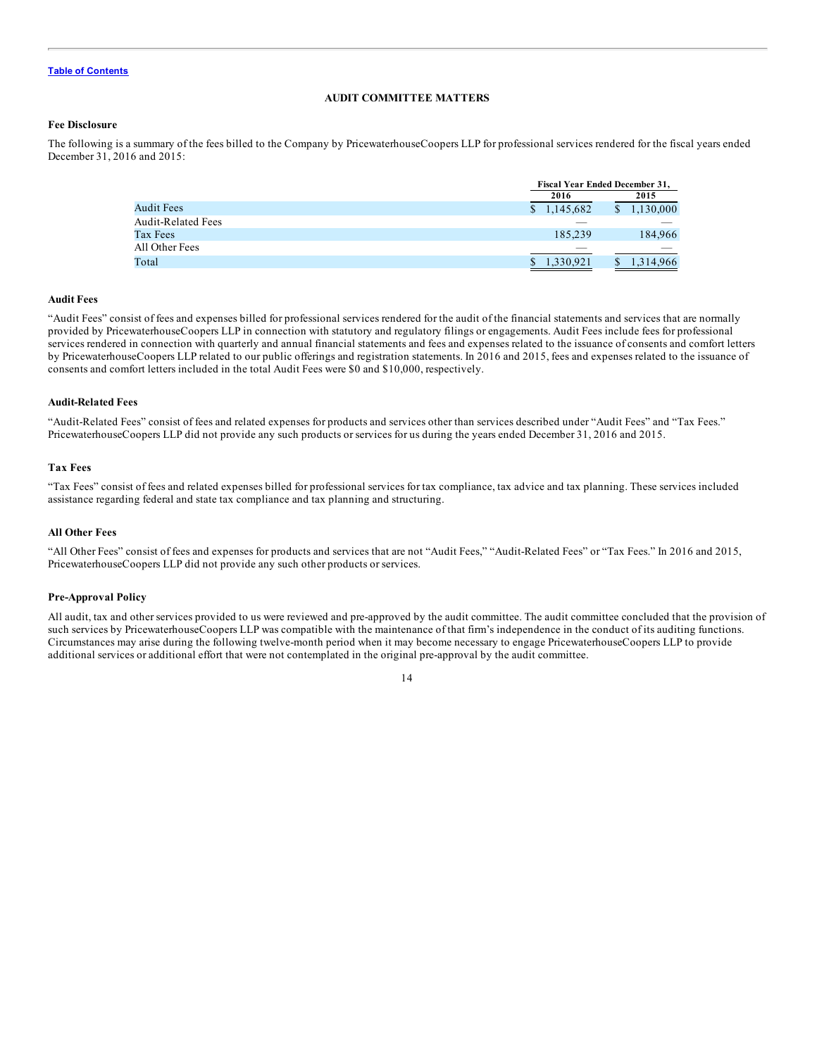### **AUDIT COMMITTEE MATTERS**

### <span id="page-18-0"></span>**Fee Disclosure**

The following is a summary of the fees billed to the Company by PricewaterhouseCoopers LLP for professional services rendered for the fiscal years ended December 31, 2016 and 2015:

|                           | <b>Fiscal Year Ended December 31,</b> |                 |
|---------------------------|---------------------------------------|-----------------|
|                           | 2016                                  | 2015            |
| Audit Fees                | \$1,145,682                           | 1,130,000<br>\$ |
| <b>Audit-Related Fees</b> |                                       |                 |
| Tax Fees                  | 185.239                               | 184,966         |
| All Other Fees            |                                       |                 |
| Total                     | 1,330,921                             | 1,314,966<br>\$ |

### **Audit Fees**

"Audit Fees" consist of fees and expenses billed for professional services rendered for the audit of the financial statements and services that are normally provided by PricewaterhouseCoopers LLP in connection with statutory and regulatory filings or engagements. Audit Fees include fees for professional services rendered in connection with quarterly and annual financial statements and fees and expenses related to the issuance of consents and comfort letters by PricewaterhouseCoopers LLP related to our public offerings and registration statements. In 2016 and 2015, fees and expenses related to the issuance of consents and comfort letters included in the total Audit Fees were \$0 and \$10,000, respectively.

### **Audit-Related Fees**

"Audit-Related Fees" consist of fees and related expenses for products and services other than services described under "Audit Fees" and "Tax Fees." PricewaterhouseCoopers LLP did not provide any such products or services for us during the years ended December 31, 2016 and 2015.

### **Tax Fees**

"Tax Fees" consist of fees and related expenses billed for professional services for tax compliance, tax advice and tax planning. These services included assistance regarding federal and state tax compliance and tax planning and structuring.

### **All Other Fees**

"All Other Fees" consist of fees and expenses for products and services that are not "Audit Fees," "Audit-Related Fees" or "Tax Fees." In 2016 and 2015, PricewaterhouseCoopers LLP did not provide any such other products or services.

#### **Pre-Approval Policy**

All audit, tax and other services provided to us were reviewed and pre-approved by the audit committee. The audit committee concluded that the provision of such services by PricewaterhouseCoopers LLP was compatible with the maintenance of that firm's independence in the conduct of its auditing functions. Circumstances may arise during the following twelve-month period when it may become necessary to engage PricewaterhouseCoopers LLP to provide additional services or additional effort that were not contemplated in the original pre-approval by the audit committee.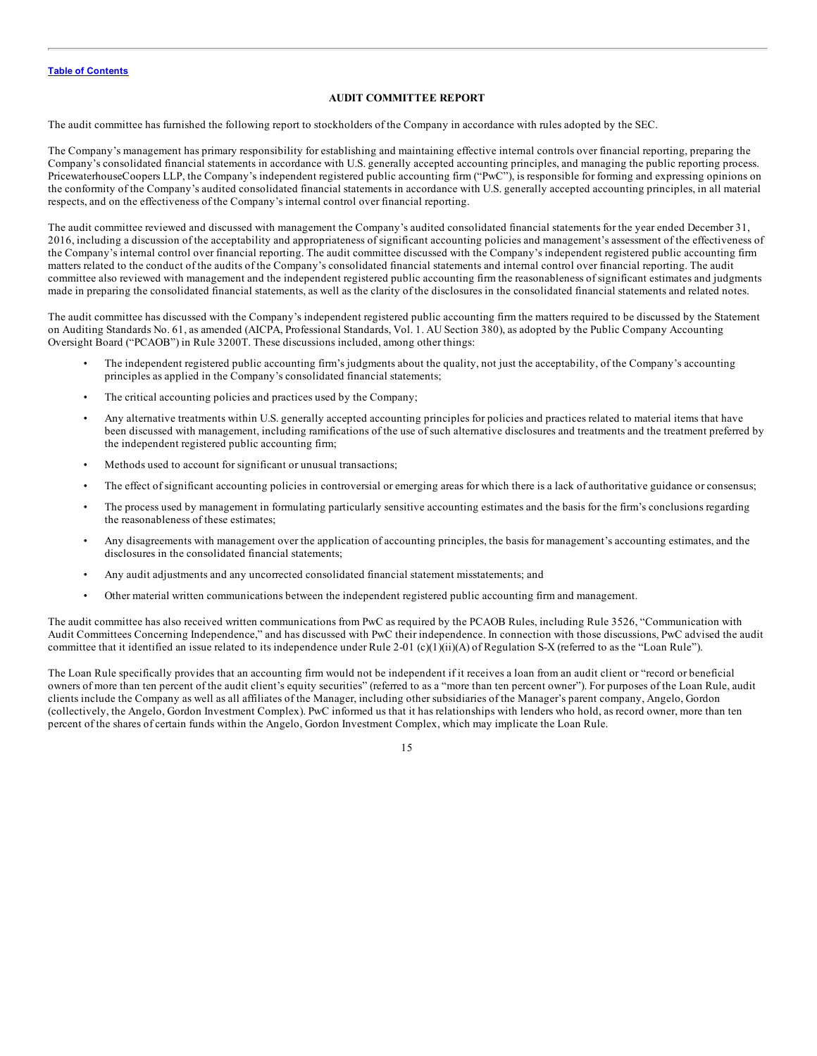#### **AUDIT COMMITTEE REPORT**

<span id="page-19-0"></span>The audit committee has furnished the following report to stockholders of the Company in accordance with rules adopted by the SEC.

The Company's management has primary responsibility for establishing and maintaining effective internal controls over financial reporting, preparing the Company's consolidated financial statements in accordance with U.S. generally accepted accounting principles, and managing the public reporting process. PricewaterhouseCoopers LLP, the Company's independent registered public accounting firm ("PwC"), is responsible for forming and expressing opinions on the conformity of the Company's audited consolidated financial statements in accordance with U.S. generally accepted accounting principles, in all material respects, and on the effectiveness of the Company's internal control over financial reporting.

The audit committee reviewed and discussed with management the Company's audited consolidated financial statements for the year ended December 31, 2016, including a discussion of the acceptability and appropriateness of significant accounting policies and management's assessment of the effectiveness of the Company's internal control over financial reporting. The audit committee discussed with the Company's independent registered public accounting firm matters related to the conduct of the audits of the Company's consolidated financial statements and internal control over financial reporting. The audit committee also reviewed with management and the independent registered public accounting firm the reasonableness of significant estimates and judgments made in preparing the consolidated financial statements, as well as the clarity of the disclosures in the consolidated financial statements and related notes.

The audit committee has discussed with the Company's independent registered public accounting firm the matters required to be discussed by the Statement on Auditing Standards No. 61, as amended (AICPA, Professional Standards, Vol. 1. AU Section 380), as adopted by the Public Company Accounting Oversight Board ("PCAOB") in Rule 3200T. These discussions included, among other things:

- The independent registered public accounting firm's judgments about the quality, not just the acceptability, of the Company's accounting principles as applied in the Company's consolidated financial statements;
- The critical accounting policies and practices used by the Company;
- Any alternative treatments within U.S. generally accepted accounting principles for policies and practices related to material items that have been discussed with management, including ramifications of the use of such alternative disclosures and treatments and the treatment preferred by the independent registered public accounting firm;
- Methods used to account for significant or unusual transactions;
- The effect of significant accounting policies in controversial or emerging areas for which there is a lack of authoritative guidance or consensus;
- The process used by management in formulating particularly sensitive accounting estimates and the basis for the firm's conclusions regarding the reasonableness of these estimates;
- Any disagreements with management over the application of accounting principles, the basis for management's accounting estimates, and the disclosures in the consolidated financial statements;
- Any audit adjustments and any uncorrected consolidated financial statement misstatements; and
- Other material written communications between the independent registered public accounting firm and management.

The audit committee has also received written communications from PwC as required by the PCAOB Rules, including Rule 3526, "Communication with Audit Committees Concerning Independence," and has discussed with PwC their independence. In connection with those discussions, PwC advised the audit committee that it identified an issue related to its independence under Rule 2-01 (c)(1)(ii)(A) of Regulation S-X (referred to as the "Loan Rule").

The Loan Rule specifically provides that an accounting firm would not be independent if it receives a loan from an audit client or "record or beneficial owners of more than ten percent of the audit client's equity securities" (referred to as a "more than ten percent owner"). For purposes of the Loan Rule, audit clients include the Company as well as all affiliates of the Manager, including other subsidiaries of the Manager's parent company, Angelo, Gordon (collectively, the Angelo, Gordon Investment Complex). PwC informed us that it has relationships with lenders who hold, as record owner, more than ten percent of the shares of certain funds within the Angelo, Gordon Investment Complex, which may implicate the Loan Rule.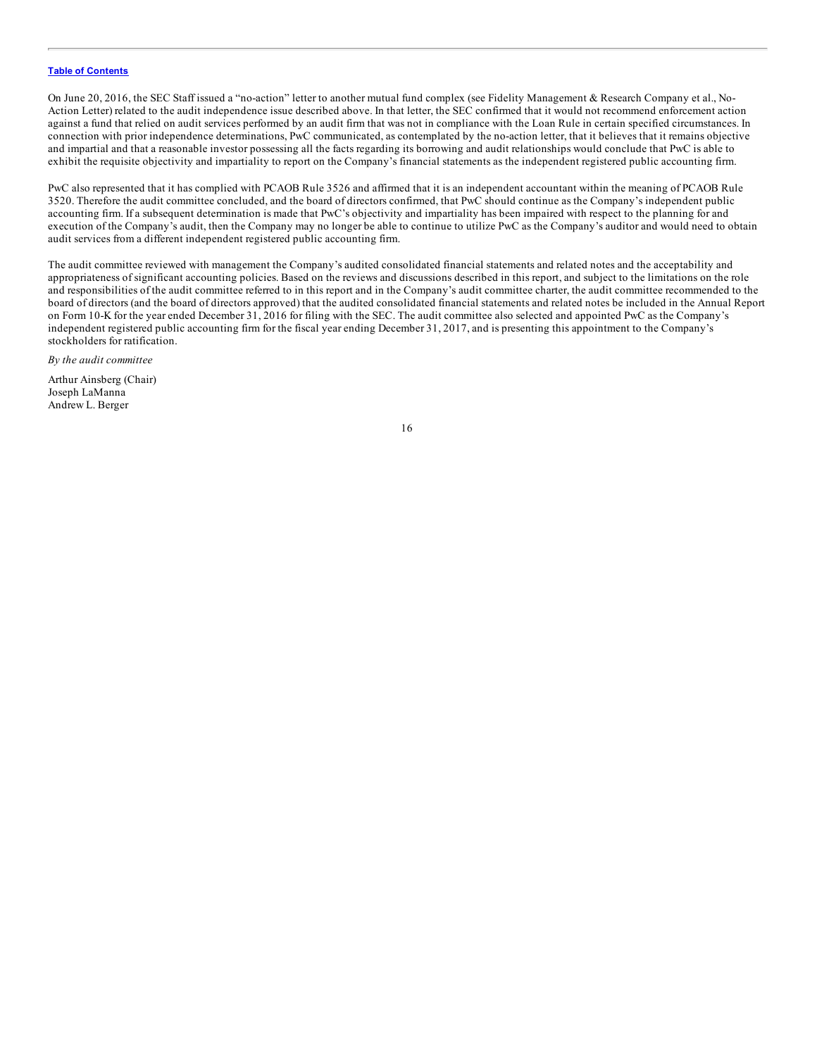On June 20, 2016, the SEC Staff issued a "no-action" letter to another mutual fund complex (see Fidelity Management & Research Company et al., No-Action Letter) related to the audit independence issue described above. In that letter, the SEC confirmed that it would not recommend enforcement action against a fund that relied on audit services performed by an audit firm that was not in compliance with the Loan Rule in certain specified circumstances. In connection with prior independence determinations, PwC communicated, as contemplated by the no-action letter, that it believes that it remains objective and impartial and that a reasonable investor possessing all the facts regarding its borrowing and audit relationships would conclude that PwC is able to exhibit the requisite objectivity and impartiality to report on the Company's financial statements as the independent registered public accounting firm.

PwC also represented that it has complied with PCAOB Rule 3526 and affirmed that it is an independent accountant within the meaning of PCAOB Rule 3520. Therefore the audit committee concluded, and the board of directors confirmed, that PwC should continue as the Company's independent public accounting firm. If a subsequent determination is made that PwC's objectivity and impartiality has been impaired with respect to the planning for and execution of the Company's audit, then the Company may no longer be able to continue to utilize PwC as the Company's auditor and would need to obtain audit services from a different independent registered public accounting firm.

The audit committee reviewed with management the Company's audited consolidated financial statements and related notes and the acceptability and appropriateness of significant accounting policies. Based on the reviews and discussions described in this report, and subject to the limitations on the role and responsibilities of the audit committee referred to in this report and in the Company's audit committee charter, the audit committee recommended to the board of directors (and the board of directors approved) that the audited consolidated financial statements and related notes be included in the Annual Report on Form 10-K for the year ended December 31, 2016 for filing with the SEC. The audit committee also selected and appointed PwC as the Company's independent registered public accounting firm for the fiscal year ending December 31, 2017, and is presenting this appointment to the Company's stockholders for ratification.

*By the audit committee*

Arthur Ainsberg (Chair) Joseph LaManna Andrew L. Berger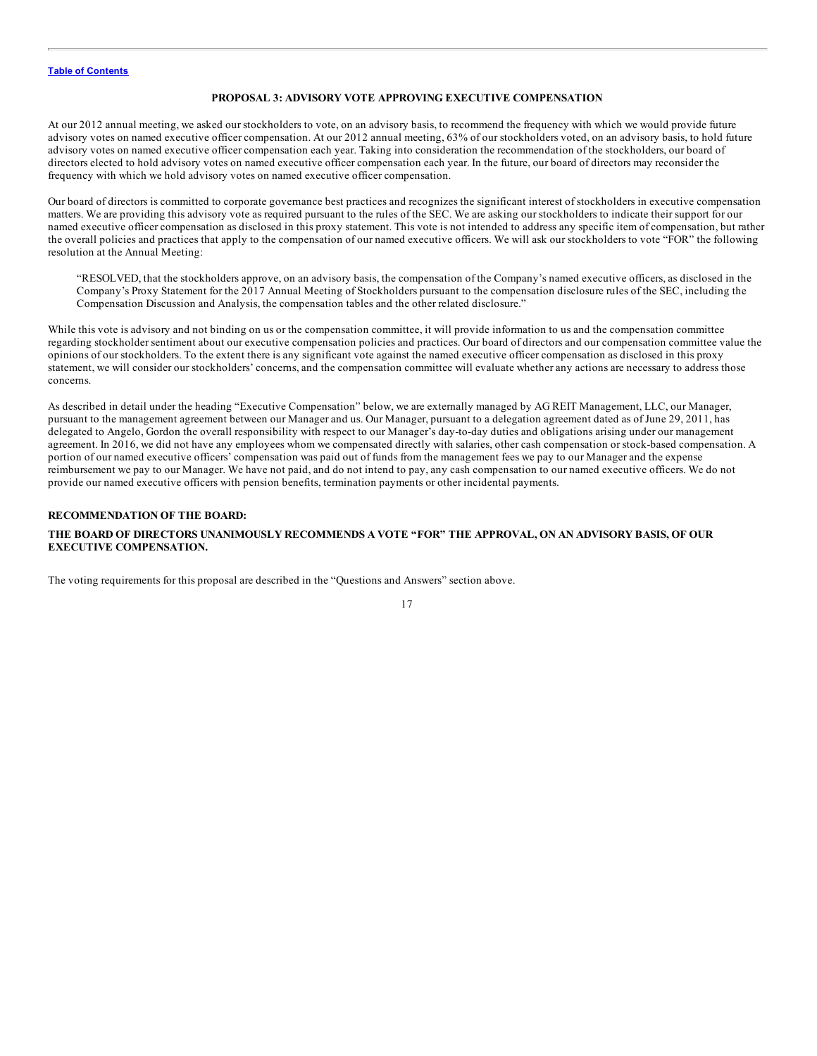### **PROPOSAL 3: ADVISORY VOTE APPROVING EXECUTIVE COMPENSATION**

<span id="page-21-0"></span>At our 2012 annual meeting, we asked our stockholders to vote, on an advisory basis, to recommend the frequency with which we would provide future advisory votes on named executive officer compensation. At our 2012 annual meeting, 63% of our stockholders voted, on an advisory basis, to hold future advisory votes on named executive officer compensation each year. Taking into consideration the recommendation of the stockholders, our board of directors elected to hold advisory votes on named executive officer compensation each year. In the future, our board of directors may reconsider the frequency with which we hold advisory votes on named executive officer compensation.

Our board of directors is committed to corporate governance best practices and recognizes the significant interest of stockholders in executive compensation matters. We are providing this advisory vote as required pursuant to the rules of the SEC. We are asking our stockholders to indicate their support for our named executive officer compensation as disclosed in this proxy statement. This vote is not intended to address any specific item of compensation, but rather the overall policies and practices that apply to the compensation of our named executive officers. We will ask our stockholders to vote "FOR" the following resolution at the Annual Meeting:

"RESOLVED, that the stockholders approve, on an advisory basis, the compensation of the Company's named executive officers, as disclosed in the Company's Proxy Statement for the 2017 Annual Meeting of Stockholders pursuant to the compensation disclosure rules of the SEC, including the Compensation Discussion and Analysis, the compensation tables and the other related disclosure."

While this vote is advisory and not binding on us or the compensation committee, it will provide information to us and the compensation committee regarding stockholder sentiment about our executive compensation policies and practices. Our board of directors and our compensation committee value the opinions of our stockholders. To the extent there is any significant vote against the named executive officer compensation as disclosed in this proxy statement, we will consider our stockholders' concerns, and the compensation committee will evaluate whether any actions are necessary to address those concerns.

As described in detail under the heading "Executive Compensation" below, we are externally managed by AG REIT Management, LLC, our Manager, pursuant to the management agreement between our Manager and us. Our Manager, pursuant to a delegation agreement dated as of June 29, 2011, has delegated to Angelo, Gordon the overall responsibility with respect to our Manager's day-to-day duties and obligations arising under our management agreement. In 2016, we did not have any employees whom we compensated directly with salaries, other cash compensation or stock-based compensation. A portion of our named executive officers' compensation was paid out of funds from the management fees we pay to our Manager and the expense reimbursement we pay to our Manager. We have not paid, and do not intend to pay, any cash compensation to our named executive officers. We do not provide our named executive officers with pension benefits, termination payments or other incidental payments.

### **RECOMMENDATION OF THE BOARD:**

### **THE BOARD OF DIRECTORS UNANIMOUSLY RECOMMENDS A VOTE "FOR" THE APPROVAL, ON AN ADVISORY BASIS, OF OUR EXECUTIVE COMPENSATION.**

The voting requirements for this proposal are described in the "Questions and Answers" section above.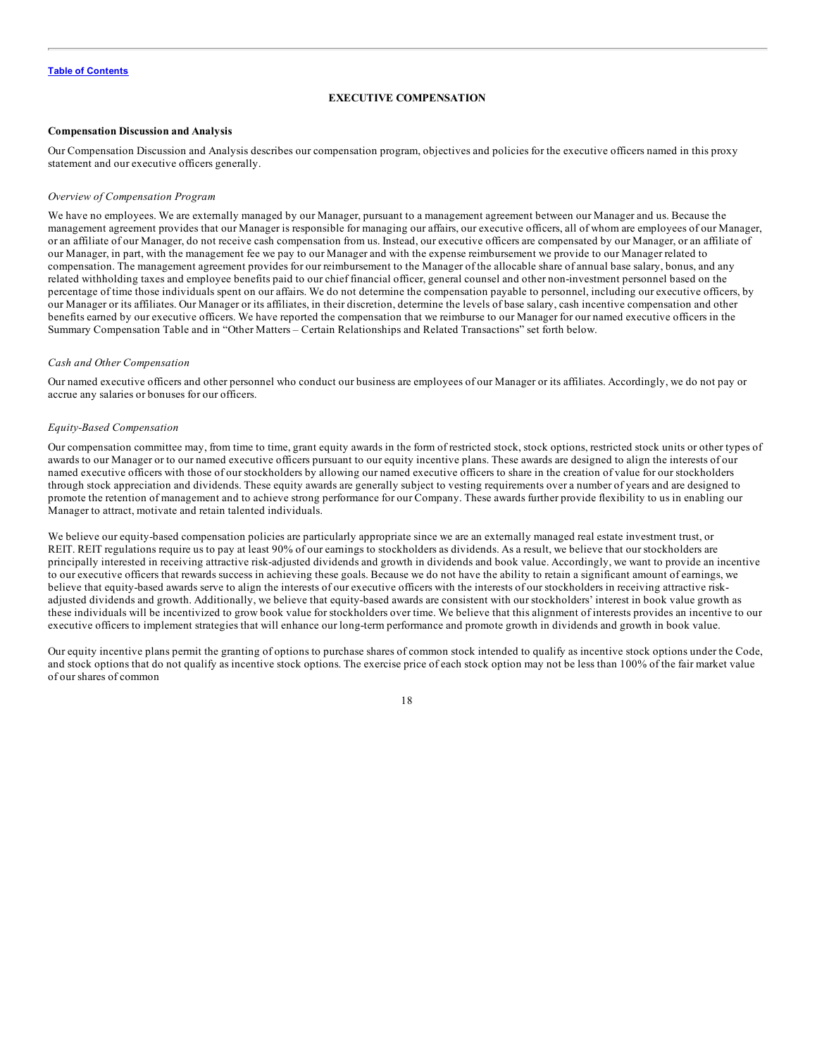### **EXECUTIVE COMPENSATION**

### <span id="page-22-0"></span>**Compensation Discussion and Analysis**

Our Compensation Discussion and Analysis describes our compensation program, objectives and policies for the executive officers named in this proxy statement and our executive officers generally.

#### *Overview of Compensation Program*

We have no employees. We are externally managed by our Manager, pursuant to a management agreement between our Manager and us. Because the management agreement provides that our Manager is responsible for managing our affairs, our executive officers, all of whom are employees of our Manager, or an affiliate of our Manager, do not receive cash compensation from us. Instead, our executive officers are compensated by our Manager, or an affiliate of our Manager, in part, with the management fee we pay to our Manager and with the expense reimbursement we provide to our Manager related to compensation. The management agreement provides for our reimbursement to the Manager of the allocable share of annual base salary, bonus, and any related withholding taxes and employee benefits paid to our chief financial officer, general counsel and other non-investment personnel based on the percentage of time those individuals spent on our affairs. We do not determine the compensation payable to personnel, including our executive officers, by our Manager or its affiliates. Our Manager or its affiliates, in their discretion, determine the levels of base salary, cash incentive compensation and other benefits earned by our executive officers. We have reported the compensation that we reimburse to our Manager for our named executive officers in the Summary Compensation Table and in "Other Matters – Certain Relationships and Related Transactions" set forth below.

#### *Cash and Other Compensation*

Our named executive officers and other personnel who conduct our business are employees of our Manager or its affiliates. Accordingly, we do not pay or accrue any salaries or bonuses for our officers.

#### *Equity-Based Compensation*

Our compensation committee may, from time to time, grant equity awards in the form of restricted stock, stock options, restricted stock units or other types of awards to our Manager or to our named executive officers pursuant to our equity incentive plans. These awards are designed to align the interests of our named executive officers with those of our stockholders by allowing our named executive officers to share in the creation of value for our stockholders through stock appreciation and dividends. These equity awards are generally subject to vesting requirements over a number of years and are designed to promote the retention of management and to achieve strong performance for our Company. These awards further provide flexibility to us in enabling our Manager to attract, motivate and retain talented individuals.

We believe our equity-based compensation policies are particularly appropriate since we are an externally managed real estate investment trust, or REIT. REIT regulations require us to pay at least 90% of our earnings to stockholders as dividends. As a result, we believe that our stockholders are principally interested in receiving attractive risk-adjusted dividends and growth in dividends and book value. Accordingly, we want to provide an incentive to our executive officers that rewards success in achieving these goals. Because we do not have the ability to retain a significant amount of earnings, we believe that equity-based awards serve to align the interests of our executive officers with the interests of our stockholders in receiving attractive riskadjusted dividends and growth. Additionally, we believe that equity-based awards are consistent with our stockholders' interest in book value growth as these individuals will be incentivized to grow book value for stockholders over time. We believe that this alignment of interests provides an incentive to our executive officers to implement strategies that will enhance our long-term performance and promote growth in dividends and growth in book value.

Our equity incentive plans permit the granting of options to purchase shares of common stock intended to qualify as incentive stock options under the Code, and stock options that do not qualify as incentive stock options. The exercise price of each stock option may not be less than 100% of the fair market value of our shares of common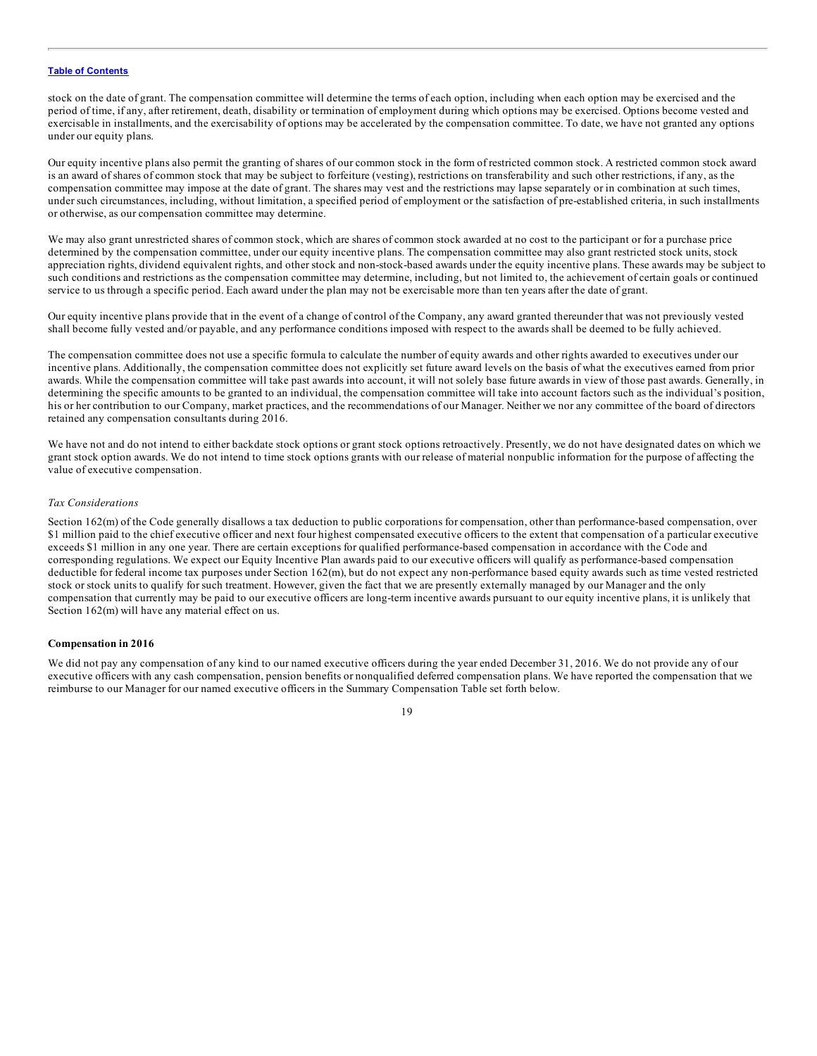stock on the date of grant. The compensation committee will determine the terms of each option, including when each option may be exercised and the period of time, if any, after retirement, death, disability or termination of employment during which options may be exercised. Options become vested and exercisable in installments, and the exercisability of options may be accelerated by the compensation committee. To date, we have not granted any options under our equity plans.

Our equity incentive plans also permit the granting of shares of our common stock in the form of restricted common stock. A restricted common stock award is an award of shares of common stock that may be subject to forfeiture (vesting), restrictions on transferability and such other restrictions, if any, as the compensation committee may impose at the date of grant. The shares may vest and the restrictions may lapse separately or in combination at such times, under such circumstances, including, without limitation, a specified period of employment or the satisfaction of pre-established criteria, in such installments or otherwise, as our compensation committee may determine.

We may also grant unrestricted shares of common stock, which are shares of common stock awarded at no cost to the participant or for a purchase price determined by the compensation committee, under our equity incentive plans. The compensation committee may also grant restricted stock units, stock appreciation rights, dividend equivalent rights, and other stock and non-stock-based awards under the equity incentive plans. These awards may be subject to such conditions and restrictions as the compensation committee may determine, including, but not limited to, the achievement of certain goals or continued service to us through a specific period. Each award under the plan may not be exercisable more than ten years after the date of grant.

Our equity incentive plans provide that in the event of a change of control of the Company, any award granted thereunder that was not previously vested shall become fully vested and/or payable, and any performance conditions imposed with respect to the awards shall be deemed to be fully achieved.

The compensation committee does not use a specific formula to calculate the number of equity awards and other rights awarded to executives under our incentive plans. Additionally, the compensation committee does not explicitly set future award levels on the basis of what the executives earned from prior awards. While the compensation committee will take past awards into account, it will not solely base future awards in view of those past awards. Generally, in determining the specific amounts to be granted to an individual, the compensation committee will take into account factors such as the individual's position, his or her contribution to our Company, market practices, and the recommendations of our Manager. Neither we nor any committee of the board of directors retained any compensation consultants during 2016.

We have not and do not intend to either backdate stock options or grant stock options retroactively. Presently, we do not have designated dates on which we grant stock option awards. We do not intend to time stock options grants with our release of material nonpublic information for the purpose of affecting the value of executive compensation.

#### *Tax Considerations*

Section 162(m) of the Code generally disallows a tax deduction to public corporations for compensation, other than performance-based compensation, over \$1 million paid to the chief executive officer and next four highest compensated executive officers to the extent that compensation of a particular executive exceeds \$1 million in any one year. There are certain exceptions for qualified performance-based compensation in accordance with the Code and corresponding regulations. We expect our Equity Incentive Plan awards paid to our executive officers will qualify as performance-based compensation deductible for federal income tax purposes under Section 162(m), but do not expect any non-performance based equity awards such as time vested restricted stock or stock units to qualify for such treatment. However, given the fact that we are presently externally managed by our Manager and the only compensation that currently may be paid to our executive officers are long-term incentive awards pursuant to our equity incentive plans, it is unlikely that Section  $162(m)$  will have any material effect on us.

### **Compensation in 2016**

We did not pay any compensation of any kind to our named executive officers during the year ended December 31, 2016. We do not provide any of our executive officers with any cash compensation, pension benefits or nonqualified deferred compensation plans. We have reported the compensation that we reimburse to our Manager for our named executive officers in the Summary Compensation Table set forth below.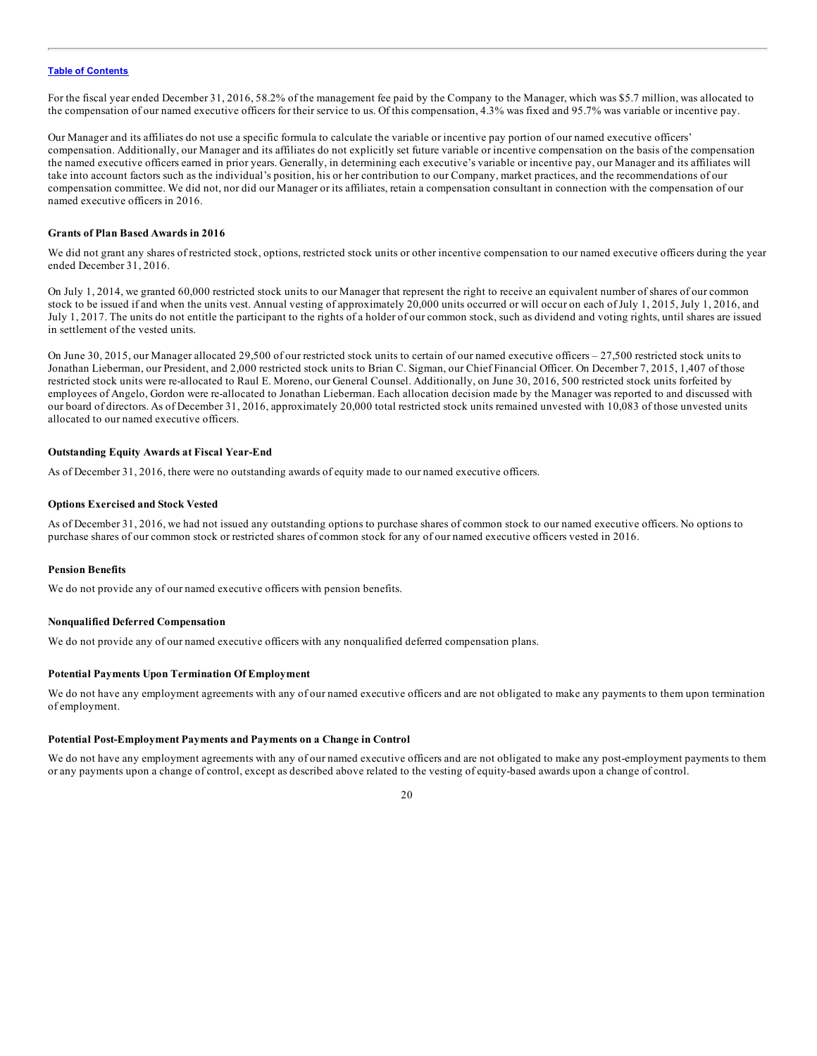For the fiscal year ended December 31, 2016, 58.2% of the management fee paid by the Company to the Manager, which was \$5.7 million, was allocated to the compensation of our named executive officers for their service to us. Of this compensation, 4.3% was fixed and 95.7% was variable or incentive pay.

Our Manager and its affiliates do not use a specific formula to calculate the variable or incentive pay portion of our named executive officers' compensation. Additionally, our Manager and its affiliates do not explicitly set future variable or incentive compensation on the basis of the compensation the named executive officers earned in prior years. Generally, in determining each executive's variable or incentive pay, our Manager and its affiliates will take into account factors such as the individual's position, his or her contribution to our Company, market practices, and the recommendations of our compensation committee. We did not, nor did our Manager or its affiliates, retain a compensation consultant in connection with the compensation of our named executive officers in 2016.

### **Grants of Plan Based Awards in 2016**

We did not grant any shares of restricted stock, options, restricted stock units or other incentive compensation to our named executive officers during the year ended December 31, 2016.

On July 1, 2014, we granted 60,000 restricted stock units to our Manager that represent the right to receive an equivalent number of shares of our common stock to be issued if and when the units vest. Annual vesting of approximately 20,000 units occurred or will occur on each of July 1, 2015, July 1, 2016, and July 1, 2017. The units do not entitle the participant to the rights of a holder of our common stock, such as dividend and voting rights, until shares are issued in settlement of the vested units.

On June 30, 2015, our Manager allocated 29,500 of our restricted stock units to certain of our named executive officers – 27,500 restricted stock units to Jonathan Lieberman, our President, and 2,000 restricted stock units to Brian C. Sigman, our Chief Financial Officer. On December 7, 2015, 1,407 of those restricted stock units were re-allocated to Raul E. Moreno, our General Counsel. Additionally, on June 30, 2016, 500 restricted stock units forfeited by employees of Angelo, Gordon were re-allocated to Jonathan Lieberman. Each allocation decision made by the Manager was reported to and discussed with our board of directors. As of December 31, 2016, approximately 20,000 total restricted stock units remained unvested with 10,083 of those unvested units allocated to our named executive officers.

### **Outstanding Equity Awards at Fiscal Year-End**

As of December 31, 2016, there were no outstanding awards of equity made to our named executive officers.

### **Options Exercised and Stock Vested**

As of December 31, 2016, we had not issued any outstanding options to purchase shares of common stock to our named executive officers. No options to purchase shares of our common stock or restricted shares of common stock for any of our named executive officers vested in 2016.

### **Pension Benefits**

We do not provide any of our named executive officers with pension benefits.

### **Nonqualified Deferred Compensation**

We do not provide any of our named executive officers with any nonqualified deferred compensation plans.

### **Potential Payments Upon Termination Of Employment**

We do not have any employment agreements with any of our named executive officers and are not obligated to make any payments to them upon termination of employment.

### **Potential Post-Employment Payments and Payments on a Change in Control**

We do not have any employment agreements with any of our named executive officers and are not obligated to make any post-employment payments to them or any payments upon a change of control, except as described above related to the vesting of equity-based awards upon a change of control.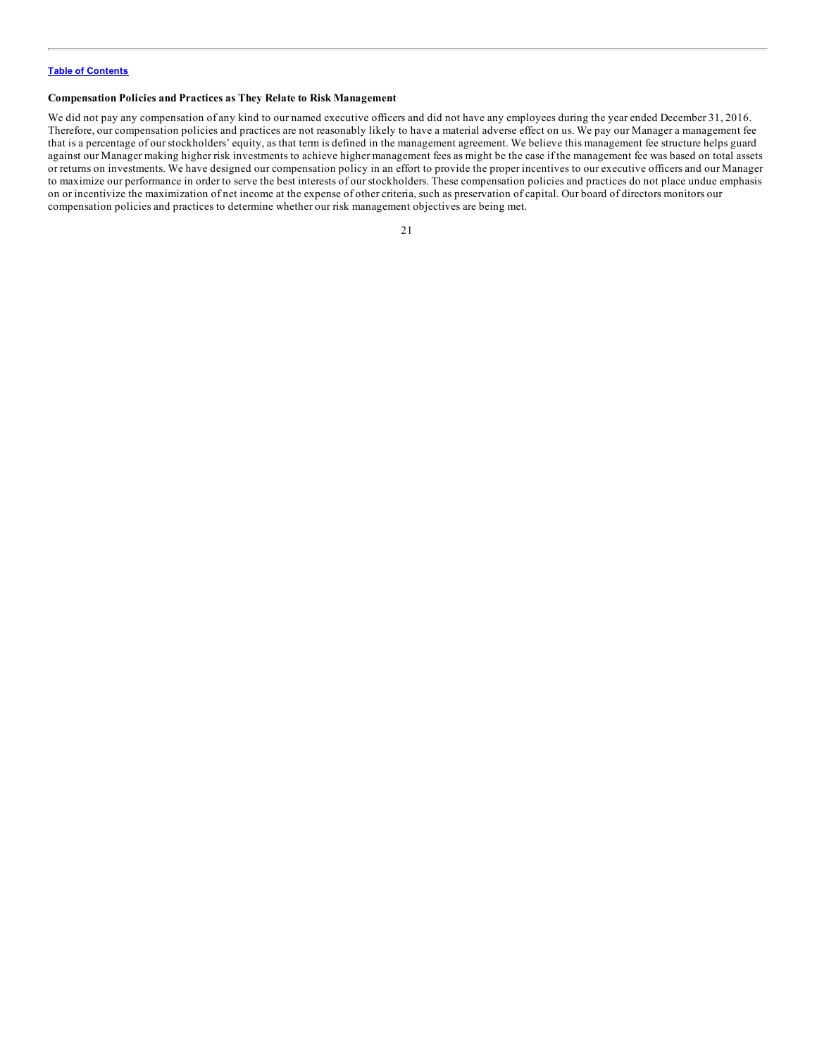### **Compensation Policies and Practices as They Relate to Risk Management**

We did not pay any compensation of any kind to our named executive officers and did not have any employees during the year ended December 31, 2016. Therefore, our compensation policies and practices are not reasonably likely to have a material adverse effect on us. We pay our Manager a management fee that is a percentage of our stockholders' equity, as that term is defined in the management agreement. We believe this management fee structure helps guard against our Manager making higher risk investments to achieve higher management fees as might be the case if the management fee was based on total assets or returns on investments. We have designed our compensation policy in an effort to provide the proper incentives to our executive officers and our Manager to maximize our performance in order to serve the best interests of our stockholders. These compensation policies and practices do not place undue emphasis on or incentivize the maximization of net income at the expense of other criteria, such as preservation of capital. Our board of directors monitors our compensation policies and practices to determine whether our risk management objectives are being met.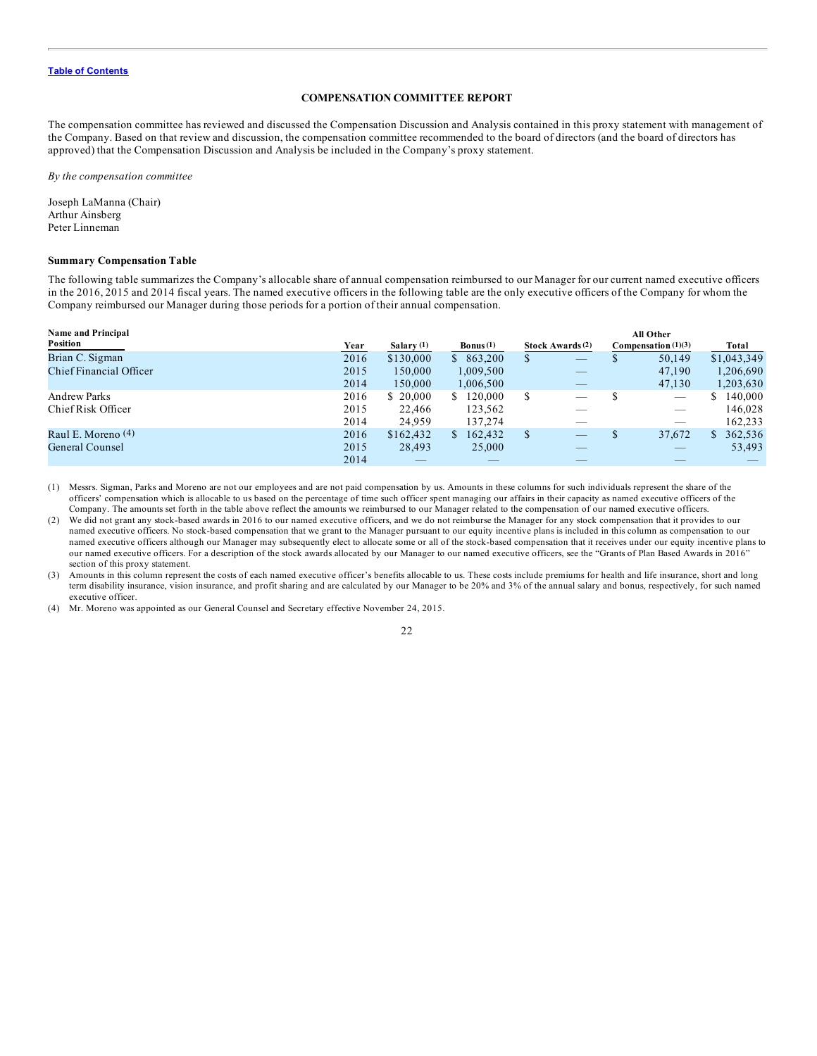### **COMPENSATION COMMITTEE REPORT**

<span id="page-26-0"></span>The compensation committee has reviewed and discussed the Compensation Discussion and Analysis contained in this proxy statement with management of the Company. Based on that review and discussion, the compensation committee recommended to the board of directors (and the board of directors has approved) that the Compensation Discussion and Analysis be included in the Company's proxy statement.

*By the compensation committee*

Joseph LaManna (Chair) Arthur Ainsberg Peter Linneman

### **Summary Compensation Table**

The following table summarizes the Company's allocable share of annual compensation reimbursed to our Manager for our current named executive officers in the 2016, 2015 and 2014 fiscal years. The named executive officers in the following table are the only executive officers of the Company for whom the Company reimbursed our Manager during those periods for a portion of their annual compensation.

| <b>Name and Principal</b> |      |            |                    |               |                         | <b>All Other</b>      |               |  |
|---------------------------|------|------------|--------------------|---------------|-------------------------|-----------------------|---------------|--|
| Position                  | Year | Salary (1) | <b>Bonus</b> $(1)$ |               | <b>Stock Awards</b> (2) | Compensation $(1)(3)$ | Total         |  |
| Brian C. Sigman           | 2016 | \$130,000  | \$863,200          | S             | _                       | 50,149                | \$1,043,349   |  |
| Chief Financial Officer   | 2015 | 150,000    | 1.009.500          |               |                         | 47,190                | 1,206,690     |  |
|                           | 2014 | 150,000    | 1,006,500          |               | __                      | 47,130                | 1,203,630     |  |
| <b>Andrew Parks</b>       | 2016 | \$ 20,000  | 120,000<br>S.      | S             |                         | $\qquad \qquad$       | 140,000       |  |
| Chief Risk Officer        | 2015 | 22.466     | 123,562            |               |                         |                       | 146,028       |  |
|                           | 2014 | 24.959     | 137.274            |               |                         |                       | 162,233       |  |
| Raul E. Moreno (4)        | 2016 | \$162,432  | 162,432<br>S.      | <sup>\$</sup> |                         | 37,672                | 362,536<br>S. |  |
| General Counsel           | 2015 | 28.493     | 25,000             |               |                         |                       | 53,493        |  |
|                           | 2014 |            | __                 |               |                         |                       |               |  |

(1) Messrs. Sigman, Parks and Moreno are not our employees and are not paid compensation by us. Amounts in these columns for such individuals represent the share of the officers' compensation which is allocable to us based on the percentage of time such officer spent managing our affairs in their capacity as named executive officers of the Company. The amounts set forth in the table above reflect the amounts we reimbursed to our Manager related to the compensation of our named executive officers.

(2) We did not grant any stock-based awards in 2016 to our named executive officers, and we do not reimburse the Manager for any stock compensation that it provides to our named executive officers. No stock-based compensation that we grant to the Manager pursuant to our equity incentive plans is included in this column as compensation to our named executive officers although our Manager may subsequently elect to allocate some or all of the stock-based compensation that it receives under our equity incentive plans to our named executive officers. For a description of the stock awards allocated by our Manager to our named executive officers, see the "Grants of Plan Based Awards in 2016" section of this proxy statement.

(3) Amounts in this column represent the costs of each named executive officer's benefits allocable to us. These costs include premiums for health and life insurance, short and long term disability insurance, vision insurance, and profit sharing and are calculated by our Manager to be 20% and 3% of the annual salary and bonus, respectively, for such named executive officer.

(4) Mr. Moreno was appointed as our General Counsel and Secretary effective November 24, 2015.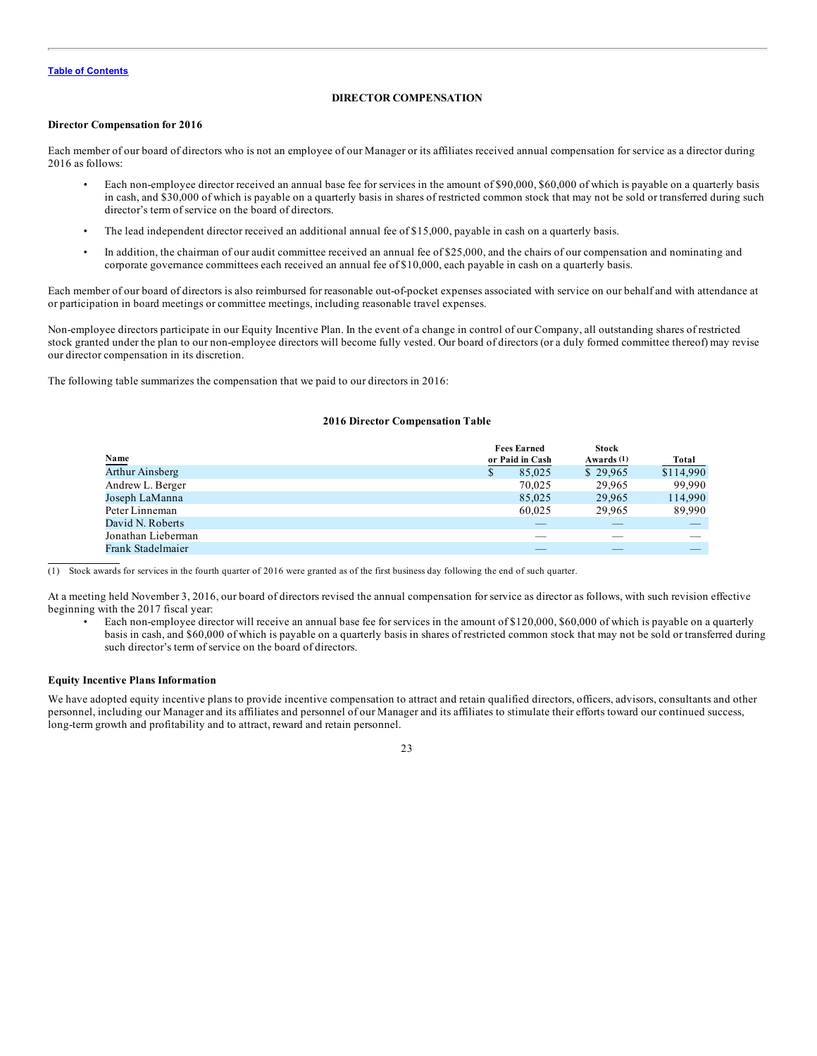### **DIRECTOR COMPENSATION**

### <span id="page-27-0"></span>**Director Compensation for 2016**

Each member of our board of directors who is not an employee of our Manager or its affiliates received annual compensation for service as a director during 2016 as follows:

- Each non-employee director received an annual base fee for services in the amount of \$90,000, \$60,000 of which is payable on a quarterly basis in cash, and \$30,000 of which is payable on a quarterly basis in shares of restricted common stock that may not be sold or transferred during such director's term of service on the board of directors.
- The lead independent director received an additional annual fee of \$15,000, payable in cash on a quarterly basis.
- In addition, the chairman of our audit committee received an annual fee of \$25,000, and the chairs of our compensation and nominating and corporate governance committees each received an annual fee of \$10,000, each payable in cash on a quarterly basis.

Each member of our board of directors is also reimbursed for reasonable out-of-pocket expenses associated with service on our behalf and with attendance at or participation in board meetings or committee meetings, including reasonable travel expenses.

Non-employee directors participate in our Equity Incentive Plan. In the event of a change in control of our Company, all outstanding shares of restricted stock granted under the plan to our non-employee directors will become fully vested. Our board of directors (or a duly formed committee thereof) may revise our director compensation in its discretion.

The following table summarizes the compensation that we paid to our directors in 2016:

#### **2016 Director Compensation Table**

|                        | <b>Fees Earned</b> | <b>Stock</b> |           |
|------------------------|--------------------|--------------|-----------|
| <b>Name</b>            | or Paid in Cash    | Awards (1)   | Total     |
| <b>Arthur Ainsberg</b> | 85,025             | \$29,965     | \$114,990 |
| Andrew L. Berger       | 70,025             | 29,965       | 99.990    |
| Joseph LaManna         | 85,025             | 29.965       | 114,990   |
| Peter Linneman         | 60.025             | 29.965       | 89,990    |
| David N. Roberts       |                    |              |           |
| Jonathan Lieberman     |                    |              |           |
| Frank Stadelmaier      |                    |              |           |

 $(1)$  Stock awards for services in the fourth quarter of 2016 were granted as of the first business day following the end of such quarter.

At a meeting held November 3, 2016, our board of directors revised the annual compensation for service as director as follows, with such revision effective beginning with the 2017 fiscal year:

• Each non-employee director will receive an annual base fee for services in the amount of \$120,000, \$60,000 of which is payable on a quarterly basis in cash, and \$60,000 of which is payable on a quarterly basis in shares of restricted common stock that may not be sold or transferred during such director's term of service on the board of directors.

### **Equity Incentive Plans Information**

We have adopted equity incentive plans to provide incentive compensation to attract and retain qualified directors, officers, advisors, consultants and other personnel, including our Manager and its affiliates and personnel of our Manager and its affiliates to stimulate their efforts toward our continued success, long-term growth and profitability and to attract, reward and retain personnel.

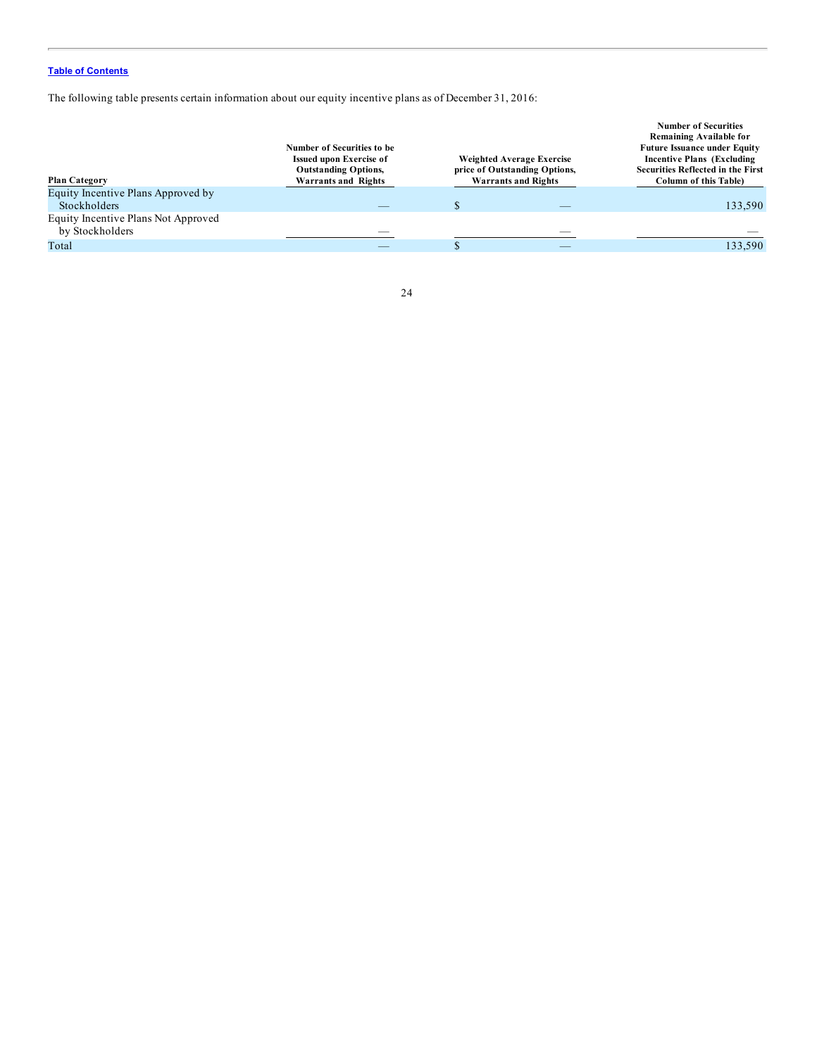The following table presents certain information about our equity incentive plans as of December 31, 2016:

| <b>Plan Category</b>                                      | Number of Securities to be<br><b>Issued upon Exercise of</b><br><b>Outstanding Options,</b><br>Warrants and Rights | Weighted Average Exercise<br>price of Outstanding Options,<br><b>Warrants and Rights</b> | <b>Number of Securities</b><br>Remaining Available for<br><b>Future Issuance under Equity</b><br><b>Incentive Plans (Excluding)</b><br><b>Securities Reflected in the First</b><br><b>Column of this Table)</b> |
|-----------------------------------------------------------|--------------------------------------------------------------------------------------------------------------------|------------------------------------------------------------------------------------------|-----------------------------------------------------------------------------------------------------------------------------------------------------------------------------------------------------------------|
| Equity Incentive Plans Approved by<br><b>Stockholders</b> |                                                                                                                    |                                                                                          | 133,590                                                                                                                                                                                                         |
| Equity Incentive Plans Not Approved<br>by Stockholders    |                                                                                                                    |                                                                                          |                                                                                                                                                                                                                 |
| Total                                                     |                                                                                                                    |                                                                                          | 133,590                                                                                                                                                                                                         |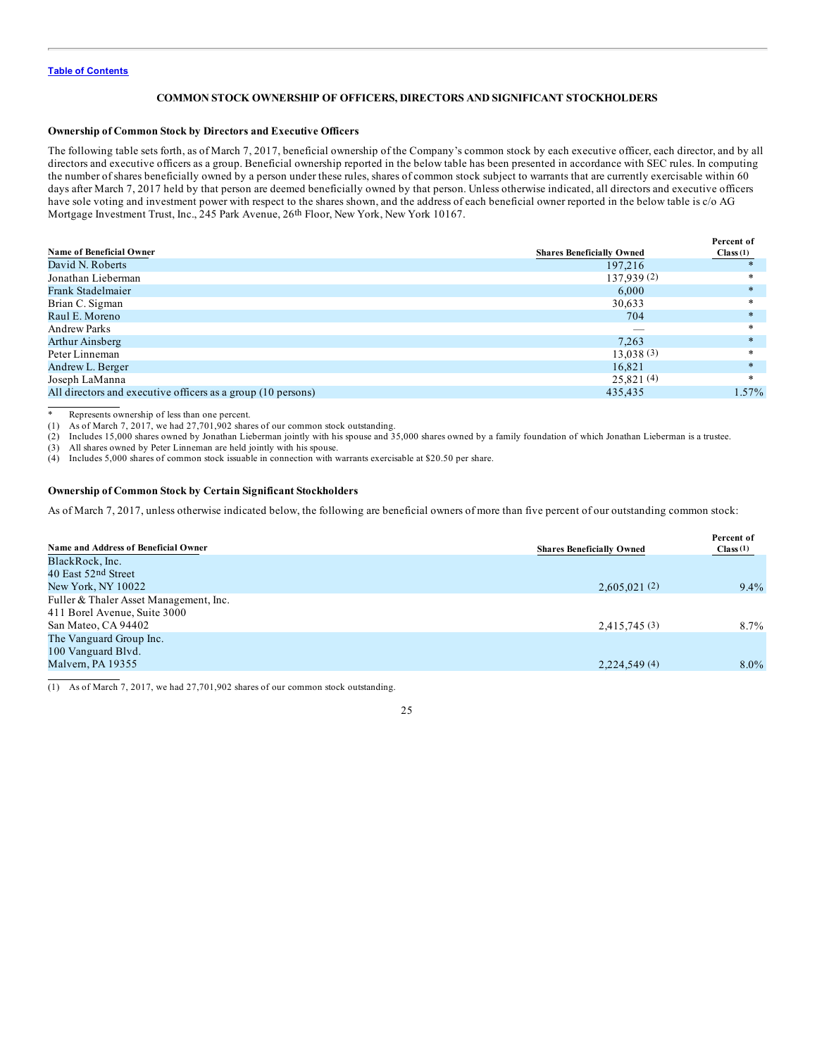### **COMMON STOCK OWNERSHIP OF OFFICERS, DIRECTORS AND SIGNIFICANT STOCKHOLDERS**

### <span id="page-29-0"></span>**Ownership of Common Stock by Directors and Executive Officers**

The following table sets forth, as of March 7, 2017, beneficial ownership of the Company's common stock by each executive officer, each director, and by all directors and executive officers as a group. Beneficial ownership reported in the below table has been presented in accordance with SEC rules. In computing the number of shares beneficially owned by a person under these rules, shares of common stock subject to warrants that are currently exercisable within 60 days after March 7, 2017 held by that person are deemed beneficially owned by that person. Unless otherwise indicated, all directors and executive officers have sole voting and investment power with respect to the shares shown, and the address of each beneficial owner reported in the below table is c/o AG Mortgage Investment Trust, Inc., 245 Park Avenue, 26th Floor, New York, New York 10167.

|                                                              |                                  | Percent of |
|--------------------------------------------------------------|----------------------------------|------------|
| <b>Name of Beneficial Owner</b>                              | <b>Shares Beneficially Owned</b> | Class(1)   |
| David N. Roberts                                             | 197.216                          |            |
| Jonathan Lieberman                                           | 137,939(2)                       |            |
| Frank Stadelmaier                                            | 6.000                            |            |
| Brian C. Sigman                                              | 30,633                           |            |
| Raul E. Moreno                                               | 704                              |            |
| <b>Andrew Parks</b>                                          |                                  |            |
| Arthur Ainsberg                                              | 7.263                            |            |
| Peter Linneman                                               | 13.038(3)                        |            |
| Andrew L. Berger                                             | 16.821                           |            |
| Joseph LaManna                                               | 25,821(4)                        | $\ast$     |
| All directors and executive officers as a group (10 persons) | 435,435                          | $1.57\%$   |
|                                                              |                                  |            |

\* Represents ownership of less than one percent.

(1) As of March 7, 2017, we had 27,701,902 shares of our common stock outstanding.

(2) Includes 15,000 shares owned by Jonathan Lieberman jointly with his spouse and 35,000 shares owned by a family foundation of which Jonathan Lieberman is a trustee.

(3) All shares owned by Peter Linneman are held jointly with his spouse.

(4) Includes 5,000 shares of common stock issuable in connection with warrants exercisable at \$20.50 per share.

### **Ownership of Common Stock by Certain Significant Stockholders**

As of March 7, 2017, unless otherwise indicated below, the following are beneficial owners of more than five percent of our outstanding common stock:

| Name and Address of Beneficial Owner                                   | <b>Shares Beneficially Owned</b> | Percent of<br>Class(1) |
|------------------------------------------------------------------------|----------------------------------|------------------------|
| BlackRock, Inc.                                                        |                                  |                        |
| 40 East 52nd Street                                                    |                                  |                        |
| New York, NY 10022                                                     | 2,605,021(2)                     | $9.4\%$                |
| Fuller & Thaler Asset Management, Inc.<br>411 Borel Avenue, Suite 3000 |                                  |                        |
| San Mateo, CA 94402                                                    | 2,415,745(3)                     | $8.7\%$                |
| The Vanguard Group Inc.<br>100 Vanguard Blvd.                          |                                  |                        |
| Malvern, PA 19355                                                      | 2,224,549(4)                     | $8.0\%$                |

(1) As of March 7, 2017, we had 27,701,902 shares of our common stock outstanding.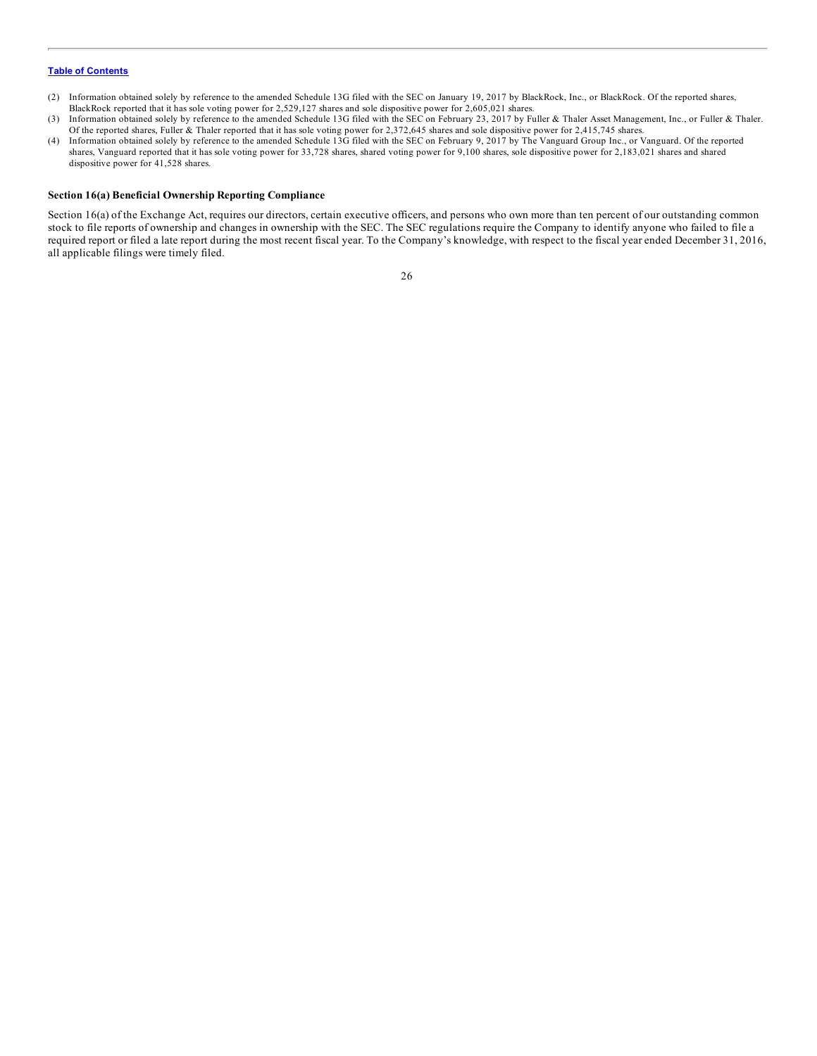- (2) Information obtained solely by reference to the amended Schedule 13G filed with the SEC on January 19, 2017 by BlackRock, Inc., or BlackRock. Of the reported shares, BlackRock reported that it has sole voting power for 2,529,127 shares and sole dispositive power for 2,605,021 shares.
- (3) Information obtained solely by reference to the amended Schedule 13G filed with the SEC on February 23, 2017 by Fuller & Thaler Asset Management, Inc., or Fuller & Thaler. Of the reported shares, Fuller & Thaler reported that it has sole voting power for 2,372,645 shares and sole dispositive power for 2,415,745 shares.
- (4) Information obtained solely by reference to the amended Schedule 13G filed with the SEC on February 9, 2017 by The Vanguard Group Inc., or Vanguard. Of the reported shares, Vanguard reported that it has sole voting power for 33,728 shares, shared voting power for 9,100 shares, sole dispositive power for 2,183,021 shares and shared dispositive power for 41,528 shares.

### **Section 16(a) Beneficial Ownership Reporting Compliance**

Section 16(a) of the Exchange Act, requires our directors, certain executive officers, and persons who own more than ten percent of our outstanding common stock to file reports of ownership and changes in ownership with the SEC. The SEC regulations require the Company to identify anyone who failed to file a required report or filed a late report during the most recent fiscal year. To the Company's knowledge, with respect to the fiscal year ended December 31, 2016, all applicable filings were timely filed.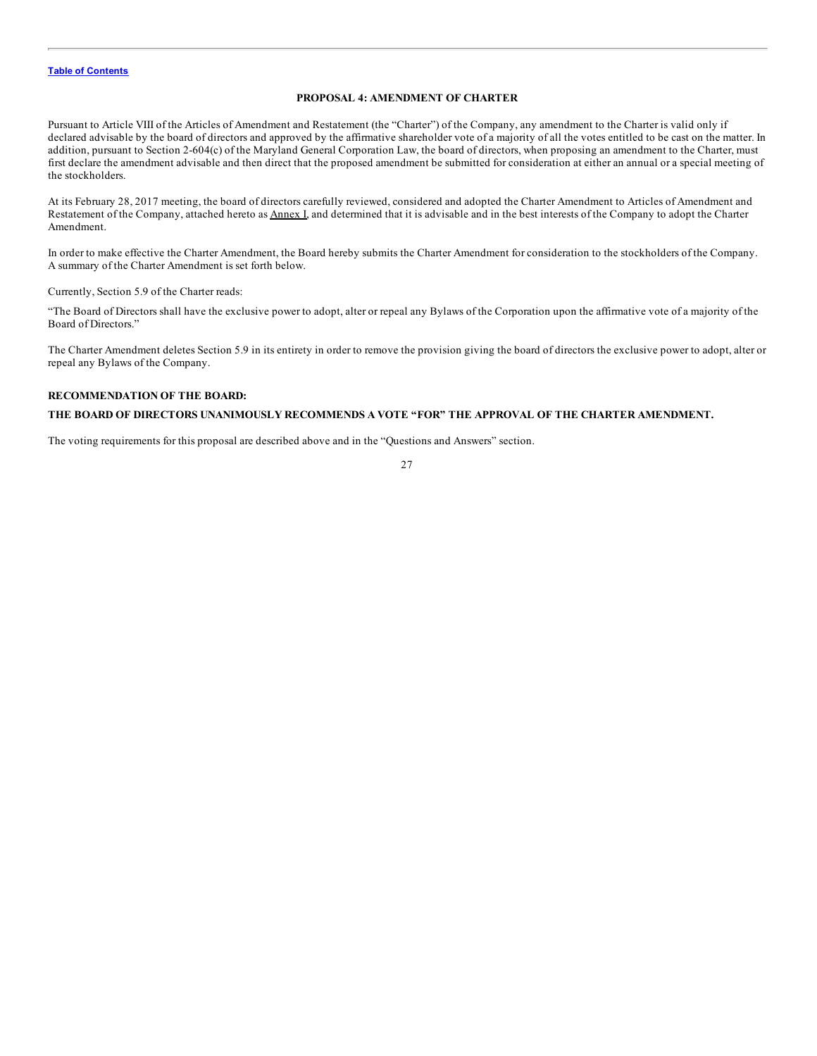### **PROPOSAL 4: AMENDMENT OF CHARTER**

<span id="page-31-0"></span>Pursuant to Article VIII of the Articles of Amendment and Restatement (the "Charter") of the Company, any amendment to the Charter is valid only if declared advisable by the board of directors and approved by the affirmative shareholder vote of a majority of all the votes entitled to be cast on the matter. In addition, pursuant to Section 2-604(c) of the Maryland General Corporation Law, the board of directors, when proposing an amendment to the Charter, must first declare the amendment advisable and then direct that the proposed amendment be submitted for consideration at either an annual or a special meeting of the stockholders.

At its February 28, 2017 meeting, the board of directors carefully reviewed, considered and adopted the Charter Amendment to Articles of Amendment and Restatement of the Company, attached hereto as **Annex I**, and determined that it is advisable and in the best interests of the Company to adopt the Charter Amendment.

In order to make effective the Charter Amendment, the Board hereby submits the Charter Amendment for consideration to the stockholders of the Company. A summary of the Charter Amendment is set forth below.

Currently, Section 5.9 of the Charter reads:

"The Board of Directors shall have the exclusive power to adopt, alter or repeal any Bylaws of the Corporation upon the affirmative vote of a majority of the Board of Directors."

The Charter Amendment deletes Section 5.9 in its entirety in order to remove the provision giving the board of directors the exclusive power to adopt, alter or repeal any Bylaws of the Company.

### **RECOMMENDATION OF THE BOARD:**

### **THE BOARD OF DIRECTORS UNANIMOUSLY RECOMMENDS A VOTE "FOR" THE APPROVAL OF THE CHARTER AMENDMENT.**

The voting requirements for this proposal are described above and in the "Questions and Answers" section.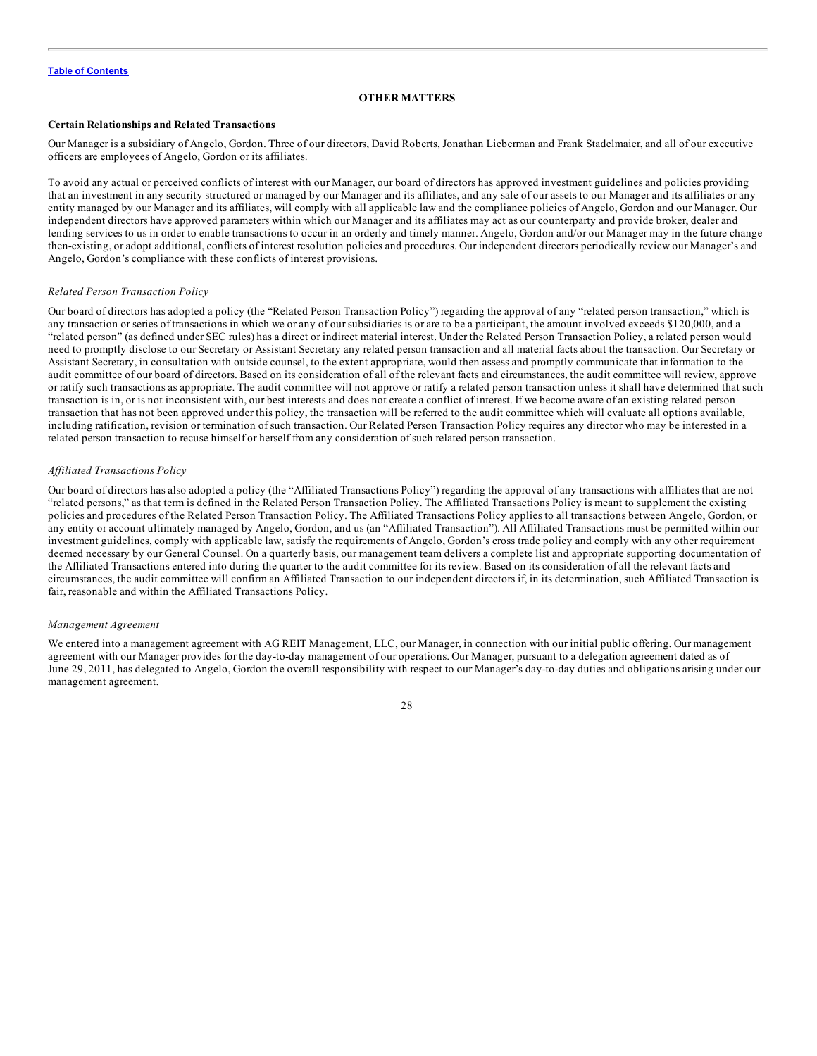#### **OTHER MATTERS**

### <span id="page-32-0"></span>**Certain Relationships and Related Transactions**

Our Manager is a subsidiary of Angelo, Gordon. Three of our directors, David Roberts, Jonathan Lieberman and Frank Stadelmaier, and all of our executive officers are employees of Angelo, Gordon or its affiliates.

To avoid any actual or perceived conflicts of interest with our Manager, our board of directors has approved investment guidelines and policies providing that an investment in any security structured or managed by our Manager and its affiliates, and any sale of our assets to our Manager and its affiliates or any entity managed by our Manager and its affiliates, will comply with all applicable law and the compliance policies of Angelo, Gordon and our Manager. Our independent directors have approved parameters within which our Manager and its affiliates may act as our counterparty and provide broker, dealer and lending services to us in order to enable transactions to occur in an orderly and timely manner. Angelo, Gordon and/or our Manager may in the future change then-existing, or adopt additional, conflicts of interest resolution policies and procedures. Our independent directors periodically review our Manager's and Angelo, Gordon's compliance with these conflicts of interest provisions.

#### *Related Person Transaction Policy*

Our board of directors has adopted a policy (the "Related Person Transaction Policy") regarding the approval of any "related person transaction," which is any transaction or series of transactions in which we or any of our subsidiaries is or are to be a participant, the amount involved exceeds \$120,000, and a "related person" (as defined under SEC rules) has a direct or indirect material interest. Under the Related Person Transaction Policy, a related person would need to promptly disclose to our Secretary or Assistant Secretary any related person transaction and all material facts about the transaction. Our Secretary or Assistant Secretary, in consultation with outside counsel, to the extent appropriate, would then assess and promptly communicate that information to the audit committee of our board of directors. Based on its consideration of all of the relevant facts and circumstances, the audit committee will review, approve or ratify such transactions as appropriate. The audit committee will not approve or ratify a related person transaction unless it shall have determined that such transaction is in, or is not inconsistent with, our best interests and does not create a conflict of interest. If we become aware of an existing related person transaction that has not been approved under this policy, the transaction will be referred to the audit committee which will evaluate all options available, including ratification, revision or termination of such transaction. Our Related Person Transaction Policy requires any director who may be interested in a related person transaction to recuse himself or herself from any consideration of such related person transaction.

#### *Af iliated Transactions Policy*

Our board of directors has also adopted a policy (the "Affiliated Transactions Policy") regarding the approval of any transactions with affiliates that are not "related persons," as that term is defined in the Related Person Transaction Policy. The Affiliated Transactions Policy is meant to supplement the existing policies and procedures of the Related Person Transaction Policy. The Affiliated Transactions Policy applies to all transactions between Angelo, Gordon, or any entity or account ultimately managed by Angelo, Gordon, and us (an "Affiliated Transaction"). All Affiliated Transactions must be permitted within our investment guidelines, comply with applicable law, satisfy the requirements of Angelo, Gordon's cross trade policy and comply with any other requirement deemed necessary by our General Counsel. On a quarterly basis, our management team delivers a complete list and appropriate supporting documentation of the Affiliated Transactions entered into during the quarter to the audit committee for its review. Based on its consideration of all the relevant facts and circumstances, the audit committee will confirm an Affiliated Transaction to our independent directors if, in its determination, such Affiliated Transaction is fair, reasonable and within the Affiliated Transactions Policy.

#### *Management Agreement*

We entered into a management agreement with AG REIT Management, LLC, our Manager, in connection with our initial public offering. Our management agreement with our Manager provides for the day-to-day management of our operations. Our Manager, pursuant to a delegation agreement dated as of June 29, 2011, has delegated to Angelo, Gordon the overall responsibility with respect to our Manager's day-to-day duties and obligations arising under our management agreement.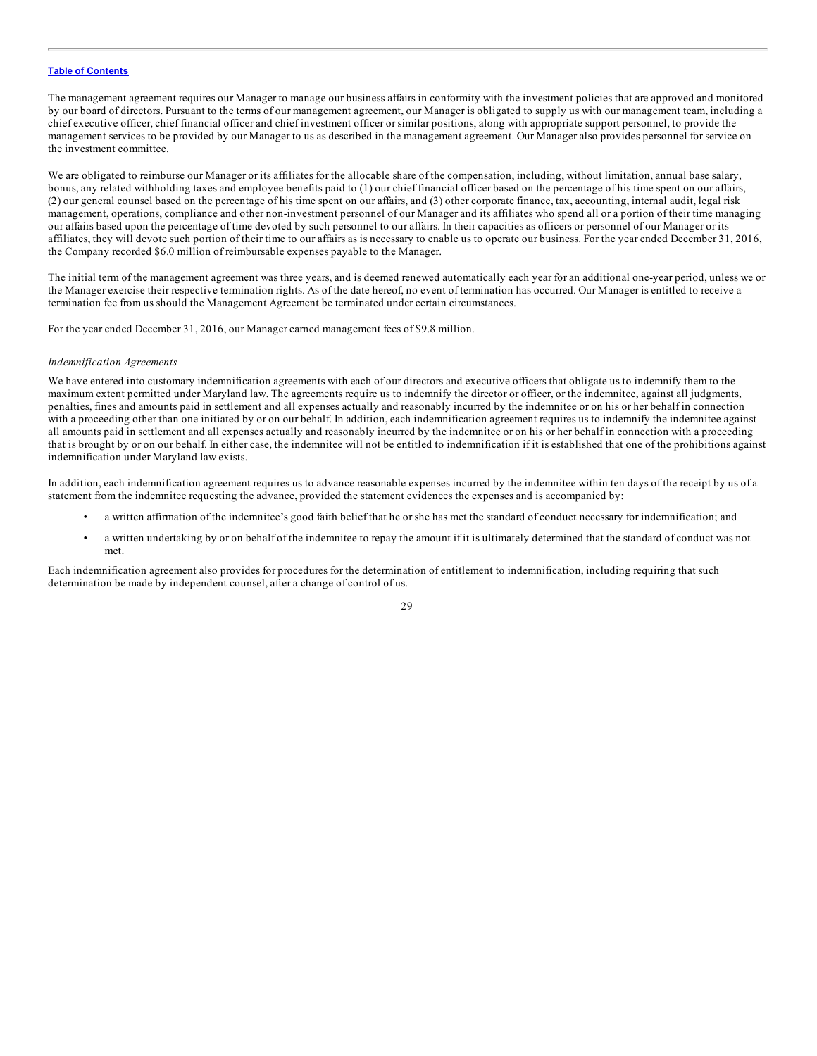The management agreement requires our Manager to manage our business affairs in conformity with the investment policies that are approved and monitored by our board of directors. Pursuant to the terms of our management agreement, our Manager is obligated to supply us with our management team, including a chief executive officer, chief financial officer and chief investment officer or similar positions, along with appropriate support personnel, to provide the management services to be provided by our Manager to us as described in the management agreement. Our Manager also provides personnel for service on the investment committee.

We are obligated to reimburse our Manager or its affiliates for the allocable share of the compensation, including, without limitation, annual base salary, bonus, any related withholding taxes and employee benefits paid to (1) our chief financial officer based on the percentage of his time spent on our affairs, (2) our general counsel based on the percentage of his time spent on our affairs, and (3) other corporate finance, tax, accounting, internal audit, legal risk management, operations, compliance and other non-investment personnel of our Manager and its affiliates who spend all or a portion of their time managing our affairs based upon the percentage of time devoted by such personnel to our affairs. In their capacities as officers or personnel of our Manager or its affiliates, they will devote such portion of their time to our affairs as is necessary to enable us to operate our business. For the year ended December 31, 2016, the Company recorded \$6.0 million of reimbursable expenses payable to the Manager.

The initial term of the management agreement was three years, and is deemed renewed automatically each year for an additional one-year period, unless we or the Manager exercise their respective termination rights. As of the date hereof, no event of termination has occurred. Our Manager is entitled to receive a termination fee from us should the Management Agreement be terminated under certain circumstances.

For the year ended December 31, 2016, our Manager earned management fees of \$9.8 million.

#### *Indemnification Agreements*

We have entered into customary indemnification agreements with each of our directors and executive officers that obligate us to indemnify them to the maximum extent permitted under Maryland law. The agreements require us to indemnify the director or officer, or the indemnitee, against all judgments, penalties, fines and amounts paid in settlement and all expenses actually and reasonably incurred by the indemnitee or on his or her behalf in connection with a proceeding other than one initiated by or on our behalf. In addition, each indemnification agreement requires us to indemnify the indemnitee against all amounts paid in settlement and all expenses actually and reasonably incurred by the indemnitee or on his or her behalf in connection with a proceeding that is brought by or on our behalf. In either case, the indemnitee will not be entitled to indemnification if it is established that one of the prohibitions against indemnification under Maryland law exists.

In addition, each indemnification agreement requires us to advance reasonable expenses incurred by the indemnitee within ten days of the receipt by us of a statement from the indemnitee requesting the advance, provided the statement evidences the expenses and is accompanied by:

- a written affirmation of the indemnitee's good faith belief that he or she has met the standard of conduct necessary for indemnification; and
- a written undertaking by or on behalf of the indemnitee to repay the amount if it is ultimately determined that the standard of conduct was not met.

Each indemnification agreement also provides for procedures for the determination of entitlement to indemnification, including requiring that such determination be made by independent counsel, after a change of control of us.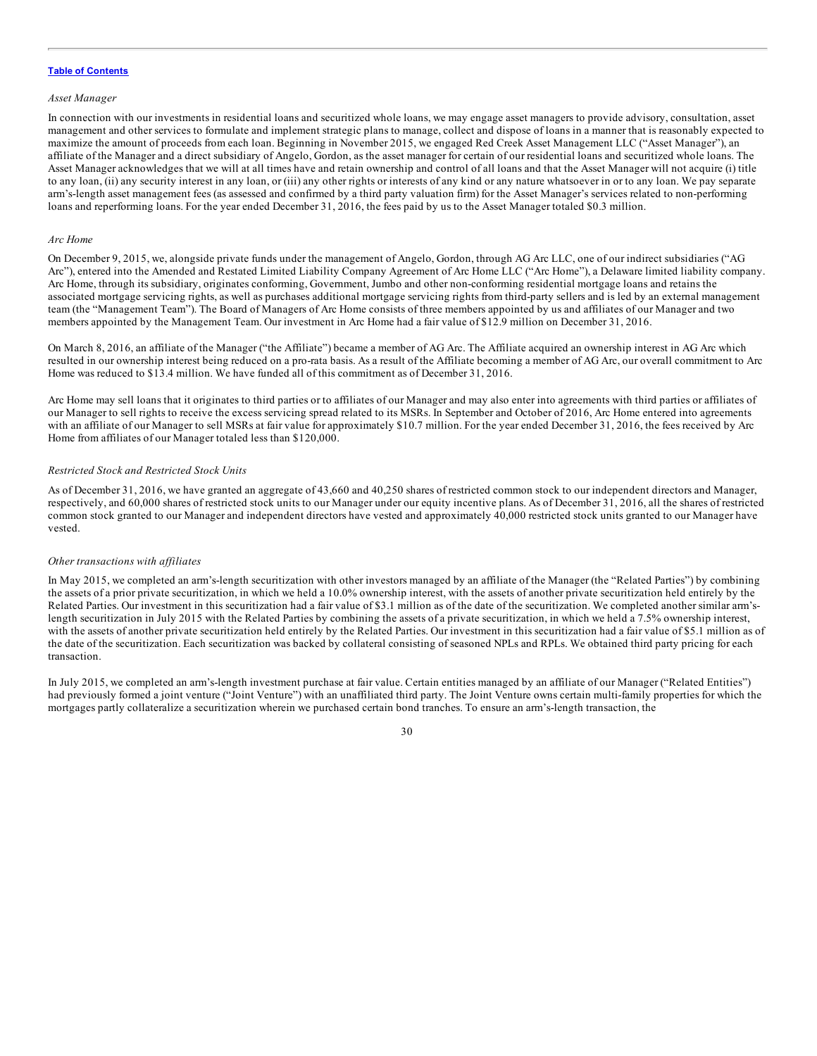#### *Asset Manager*

In connection with our investments in residential loans and securitized whole loans, we may engage asset managers to provide advisory, consultation, asset management and other services to formulate and implement strategic plans to manage, collect and dispose of loans in a manner that is reasonably expected to maximize the amount of proceeds from each loan. Beginning in November 2015, we engaged Red Creek Asset Management LLC ("Asset Manager"), an affiliate of the Manager and a direct subsidiary of Angelo, Gordon, as the asset manager for certain of our residential loans and securitized whole loans. The Asset Manager acknowledges that we will at all times have and retain ownership and control of all loans and that the Asset Manager will not acquire (i) title to any loan, (ii) any security interest in any loan, or (iii) any other rights or interests of any kind or any nature whatsoever in or to any loan. We pay separate arm's-length asset management fees (as assessed and confirmed by a third party valuation firm) for the Asset Manager's services related to non-performing loans and reperforming loans. For the year ended December 31, 2016, the fees paid by us to the Asset Manager totaled \$0.3 million.

#### *Arc Home*

On December 9, 2015, we, alongside private funds under the management of Angelo, Gordon, through AG Arc LLC, one of our indirect subsidiaries ("AG Arc"), entered into the Amended and Restated Limited Liability Company Agreement of Arc Home LLC ("Arc Home"), a Delaware limited liability company. Arc Home, through its subsidiary, originates conforming, Government, Jumbo and other non-conforming residential mortgage loans and retains the associated mortgage servicing rights, as well as purchases additional mortgage servicing rights from third-party sellers and is led by an external management team (the "Management Team"). The Board of Managers of Arc Home consists of three members appointed by us and affiliates of our Manager and two members appointed by the Management Team. Our investment in Arc Home had a fair value of \$12.9 million on December 31, 2016.

On March 8, 2016, an affiliate of the Manager ("the Affiliate") became a member of AG Arc. The Affiliate acquired an ownership interest in AG Arc which resulted in our ownership interest being reduced on a pro-rata basis. As a result of the Affiliate becoming a member of AG Arc, our overall commitment to Arc Home was reduced to \$13.4 million. We have funded all of this commitment as of December 31, 2016.

Arc Home may sell loans that it originates to third parties or to affiliates of our Manager and may also enter into agreements with third parties or affiliates of our Manager to sell rights to receive the excess servicing spread related to its MSRs. In September and October of 2016, Arc Home entered into agreements with an affiliate of our Manager to sell MSRs at fair value for approximately \$10.7 million. For the year ended December 31, 2016, the fees received by Arc Home from affiliates of our Manager totaled less than \$120,000.

### *Restricted Stock and Restricted Stock Units*

As of December 31, 2016, we have granted an aggregate of 43,660 and 40,250 shares of restricted common stock to our independent directors and Manager, respectively, and 60,000 shares of restricted stock units to our Manager under our equity incentive plans. As of December 31, 2016, all the shares of restricted common stock granted to our Manager and independent directors have vested and approximately 40,000 restricted stock units granted to our Manager have vested.

#### *Other transactions with af iliates*

In May 2015, we completed an arm's-length securitization with other investors managed by an affiliate of the Manager (the "Related Parties") by combining the assets of a prior private securitization, in which we held a 10.0% ownership interest, with the assets of another private securitization held entirely by the Related Parties. Our investment in this securitization had a fair value of \$3.1 million as of the date of the securitization. We completed another similar arm'slength securitization in July 2015 with the Related Parties by combining the assets of a private securitization, in which we held a 7.5% ownership interest, with the assets of another private securitization held entirely by the Related Parties. Our investment in this securitization had a fair value of \$5.1 million as of the date of the securitization. Each securitization was backed by collateral consisting of seasoned NPLs and RPLs. We obtained third party pricing for each transaction.

In July 2015, we completed an arm's-length investment purchase at fair value. Certain entities managed by an affiliate of our Manager ("Related Entities") had previously formed a joint venture ("Joint Venture") with an unaffiliated third party. The Joint Venture owns certain multi-family properties for which the mortgages partly collateralize a securitization wherein we purchased certain bond tranches. To ensure an arm's-length transaction, the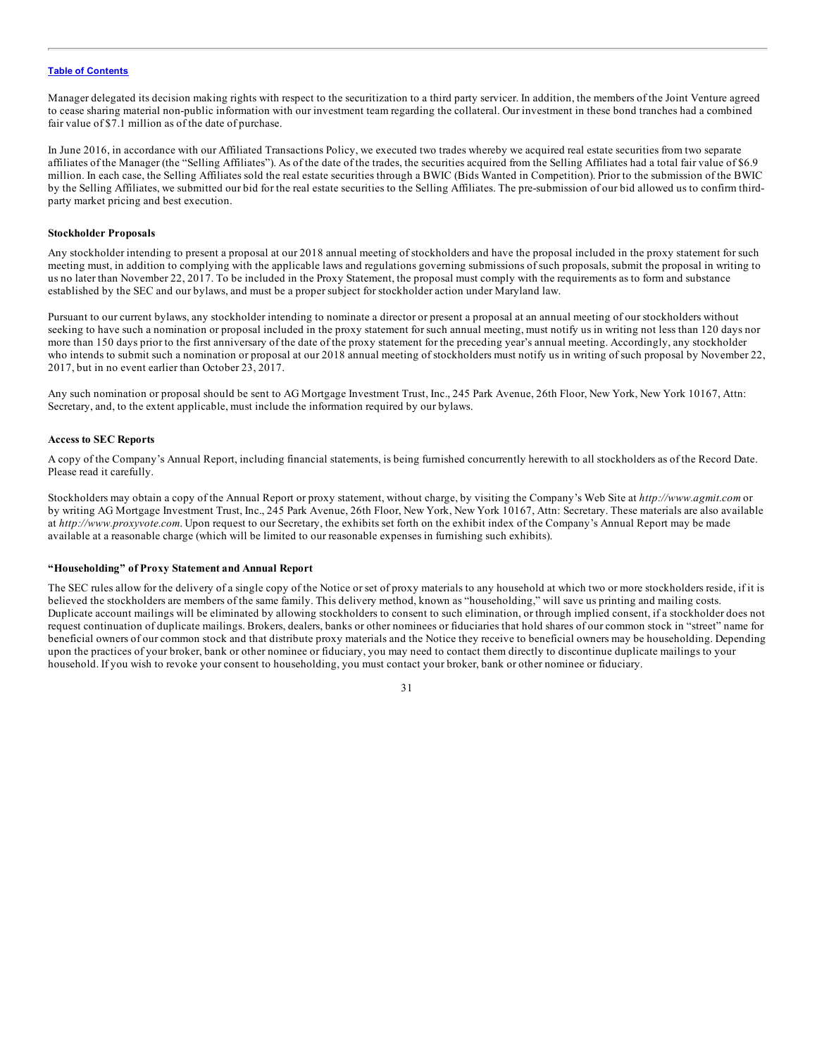Manager delegated its decision making rights with respect to the securitization to a third party servicer. In addition, the members of the Joint Venture agreed to cease sharing material non-public information with our investment team regarding the collateral. Our investment in these bond tranches had a combined fair value of \$7.1 million as of the date of purchase.

In June 2016, in accordance with our Affiliated Transactions Policy, we executed two trades whereby we acquired real estate securities from two separate affiliates of the Manager (the "Selling Affiliates"). As of the date of the trades, the securities acquired from the Selling Affiliates had a total fair value of \$6.9 million. In each case, the Selling Affiliates sold the real estate securities through a BWIC (Bids Wanted in Competition). Prior to the submission of the BWIC by the Selling Affiliates, we submitted our bid for the real estate securities to the Selling Affiliates. The pre-submission of our bid allowed us to confirm thirdparty market pricing and best execution.

### **Stockholder Proposals**

Any stockholder intending to present a proposal at our 2018 annual meeting of stockholders and have the proposal included in the proxy statement for such meeting must, in addition to complying with the applicable laws and regulations governing submissions of such proposals, submit the proposal in writing to us no later than November 22, 2017. To be included in the Proxy Statement, the proposal must comply with the requirements as to form and substance established by the SEC and our bylaws, and must be a proper subject for stockholder action under Maryland law.

Pursuant to our current bylaws, any stockholder intending to nominate a director or present a proposal at an annual meeting of our stockholders without seeking to have such a nomination or proposal included in the proxy statement for such annual meeting, must notify us in writing not less than 120 days nor more than 150 days prior to the first anniversary of the date of the proxy statement for the preceding year's annual meeting. Accordingly, any stockholder who intends to submit such a nomination or proposal at our 2018 annual meeting of stockholders must notify us in writing of such proposal by November 22, 2017, but in no event earlier than October 23, 2017.

Any such nomination or proposal should be sent to AG Mortgage Investment Trust, Inc., 245 Park Avenue, 26th Floor, New York, New York 10167, Attn: Secretary, and, to the extent applicable, must include the information required by our bylaws.

### **Access to SEC Reports**

A copy of the Company's Annual Report, including financial statements, is being furnished concurrently herewith to all stockholders as of the Record Date. Please read it carefully.

Stockholders may obtain a copy of the Annual Report or proxy statement, without charge, by visiting the Company's Web Site at *http://www.agmit.com* or by writing AG Mortgage Investment Trust, Inc., 245 Park Avenue, 26th Floor, New York, New York 10167, Attn: Secretary. These materials are also available at *http://www.proxyvote.com*. Upon request to our Secretary, the exhibits set forth on the exhibit index of the Company's Annual Report may be made available at a reasonable charge (which will be limited to our reasonable expenses in furnishing such exhibits).

### **"Householding" of Proxy Statement and Annual Report**

The SEC rules allow for the delivery of a single copy of the Notice or set of proxy materials to any household at which two or more stockholders reside, if it is believed the stockholders are members of the same family. This delivery method, known as "householding," will save us printing and mailing costs. Duplicate account mailings will be eliminated by allowing stockholders to consent to such elimination, or through implied consent, if a stockholder does not request continuation of duplicate mailings. Brokers, dealers, banks or other nominees or fiduciaries that hold shares of our common stock in "street" name for beneficial owners of our common stock and that distribute proxy materials and the Notice they receive to beneficial owners may be householding. Depending upon the practices of your broker, bank or other nominee or fiduciary, you may need to contact them directly to discontinue duplicate mailings to your household. If you wish to revoke your consent to householding, you must contact your broker, bank or other nominee or fiduciary.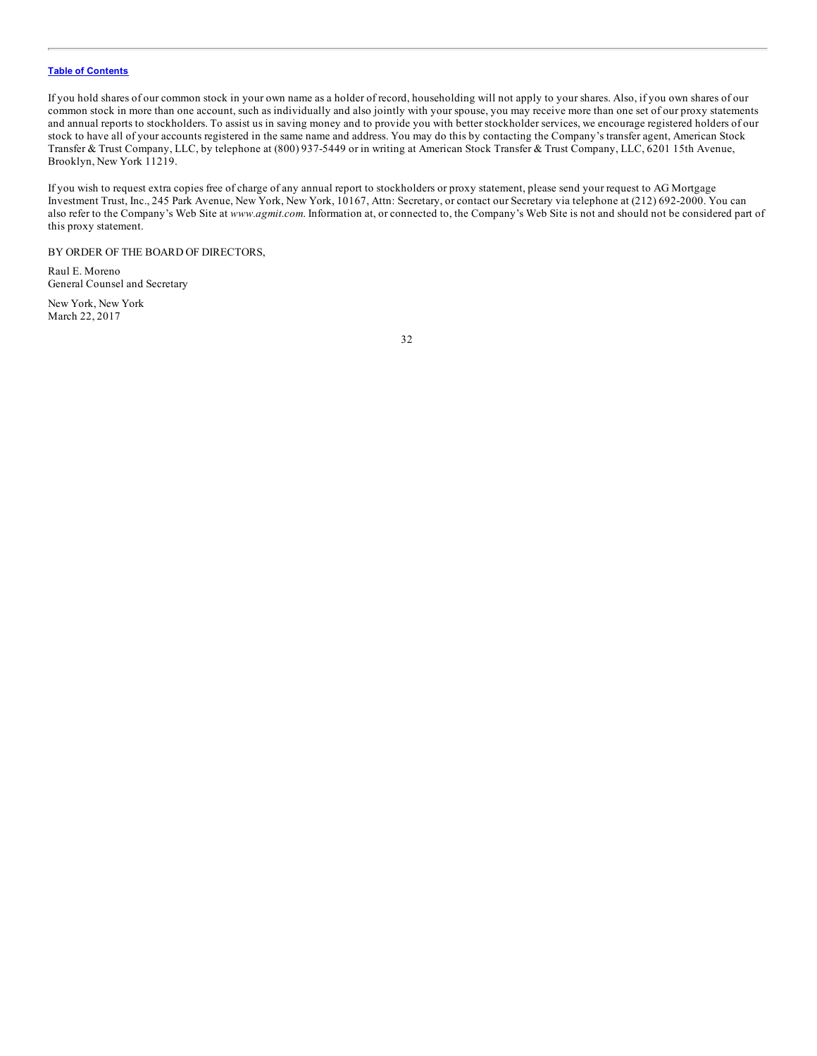If you hold shares of our common stock in your own name as a holder of record, householding will not apply to your shares. Also, if you own shares of our common stock in more than one account, such as individually and also jointly with your spouse, you may receive more than one set of our proxy statements and annual reports to stockholders. To assist us in saving money and to provide you with better stockholder services, we encourage registered holders of our stock to have all of your accounts registered in the same name and address. You may do this by contacting the Company's transfer agent, American Stock Transfer & Trust Company, LLC, by telephone at (800) 937-5449 or in writing at American Stock Transfer & Trust Company, LLC, 6201 15th Avenue, Brooklyn, New York 11219.

If you wish to request extra copies free of charge of any annual report to stockholders or proxy statement, please send your request to AG Mortgage Investment Trust, Inc., 245 Park Avenue, New York, New York, 10167, Attn: Secretary, or contact our Secretary via telephone at (212) 692-2000. You can also refer to the Company's Web Site at *www.agmit.com*. Information at, or connected to, the Company's Web Site is not and should not be considered part of this proxy statement.

BY ORDER OF THE BOARD OF DIRECTORS,

Raul E. Moreno General Counsel and Secretary

New York, New York March 22, 2017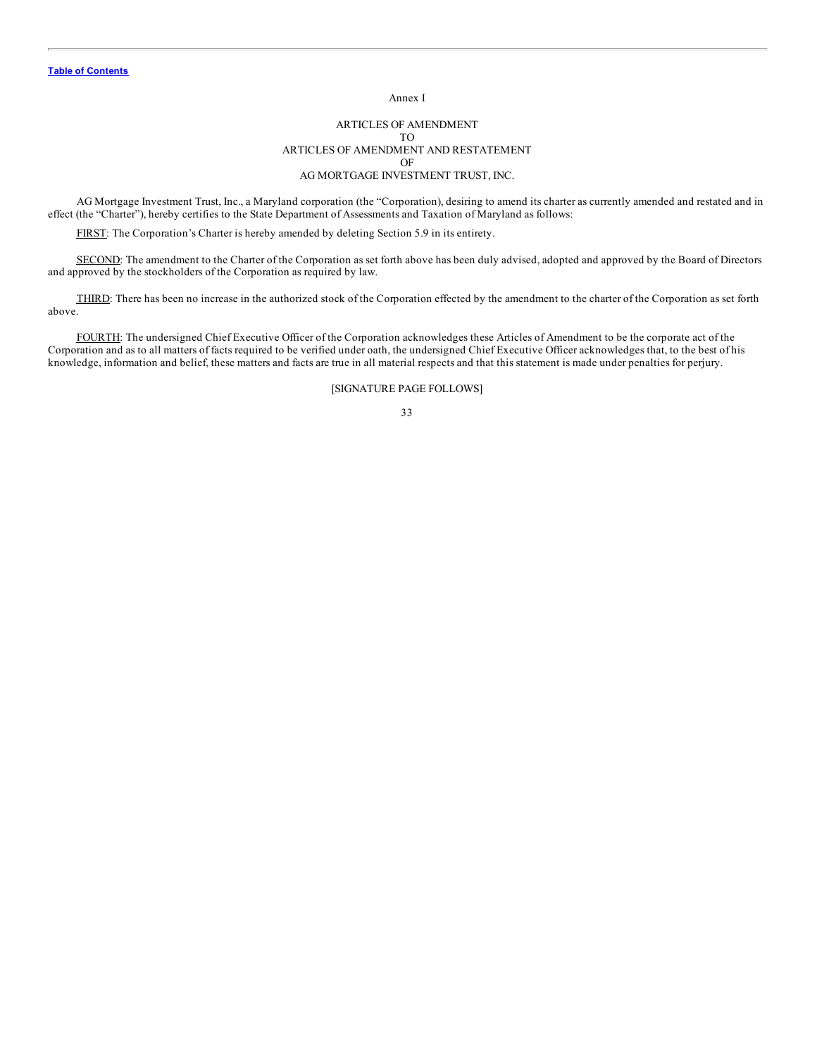Annex I

### ARTICLES OF AMENDMENT TO ARTICLES OF AMENDMENT AND RESTATEMENT OF AG MORTGAGE INVESTMENT TRUST, INC.

AG Mortgage Investment Trust, Inc., a Maryland corporation (the "Corporation), desiring to amend its charter as currently amended and restated and in effect (the "Charter"), hereby certifies to the State Department of Assessments and Taxation of Maryland as follows:

FIRST: The Corporation's Charter is hereby amended by deleting Section 5.9 in its entirety.

SECOND: The amendment to the Charter of the Corporation as set forth above has been duly advised, adopted and approved by the Board of Directors and approved by the stockholders of the Corporation as required by law.

THIRD: There has been no increase in the authorized stock of the Corporation effected by the amendment to the charter of the Corporation as set forth above.

FOURTH: The undersigned Chief Executive Officer of the Corporation acknowledges these Articles of Amendment to be the corporate act of the Corporation and as to all matters of facts required to be verified under oath, the undersigned Chief Executive Officer acknowledges that, to the best of his knowledge, information and belief, these matters and facts are true in all material respects and that this statement is made under penalties for perjury.

### [SIGNATURE PAGE FOLLOWS]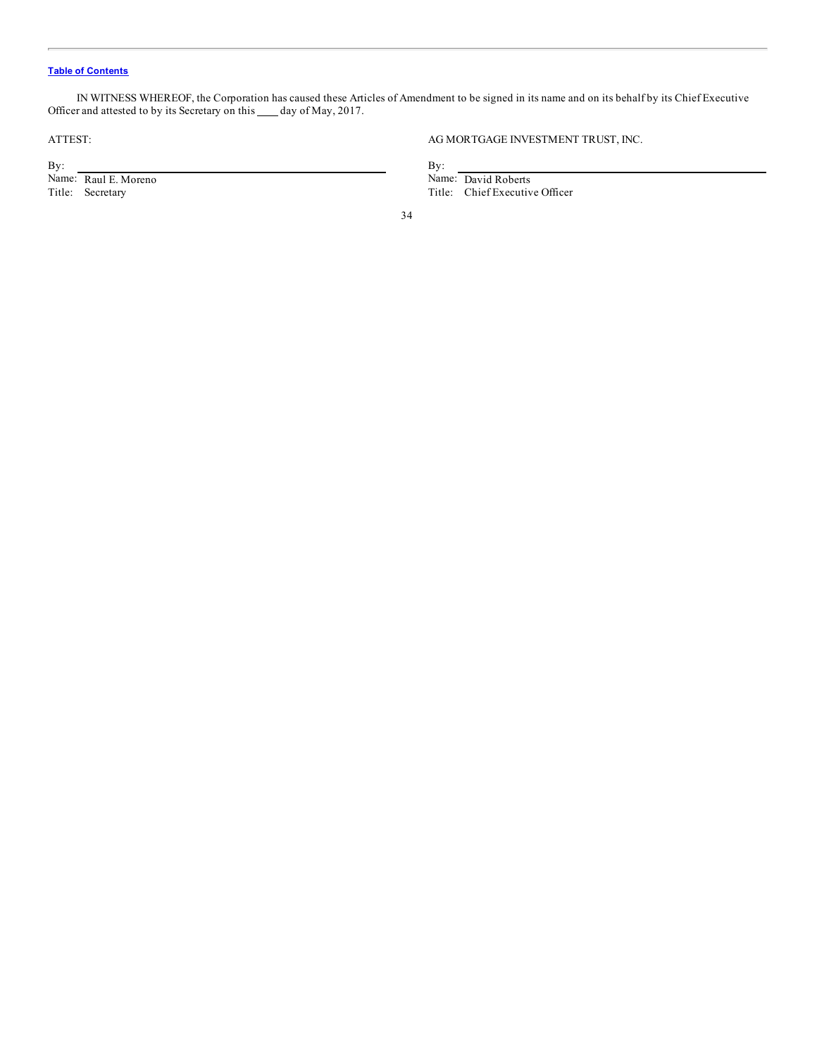IN WITNESS WHEREOF, the Corporation has caused these Articles of Amendment to be signed in its name and on its behalf by its Chief Executive Officer and attested to by its Secretary on this \_\_\_ day of May, 2017.

 $\mathbf{B}$ y:  $\mathbf{B}$ y: By:<br>
Name: Raul E. Moreno By:<br>
Title: Secretary Title: Chief Executive Raul E. Moreno Name: David Roberts<br>
Title: Chief Executive Raul E. Moreno

AG MORTGAGE INVESTMENT TRUST, INC.

Title: Chief Executive Officer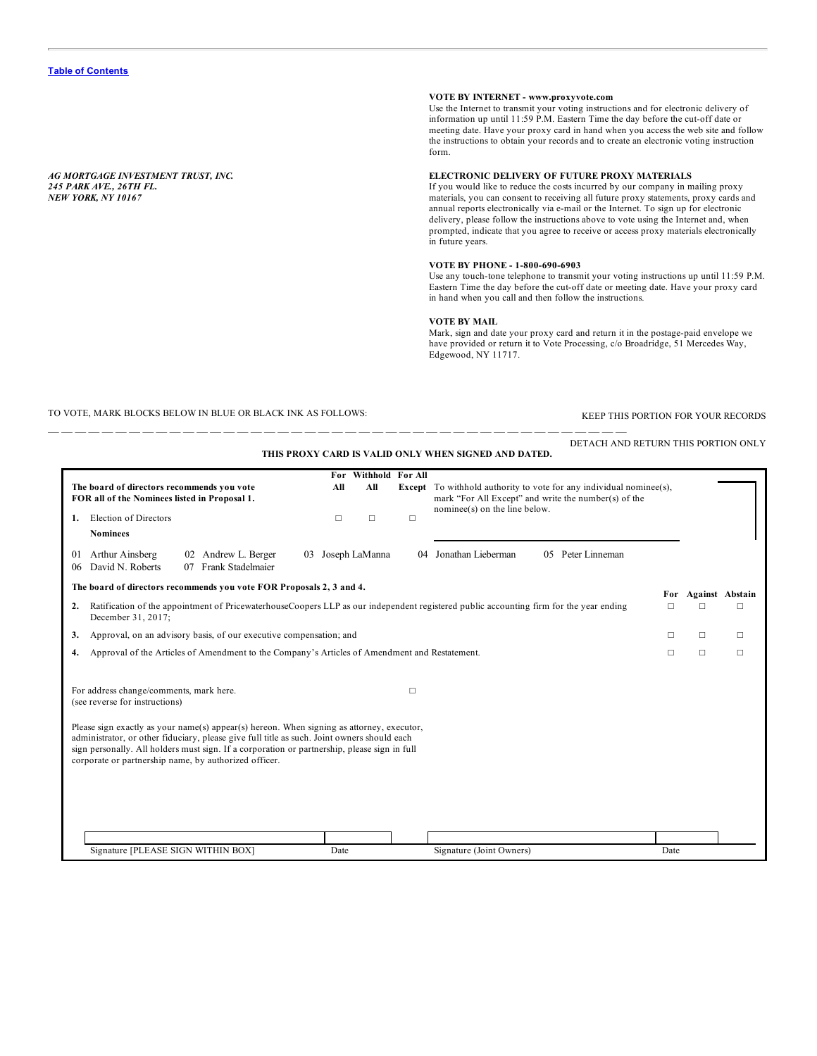*AG MORTGAGE INVESTMENT TRUST, INC. 245 PARK AVE., 26TH FL. NEW YORK, NY 10167*

## **VOTE BY INTERNET - www.proxyvote.com**

Use the Internet to transmit your voting instructions and for electronic delivery of information up until 11:59 P.M. Eastern Time the day before the cut-off date or meeting date. Have your proxy card in hand when you access the web site and follow the instructions to obtain your records and to create an electronic voting instruction form.

### **ELECTRONIC DELIVERY OF FUTURE PROXY MATERIALS**

If you would like to reduce the costs incurred by our company in mailing proxy materials, you can consent to receiving all future proxy statements, proxy cards and annual reports electronically via e-mail or the Internet. To sign up for electronic delivery, please follow the instructions above to vote using the Internet and, when prompted, indicate that you agree to receive or access proxy materials electronically in future years.

### **VOTE BY PHONE - 1-800-690-6903**

Use any touch-tone telephone to transmit your voting instructions up until 11:59 P.M. Eastern Time the day before the cut-off date or meeting date. Have your proxy card in hand when you call and then follow the instructions.

### **VOTE BY MAIL**

Mark, sign and date your proxy card and return it in the postage-paid envelope we have provided or return it to Vote Processing, c/o Broadridge, 51 Mercedes Way, Edgewood, NY 11717.

TO VOTE, MARK BLOCKS BELOW IN BLUE OR BLACK INK AS FOLLOWS: KEEP THIS PORTION FOR YOUR RECORDS

|                                                                                                                                                                                                                                                                                                                                                   | For               |                                   |        | THIS PROXY CARD IS VALID ONLY WHEN SIGNED AND DATED.                                                                                                                |        |        |                 |
|---------------------------------------------------------------------------------------------------------------------------------------------------------------------------------------------------------------------------------------------------------------------------------------------------------------------------------------------------|-------------------|-----------------------------------|--------|---------------------------------------------------------------------------------------------------------------------------------------------------------------------|--------|--------|-----------------|
| The board of directors recommends you vote<br>FOR all of the Nominees listed in Proposal 1.<br>Election of Directors<br>1.                                                                                                                                                                                                                        |                   | Withhold For All<br>All<br>$\Box$ | $\Box$ | <b>Except</b> To withhold authority to vote for any individual nominee(s),<br>mark "For All Except" and write the number(s) of the<br>nominee(s) on the line below. |        |        |                 |
| <b>Nominees</b>                                                                                                                                                                                                                                                                                                                                   |                   |                                   |        |                                                                                                                                                                     |        |        |                 |
| Arthur Ainsberg<br>02 Andrew L. Berger<br>01<br>07 Frank Stadelmaier<br>David N. Roberts<br>06                                                                                                                                                                                                                                                    | 03 Joseph LaManna |                                   | 04     | 05 Peter Linneman<br>Jonathan Lieberman                                                                                                                             |        |        |                 |
| The board of directors recommends you vote FOR Proposals 2, 3 and 4.                                                                                                                                                                                                                                                                              |                   |                                   |        |                                                                                                                                                                     | For    |        | Against Abstain |
| Ratification of the appointment of PricewaterhouseCoopers LLP as our independent registered public accounting firm for the year ending<br>2.<br>December 31, 2017;                                                                                                                                                                                |                   |                                   |        |                                                                                                                                                                     | $\Box$ | п      | □               |
| Approval, on an advisory basis, of our executive compensation; and<br>3.                                                                                                                                                                                                                                                                          |                   |                                   |        |                                                                                                                                                                     | □      | $\Box$ | □               |
| Approval of the Articles of Amendment to the Company's Articles of Amendment and Restatement.<br>4.                                                                                                                                                                                                                                               |                   |                                   |        |                                                                                                                                                                     | $\Box$ | $\Box$ | $\Box$          |
| For address change/comments, mark here.<br>(see reverse for instructions)                                                                                                                                                                                                                                                                         |                   |                                   | П      |                                                                                                                                                                     |        |        |                 |
| Please sign exactly as your name(s) appear(s) hereon. When signing as attorney, executor,<br>administrator, or other fiduciary, please give full title as such. Joint owners should each<br>sign personally. All holders must sign. If a corporation or partnership, please sign in full<br>corporate or partnership name, by authorized officer. |                   |                                   |        |                                                                                                                                                                     |        |        |                 |
|                                                                                                                                                                                                                                                                                                                                                   |                   |                                   |        |                                                                                                                                                                     |        |        |                 |
| Signature [PLEASE SIGN WITHIN BOX]                                                                                                                                                                                                                                                                                                                | Date              |                                   |        | Signature (Joint Owners)                                                                                                                                            | Date   |        |                 |

— — — — — — — — — — — — — — — — — — — — — — — — — — — — — — — — — — — — — — — — — — —